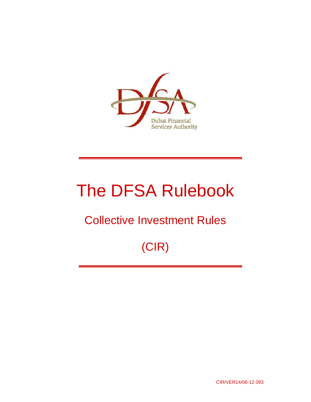

# The DFSA Rulebook

## Collective Investment Rules

## (CIR)

CIR/VER14/06-12 093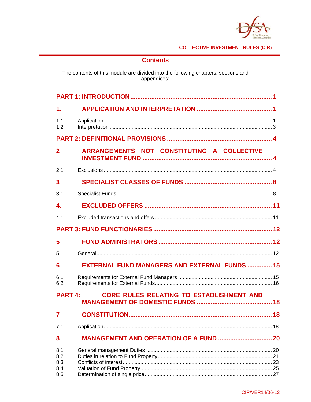

## **Contents**

The contents of this module are divided into the following chapters, sections and appendices:

| $\mathbf 1$ .                   |                                                      |  |
|---------------------------------|------------------------------------------------------|--|
| 1.1<br>1.2                      |                                                      |  |
|                                 |                                                      |  |
| $\overline{2}$                  | ARRANGEMENTS NOT CONSTITUTING A COLLECTIVE           |  |
| 2.1                             |                                                      |  |
| 3                               |                                                      |  |
| 3.1                             |                                                      |  |
| $\overline{\mathbf{4}}$ .       |                                                      |  |
| 4 <sub>1</sub>                  |                                                      |  |
|                                 |                                                      |  |
| 5                               |                                                      |  |
| 5.1                             |                                                      |  |
| 6                               | <b>EXTERNAL FUND MANAGERS AND EXTERNAL FUNDS  15</b> |  |
| 6.1<br>6.2                      |                                                      |  |
| <b>PART 4:</b>                  | <b>CORE RULES RELATING TO ESTABLISHMENT AND</b>      |  |
| 7                               |                                                      |  |
| 7.1                             |                                                      |  |
| 8                               | <b>MANAGEMENT AND OPERATION OF A FUND  20</b>        |  |
| 8.1<br>8.2<br>8.3<br>8.4<br>8.5 |                                                      |  |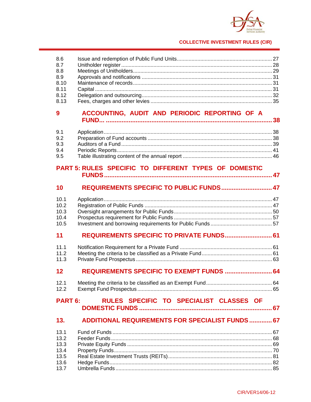

| 8.6<br>8.7<br>8.8<br>8.9<br>8.10<br>8.11<br>8.12<br>8.13 |                                                         |  |
|----------------------------------------------------------|---------------------------------------------------------|--|
| 9                                                        | ACCOUNTING, AUDIT AND PERIODIC REPORTING OF A           |  |
| 9.1<br>9.2<br>9.3<br>9.4<br>9.5                          |                                                         |  |
|                                                          | PART 5: RULES SPECIFIC TO DIFFERENT TYPES OF DOMESTIC   |  |
| 10                                                       | REQUIREMENTS SPECIFIC TO PUBLIC FUNDS 47                |  |
| 10.1<br>10.2<br>10.3<br>10.4<br>10.5                     |                                                         |  |
| 11                                                       | REQUIREMENTS SPECIFIC TO PRIVATE FUNDS 61               |  |
| 11.1<br>11.2<br>11.3                                     |                                                         |  |
| 12                                                       | REQUIREMENTS SPECIFIC TO EXEMPT FUNDS  64               |  |
| 12.1<br>12.2                                             |                                                         |  |
| <b>PART 6:</b>                                           | RULES SPECIFIC TO SPECIALIST CLASSES OF                 |  |
| 13.                                                      | <b>ADDITIONAL REQUIREMENTS FOR SPECIALIST FUNDS  67</b> |  |
| 13.1<br>13.2<br>13.3<br>13.4<br>13.5<br>13.6<br>13.7     |                                                         |  |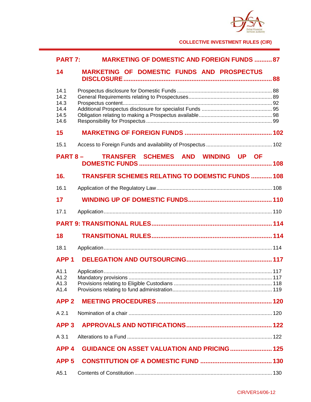

| <b>PART 7:</b>                               | <b>MARKETING OF DOMESTIC AND FOREIGN FUNDS  87</b>      |  |  |  |  |
|----------------------------------------------|---------------------------------------------------------|--|--|--|--|
| 14                                           | <b>MARKETING OF DOMESTIC FUNDS AND PROSPECTUS</b>       |  |  |  |  |
| 14.1<br>14.2<br>14.3<br>14.4<br>14.5<br>14.6 |                                                         |  |  |  |  |
| 15                                           |                                                         |  |  |  |  |
| 15.1                                         |                                                         |  |  |  |  |
|                                              | TRANSFER SCHEMES AND WINDING UP OF<br>$PART 8 -$        |  |  |  |  |
| 16.                                          | <b>TRANSFER SCHEMES RELATING TO DOEMSTIC FUNDS  108</b> |  |  |  |  |
| 16.1                                         |                                                         |  |  |  |  |
| 17                                           |                                                         |  |  |  |  |
| 17.1                                         |                                                         |  |  |  |  |
|                                              |                                                         |  |  |  |  |
| 18                                           |                                                         |  |  |  |  |
| 18.1                                         |                                                         |  |  |  |  |
| APP <sub>1</sub>                             |                                                         |  |  |  |  |
| A1.1<br>A1.2<br>A1.3<br>A1.4                 |                                                         |  |  |  |  |
| APP <sub>2</sub>                             |                                                         |  |  |  |  |
| A 2.1                                        |                                                         |  |  |  |  |
| APP <sub>3</sub>                             |                                                         |  |  |  |  |
| A 3.1                                        |                                                         |  |  |  |  |
| APP <sub>4</sub>                             | <b>GUIDANCE ON ASSET VALUATION AND PRICING 125</b>      |  |  |  |  |
| APP <sub>5</sub>                             |                                                         |  |  |  |  |
|                                              |                                                         |  |  |  |  |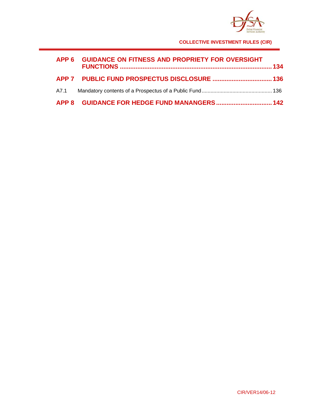

| APP 6 GUIDANCE ON FITNESS AND PROPRIETY FOR OVERSIGHT |  |
|-------------------------------------------------------|--|
|                                                       |  |
|                                                       |  |
|                                                       |  |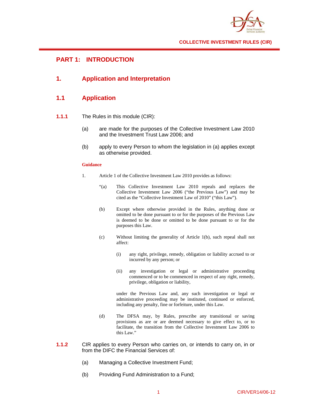

## **PART 1: INTRODUCTION**

## **1. Application and Interpretation**

## **1.1 Application**

- **1.1.1** The Rules in this module (CIR):
	- (a) are made for the purposes of the Collective Investment Law 2010 and the Investment Trust Law 2006; and
	- (b) apply to every Person to whom the legislation in (a) applies except as otherwise provided.

#### **Guidance**

- 1. Article 1 of the Collective Investment Law 2010 provides as follows:
	- "(a) This Collective Investment Law 2010 repeals and replaces the Collective Investment Law 2006 ("the Previous Law") and may be cited as the "Collective Investment Law of 2010" ("this Law").
	- (b) Except where otherwise provided in the Rules, anything done or omitted to be done pursuant to or for the purposes of the Previous Law is deemed to be done or omitted to be done pursuant to or for the purposes this Law.
	- (c) Without limiting the generality of Article 1(b), such repeal shall not affect:
		- (i) any right, privilege, remedy, obligation or liability accrued to or incurred by any person; or
		- (ii) any investigation or legal or administrative proceeding commenced or to be commenced in respect of any right, remedy, privilege, obligation or liability,

 under the Previous Law and, any such investigation or legal or administrative proceeding may be instituted, continued or enforced, including any penalty, fine or forfeiture, under this Law.

- (d) The DFSA may, by Rules, prescribe any transitional or saving provisions as are or are deemed necessary to give effect to, or to facilitate, the transition from the Collective Investment Law 2006 to this Law."
- **1.1.2** CIR applies to every Person who carries on, or intends to carry on, in or from the DIFC the Financial Services of:
	- (a) Managing a Collective Investment Fund;
	- (b) Providing Fund Administration to a Fund;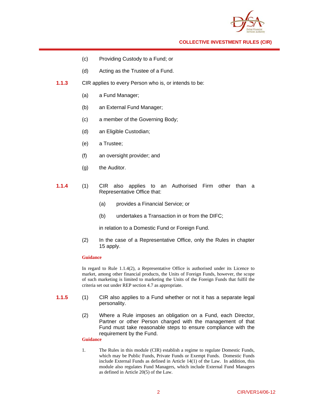

- (c) Providing Custody to a Fund; or
- (d) Acting as the Trustee of a Fund.
- **1.1.3** CIR applies to every Person who is, or intends to be:
	- (a) a Fund Manager;
	- (b) an External Fund Manager;
	- (c) a member of the Governing Body;
	- (d) an Eligible Custodian;
	- (e) a Trustee;
	- (f) an oversight provider; and
	- (g) the Auditor.
- **1.1.4** (1) CIR also applies to an Authorised Firm other than a Representative Office that:
	- (a) provides a Financial Service; or
	- (b) undertakes a Transaction in or from the DIFC;

in relation to a Domestic Fund or Foreign Fund.

(2) In the case of a Representative Office, only the Rules in chapter 15 apply.

#### **Guidance**

In regard to Rule 1.1.4(2), a Representative Office is authorised under its Licence to market, among other financial products, the Units of Foreign Funds, however, the scope of such marketing is limited to marketing the Units of the Foreign Funds that fulfil the criteria set out under REP section 4.7 as appropriate.

- **1.1.5** (1) CIR also applies to a Fund whether or not it has a separate legal personality.
	- (2) Where a Rule imposes an obligation on a Fund, each Director, Partner or other Person charged with the management of that Fund must take reasonable steps to ensure compliance with the requirement by the Fund.

#### **Guidance**

1. The Rules in this module (CIR) establish a regime to regulate Domestic Funds, which may be Public Funds, Private Funds or Exempt Funds. Domestic Funds include External Funds as defined in Article 14(1) of the Law. In addition, this module also regulates Fund Managers, which include External Fund Managers as defined in Article 20(5) of the Law.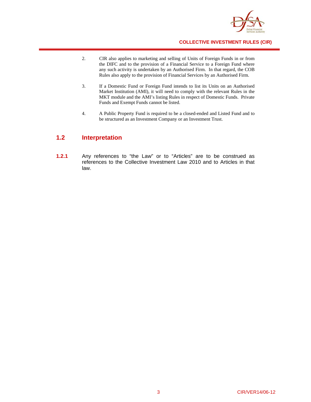

- 2. CIR also applies to marketing and selling of Units of Foreign Funds in or from the DIFC and to the provision of a Financial Service to a Foreign Fund where any such activity is undertaken by an Authorised Firm. In that regard, the COB Rules also apply to the provision of Financial Services by an Authorised Firm.
- 3. If a Domestic Fund or Foreign Fund intends to list its Units on an Authorised Market Institution (AMI), it will need to comply with the relevant Rules in the MKT module and the AMI's listing Rules in respect of Domestic Funds. Private Funds and Exempt Funds cannot be listed.
- 4. A Public Property Fund is required to be a closed-ended and Listed Fund and to be structured as an Investment Company or an Investment Trust.

## **1.2 Interpretation**

**1.2.1** Any references to "the Law" or to "Articles" are to be construed as references to the Collective Investment Law 2010 and to Articles in that law.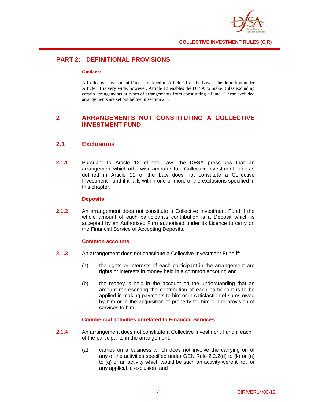

## **PART 2: DEFINITIONAL PROVISIONS**

#### **Guidance**

A Collective Investment Fund is defined in Article 11 of the Law. The definition under Article 11 is very wide, however, Article 12 enables the DFSA to make Rules excluding certain arrangements or types of arrangements from constituting a Fund. These excluded arrangements are set out below in section 2.1.

## **2 ARRANGEMENTS NOT CONSTITUTING A COLLECTIVE INVESTMENT FUND**

## **2.1 Exclusions**

**2.1.1** Pursuant to Article 12 of the Law, the DFSA prescribes that an arrangement which otherwise amounts to a Collective Investment Fund as defined in Article 11 of the Law does not constitute a Collective Investment Fund if it falls within one or more of the exclusions specified in this chapter.

#### **Deposits**

**2.1.2** An arrangement does not constitute a Collective Investment Fund if the whole amount of each participant's contribution is a Deposit which is accepted by an Authorised Firm authorised under its Licence to carry on the Financial Service of Accepting Deposits.

#### **Common accounts**

- **2.1.3** An arrangement does not constitute a Collective Investment Fund if:
	- (a) the rights or interests of each participant in the arrangement are rights or interests in money held in a common account; and
	- (b) the money is held in the account on the understanding that an amount representing the contribution of each participant is to be applied in making payments to him or in satisfaction of sums owed by him or in the acquisition of property for him or the provision of services to him.

#### **Commercial activities unrelated to Financial Services**

- **2.1.4** An arrangement does not constitute a Collective Investment Fund if each of the participants in the arrangement:
	- (a) carries on a business which does not involve the carrying on of any of the activities specified under GEN Rule 2.2.2(d) to (k) or (n) to (q) or an activity which would be such an activity were it not for any applicable exclusion; and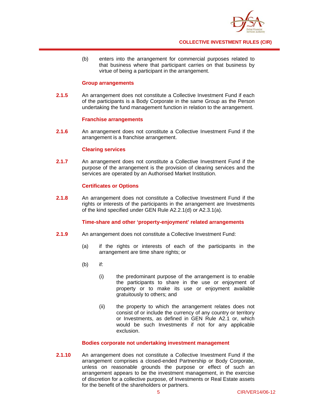

(b) enters into the arrangement for commercial purposes related to that business where that participant carries on that business by virtue of being a participant in the arrangement.

#### **Group arrangements**

**2.1.5** An arrangement does not constitute a Collective Investment Fund if each of the participants is a Body Corporate in the same Group as the Person undertaking the fund management function in relation to the arrangement.

#### **Franchise arrangements**

**2.1.6** An arrangement does not constitute a Collective Investment Fund if the arrangement is a franchise arrangement.

#### **Clearing services**

**2.1.7** An arrangement does not constitute a Collective Investment Fund if the purpose of the arrangement is the provision of clearing services and the services are operated by an Authorised Market Institution.

#### **Certificates or Options**

**2.1.8** An arrangement does not constitute a Collective Investment Fund if the rights or interests of the participants in the arrangement are Investments of the kind specified under GEN Rule A2.2.1(d) or A2.3.1(a).

#### **Time-share and other 'property-enjoyment' related arrangements**

- **2.1.9** An arrangement does not constitute a Collective Investment Fund:
	- (a) if the rights or interests of each of the participants in the arrangement are time share rights; or
	- (b) if:
		- (i) the predominant purpose of the arrangement is to enable the participants to share in the use or enjoyment of property or to make its use or enjoyment available gratuitously to others; and
		- (ii) the property to which the arrangement relates does not consist of or include the currency of any country or territory or Investments, as defined in GEN Rule A2.1 or, which would be such Investments if not for any applicable exclusion.

#### **Bodies corporate not undertaking investment management**

**2.1.10** An arrangement does not constitute a Collective Investment Fund if the arrangement comprises a closed-ended Partnership or Body Corporate, unless on reasonable grounds the purpose or effect of such an arrangement appears to be the investment management, in the exercise of discretion for a collective purpose, of Investments or Real Estate assets for the benefit of the shareholders or partners.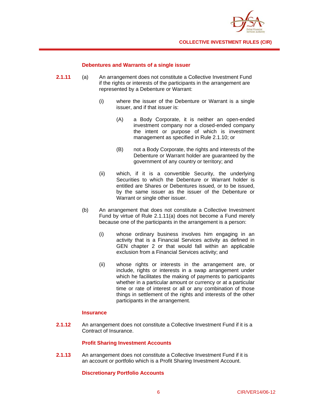

#### **Debentures and Warrants of a single issuer**

- **2.1.11** (a) An arrangement does not constitute a Collective Investment Fund if the rights or interests of the participants in the arrangement are represented by a Debenture or Warrant:
	- (i) where the issuer of the Debenture or Warrant is a single issuer, and if that issuer is:
		- (A) a Body Corporate, it is neither an open-ended investment company nor a closed-ended company the intent or purpose of which is investment management as specified in Rule 2.1.10; or
		- (B) not a Body Corporate, the rights and interests of the Debenture or Warrant holder are guaranteed by the government of any country or territory; and
	- (ii) which, if it is a convertible Security, the underlying Securities to which the Debenture or Warrant holder is entitled are Shares or Debentures issued, or to be issued, by the same issuer as the issuer of the Debenture or Warrant or single other issuer.
	- (b) An arrangement that does not constitute a Collective Investment Fund by virtue of Rule 2.1.11(a) does not become a Fund merely because one of the participants in the arrangement is a person:
		- (i) whose ordinary business involves him engaging in an activity that is a Financial Services activity as defined in GEN chapter 2 or that would fall within an applicable exclusion from a Financial Services activity; and
		- (ii) whose rights or interests in the arrangement are, or include, rights or interests in a swap arrangement under which he facilitates the making of payments to participants whether in a particular amount or currency or at a particular time or rate of interest or all or any combination of those things in settlement of the rights and interests of the other participants in the arrangement.

#### **Insurance**

**2.1.12** An arrangement does not constitute a Collective Investment Fund if it is a Contract of Insurance.

#### **Profit Sharing Investment Accounts**

**2.1.13** An arrangement does not constitute a Collective Investment Fund if it is an account or portfolio which is a Profit Sharing Investment Account.

#### **Discretionary Portfolio Accounts**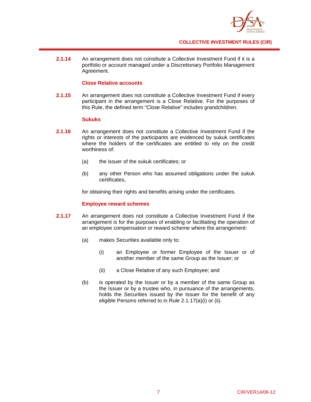

**2.1.14** An arrangement does not constitute a Collective Investment Fund if it is a portfolio or account managed under a Discretionary Portfolio Management Agreement.

#### **Close Relative accounts**

**2.1.15** An arrangement does not constitute a Collective Investment Fund if every participant in the arrangement is a Close Relative. For the purposes of this Rule, the defined term "Close Relative" includes grandchildren.

#### **Sukuks**

- **2.1.16** An arrangement does not constitute a Collective Investment Fund if the rights or interests of the participants are evidenced by sukuk certificates where the holders of the certificates are entitled to rely on the credit worthiness of:
	- (a) the issuer of the sukuk certificates; or
	- (b) any other Person who has assumed obligations under the sukuk certificates,

for obtaining their rights and benefits arising under the certificates.

#### **Employee reward schemes**

- **2.1.17** An arrangement does not constitute a Collective Investment Fund if the arrangement is for the purposes of enabling or facilitating the operation of an employee compensation or reward scheme where the arrangement:
	- (a) makes Securities available only to:
		- (i) an Employee or former Employee of the Issuer or of another member of the same Group as the Issuer; or
		- (ii) a Close Relative of any such Employee; and
	- (b) is operated by the Issuer or by a member of the same Group as the Issuer or by a trustee who, in pursuance of the arrangements, holds the Securities issued by the Issuer for the benefit of any eligible Persons referred to in Rule 2.1.17(a)(i) or (ii).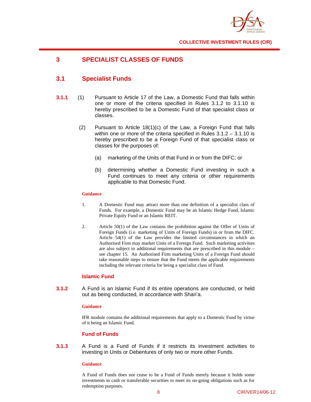

## **3 SPECIALIST CLASSES OF FUNDS**

## **3.1 Specialist Funds**

- **3.1.1** (1) Pursuant to Article 17 of the Law, a Domestic Fund that falls within one or more of the criteria specified in Rules 3.1.2 to 3.1.10 is hereby prescribed to be a Domestic Fund of that specialist class or classes.
	- (2) Pursuant to Article 18(1)(c) of the Law, a Foreign Fund that falls within one or more of the criteria specified in Rules 3.1.2 – 3.1.10 is hereby prescribed to be a Foreign Fund of that specialist class or classes for the purposes of:
		- (a) marketing of the Units of that Fund in or from the DIFC; or
		- (b) determining whether a Domestic Fund investing in such a Fund continues to meet any criteria or other requirements applicable to that Domestic Fund.

#### **Guidance**

- 1. A Domestic Fund may attract more than one definition of a specialist class of Funds. For example, a Domestic Fund may be an Islamic Hedge Fund, Islamic Private Equity Fund or an Islamic REIT.
- 2. Article 50(1) of the Law contains the prohibition against the Offer of Units of Foreign Funds (i.e. marketing of Units of Foreign Funds) in or from the DIFC. Article 54(1) of the Law provides the limited circumstances in which an Authorised Firm may market Units of a Foreign Fund. Such marketing activities are also subject to additional requirements that are prescribed in this module – see chapter 15. An Authorised Firm marketing Units of a Foreign Fund should take reasonable steps to ensure that the Fund meets the applicable requirements including the relevant criteria for being a specialist class of Fund.

#### **Islamic Fund**

**3.1.2** A Fund is an Islamic Fund if its entire operations are conducted, or held out as being conducted, in accordance with Shari'a.

#### **Guidance**

IFR module contains the additional requirements that apply to a Domestic Fund by virtue of it being an Islamic Fund.

#### **Fund of Funds**

**3.1.3** A Fund is a Fund of Funds if it restricts its investment activities to investing in Units or Debentures of only two or more other Funds.

#### **Guidance**

A Fund of Funds does not cease to be a Fund of Funds merely because it holds some investments in cash or transferable securities to meet its on-going obligations such as for redemption purposes.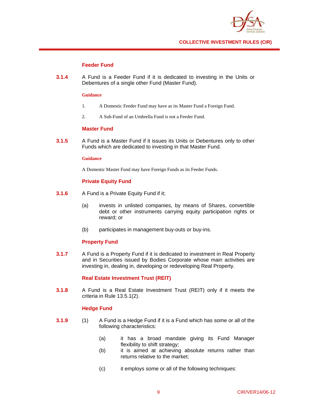

#### **Feeder Fund**

**3.1.4** A Fund is a Feeder Fund if it is dedicated to investing in the Units or Debentures of a single other Fund (Master Fund).

#### **Guidance**

- 1. A Domestic Feeder Fund may have as its Master Fund a Foreign Fund.
- 2. A Sub-Fund of an Umbrella Fund is not a Feeder Fund.

#### **Master Fund**

**3.1.5** A Fund is a Master Fund if it issues its Units or Debentures only to other Funds which are dedicated to investing in that Master Fund.

#### **Guidance**

A Domestic Master Fund may have Foreign Funds as its Feeder Funds.

#### **Private Equity Fund**

- **3.1.6** A Fund is a Private Equity Fund if it;
	- (a) invests in unlisted companies, by means of Shares, convertible debt or other instruments carrying equity participation rights or reward; or
	- (b) participates in management buy-outs or buy-ins.

#### **Property Fund**

**3.1.7** A Fund is a Property Fund if it is dedicated to investment in Real Property and in Securities issued by Bodies Corporate whose main activities are investing in, dealing in, developing or redeveloping Real Property.

#### **Real Estate Investment Trust (REIT)**

**3.1.8** A Fund is a Real Estate Investment Trust (REIT) only if it meets the criteria in Rule 13.5.1(2).

#### **Hedge Fund**

- **3.1.9** (1) A Fund is a Hedge Fund if it is a Fund which has some or all of the following characteristics:
	- (a) it has a broad mandate giving its Fund Manager flexibility to shift strategy;
	- (b) it is aimed at achieving absolute returns rather than returns relative to the market;
	- (c) it employs some or all of the following techniques: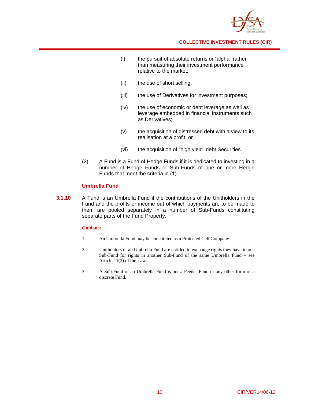

- (i) the pursuit of absolute returns or "alpha" rather than measuring their investment performance relative to the market;
- (ii) the use of short selling;
- (iii) the use of Derivatives for investment purposes;
- (iv) the use of economic or debt leverage as well as leverage embedded in financial instruments such as Derivatives;
- (v) the acquisition of distressed debt with a view to its realisation at a profit; or
- (vi) the acquisition of "high yield" debt Securities.
- (2) A Fund is a Fund of Hedge Funds if it is dedicated to investing in a number of Hedge Funds or Sub-Funds of one or more Hedge Funds that meet the criteria in (1).

#### **Umbrella Fund**

**3.1.10** A Fund is an Umbrella Fund if the contributions of the Unitholders in the Fund and the profits or income out of which payments are to be made to them are pooled separately in a number of Sub-Funds constituting separate parts of the Fund Property.

#### **Guidance**

- 1. An Umbrella Fund may be constituted as a Protected Cell Company.
- 2. Unitholders of an Umbrella Fund are entitled to exchange rights they have in one Sub-Fund for rights in another Sub-Fund of the same Umbrella Fund – see Article 11(2) of the Law.
- 3. A Sub-Fund of an Umbrella Fund is not a Feeder Fund or any other form of a discrete Fund.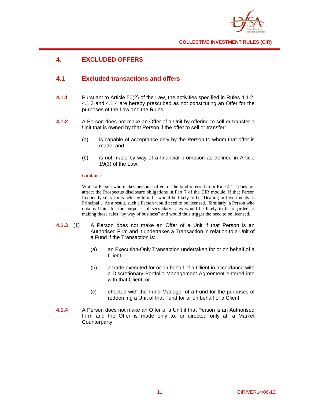

## **4. EXCLUDED OFFERS**

## **4.1 Excluded transactions and offers**

- **4.1.1** Pursuant to Article 50(2) of the Law, the activities specified in Rules 4.1.2, 4.1.3 and 4.1.4 are hereby prescribed as not constituting an Offer for the purposes of the Law and the Rules.
- **4.1.2** A Person does not make an Offer of a Unit by offering to sell or transfer a Unit that is owned by that Person if the offer to sell or transfer:
	- (a) is capable of acceptance only by the Person to whom that offer is made; and
	- (b) is not made by way of a financial promotion as defined in Article 19(3) of the Law.

#### **Guidance**

While a Person who makes personal offers of the kind referred to in Rule 4.1.2 does not attract the Prospectus disclosure obligations in Part 7 of the CIR module, if that Person frequently sells Units held by him, he would be likely to be 'Dealing in Investments as Principal'. As a result, such a Person would need to be licensed. Similarly, a Person who obtains Units for the purposes of secondary sales would be likely to be regarded as making those sales "by way of business" and would thus trigger the need to be licensed.

- **4.1.3** (1) A Person does not make an Offer of a Unit if that Person is an Authorised Firm and it undertakes a Transaction in relation to a Unit of a Fund if the Transaction is:
	- (a) an Execution-Only Transaction undertaken for or on behalf of a Client;
	- (b) a trade executed for or on behalf of a Client in accordance with a Discretionary Portfolio Management Agreement entered into with that Client; or
	- (c) effected with the Fund Manager of a Fund for the purposes of redeeming a Unit of that Fund for or on behalf of a Client.
- **4.1.4** A Person does not make an Offer of a Unit if that Person is an Authorised Firm and the Offer is made only to, or directed only at, a Market Counterparty.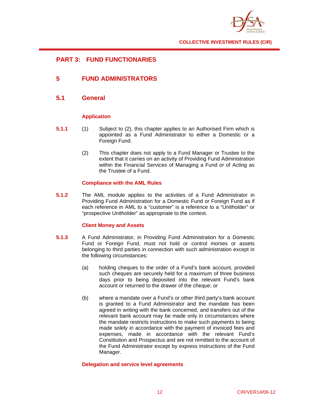

## **PART 3: FUND FUNCTIONARIES**

## **5 FUND ADMINISTRATORS**

## **5.1 General**

#### **Application**

- **5.1.1** (1) Subject to (2), this chapter applies to an Authorised Firm which is appointed as a Fund Administrator to either a Domestic or a Foreign Fund.
	- (2) This chapter does not apply to a Fund Manager or Trustee to the extent that it carries on an activity of Providing Fund Administration within the Financial Services of Managing a Fund or of Acting as the Trustee of a Fund.

#### **Compliance with the AML Rules**

**5.1.2** The AML module applies to the activities of a Fund Administrator in Providing Fund Administration for a Domestic Fund or Foreign Fund as if each reference in AML to a "customer" is a reference to a "Unitholder" or "prospective Unitholder" as appropriate to the context.

#### **Client Money and Assets**

- **5.1.3** A Fund Administrator, in Providing Fund Administration for a Domestic Fund or Foreign Fund, must not hold or control monies or assets belonging to third parties in connection with such administration except in the following circumstances:
	- (a) holding cheques to the order of a Fund's bank account, provided such cheques are securely held for a maximum of three business days prior to being deposited into the relevant Fund's bank account or returned to the drawer of the cheque; or
	- (b) where a mandate over a Fund's or other third party's bank account is granted to a Fund Administrator and the mandate has been agreed in writing with the bank concerned, and transfers out of the relevant bank account may be made only in circumstances where the mandate restricts instructions to make such payments to being made solely in accordance with the payment of invoiced fees and expenses, made in accordance with the relevant Fund's Constitution and Prospectus and are not remitted to the account of the Fund Administrator except by express instructions of the Fund Manager.

#### **Delegation and service level agreements**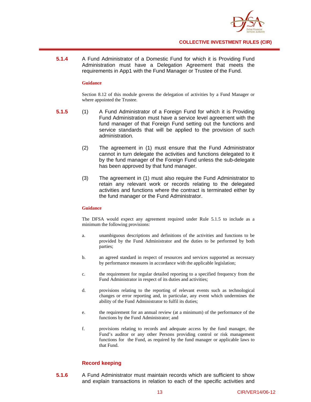

**5.1.4** A Fund Administrator of a Domestic Fund for which it is Providing Fund Administration must have a Delegation Agreement that meets the requirements in App1 with the Fund Manager or Trustee of the Fund.

#### **Guidance**

Section 8.12 of this module governs the delegation of activities by a Fund Manager or where appointed the Trustee.

- **5.1.5** (1) A Fund Administrator of a Foreign Fund for which it is Providing Fund Administration must have a service level agreement with the fund manager of that Foreign Fund setting out the functions and service standards that will be applied to the provision of such administration.
	- (2) The agreement in (1) must ensure that the Fund Administrator cannot in turn delegate the activities and functions delegated to it by the fund manager of the Foreign Fund unless the sub-delegate has been approved by that fund manager.
	- (3) The agreement in (1) must also require the Fund Administrator to retain any relevant work or records relating to the delegated activities and functions where the contract is terminated either by the fund manager or the Fund Administrator.

#### **Guidance**

The DFSA would expect any agreement required under Rule 5.1.5 to include as a minimum the following provisions:

- a. unambiguous descriptions and definitions of the activities and functions to be provided by the Fund Administrator and the duties to be performed by both parties;
- b. an agreed standard in respect of resources and services supported as necessary by performance measures in accordance with the applicable legislation;
- c. the requirement for regular detailed reporting to a specified frequency from the Fund Administrator in respect of its duties and activities;
- d. provisions relating to the reporting of relevant events such as technological changes or error reporting and, in particular, any event which undermines the ability of the Fund Administrator to fulfil its duties;
- e. the requirement for an annual review (at a minimum) of the performance of the functions by the Fund Administrator; and
- f. provisions relating to records and adequate access by the fund manager, the Fund's auditor or any other Persons providing control or risk management functions for the Fund, as required by the fund manager or applicable laws to that Fund.

#### **Record keeping**

**5.1.6** A Fund Administrator must maintain records which are sufficient to show and explain transactions in relation to each of the specific activities and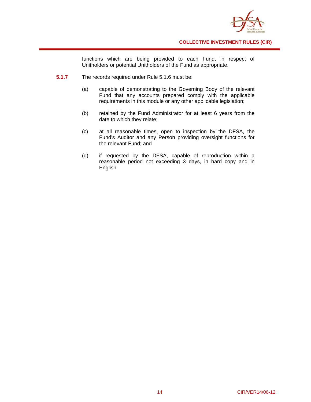

functions which are being provided to each Fund, in respect of Unitholders or potential Unitholders of the Fund as appropriate.

- **5.1.7** The records required under Rule 5.1.6 must be:
	- (a) capable of demonstrating to the Governing Body of the relevant Fund that any accounts prepared comply with the applicable requirements in this module or any other applicable legislation;
	- (b) retained by the Fund Administrator for at least 6 years from the date to which they relate;
	- (c) at all reasonable times, open to inspection by the DFSA, the Fund's Auditor and any Person providing oversight functions for the relevant Fund; and
	- (d) if requested by the DFSA, capable of reproduction within a reasonable period not exceeding 3 days, in hard copy and in English.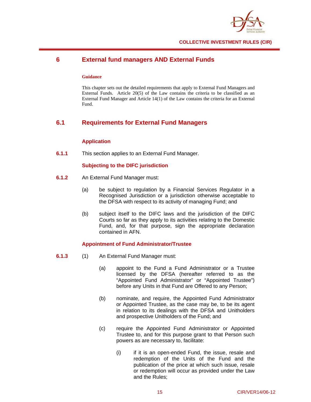

## **6 External fund managers AND External Funds**

#### **Guidance**

This chapter sets out the detailed requirements that apply to External Fund Managers and External Funds. Article 20(5) of the Law contains the criteria to be classified as an External Fund Manager and Article 14(1) of the Law contains the criteria for an External Fund.

## **6.1 Requirements for External Fund Managers**

#### **Application**

**6.1.1** This section applies to an External Fund Manager.

#### **Subjecting to the DIFC jurisdiction**

- **6.1.2** An External Fund Manager must:
	- (a) be subject to regulation by a Financial Services Regulator in a Recognised Jurisdiction or a jurisdiction otherwise acceptable to the DFSA with respect to its activity of managing Fund; and
	- (b) subject itself to the DIFC laws and the jurisdiction of the DIFC Courts so far as they apply to its activities relating to the Domestic Fund, and, for that purpose, sign the appropriate declaration contained in AFN.

#### **Appointment of Fund Administrator/Trustee**

- **6.1.3** (1) An External Fund Manager must:
	- (a) appoint to the Fund a Fund Administrator or a Trustee licensed by the DFSA (hereafter referred to as the "Appointed Fund Administrator" or "Appointed Trustee") before any Units in that Fund are Offered to any Person;
	- (b) nominate, and require, the Appointed Fund Administrator or Appointed Trustee, as the case may be, to be its agent in relation to its dealings with the DFSA and Unitholders and prospective Unitholders of the Fund; and
	- (c) require the Appointed Fund Administrator or Appointed Trustee to, and for this purpose grant to that Person such powers as are necessary to, facilitate:
		- (i) if it is an open-ended Fund, the issue, resale and redemption of the Units of the Fund and the publication of the price at which such issue, resale or redemption will occur as provided under the Law and the Rules;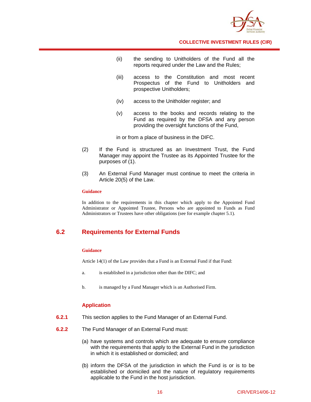

- (ii) the sending to Unitholders of the Fund all the reports required under the Law and the Rules;
- (iii) access to the Constitution and most recent Prospectus of the Fund to Unitholders and prospective Unitholders;
- (iv) access to the Unitholder register; and
- (v) access to the books and records relating to the Fund as required by the DFSA and any person providing the oversight functions of the Fund,

in or from a place of business in the DIFC.

- (2) If the Fund is structured as an Investment Trust, the Fund Manager may appoint the Trustee as its Appointed Trustee for the purposes of (1).
- (3) An External Fund Manager must continue to meet the criteria in Article 20(5) of the Law.

#### **Guidance**

In addition to the requirements in this chapter which apply to the Appointed Fund Administrator or Appointed Trustee, Persons who are appointed to Funds as Fund Administrators or Trustees have other obligations (see for example chapter 5.1).

## **6.2 Requirements for External Funds**

#### **Guidance**

Article 14(1) of the Law provides that a Fund is an External Fund if that Fund:

- a. is established in a jurisdiction other than the DIFC; and
- b. is managed by a Fund Manager which is an Authorised Firm.

#### **Application**

- **6.2.1** This section applies to the Fund Manager of an External Fund.
- **6.2.2** The Fund Manager of an External Fund must:
	- (a) have systems and controls which are adequate to ensure compliance with the requirements that apply to the External Fund in the jurisdiction in which it is established or domiciled; and
	- (b) inform the DFSA of the jurisdiction in which the Fund is or is to be established or domiciled and the nature of regulatory requirements applicable to the Fund in the host jurisdiction.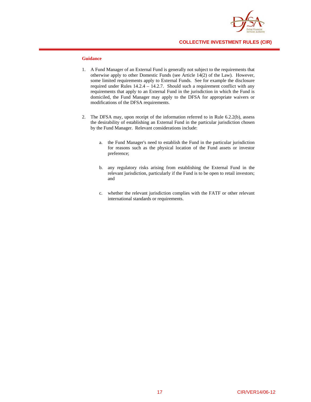

#### **Guidance**

- 1. A Fund Manager of an External Fund is generally not subject to the requirements that otherwise apply to other Domestic Funds (see Article 14(2) of the Law). However, some limited requirements apply to External Funds. See for example the disclosure required under Rules 14.2.4 – 14.2.7. Should such a requirement conflict with any requirements that apply to an External Fund in the jurisdiction in which the Fund is domiciled, the Fund Manager may apply to the DFSA for appropriate waivers or modifications of the DFSA requirements.
- 2. The DFSA may, upon receipt of the information referred to in Rule 6.2.2(b), assess the desirability of establishing an External Fund in the particular jurisdiction chosen by the Fund Manager. Relevant considerations include:
	- a. the Fund Manager's need to establish the Fund in the particular jurisdiction for reasons such as the physical location of the Fund assets or investor preference;
	- b. any regulatory risks arising from establishing the External Fund in the relevant jurisdiction, particularly if the Fund is to be open to retail investors; and
	- c. whether the relevant jurisdiction complies with the FATF or other relevant international standards or requirements.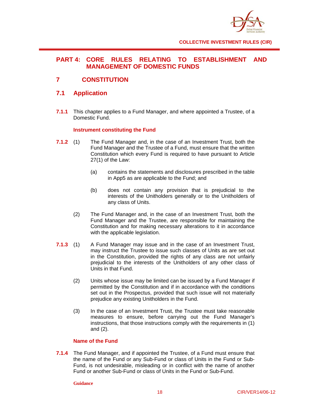

## **PART 4: CORE RULES RELATING TO ESTABLISHMENT AND MANAGEMENT OF DOMESTIC FUNDS**

## **7 CONSTITUTION**

## **7.1 Application**

**7.1.1** This chapter applies to a Fund Manager, and where appointed a Trustee, of a Domestic Fund.

### **Instrument constituting the Fund**

- **7.1.2** (1) The Fund Manager and, in the case of an Investment Trust, both the Fund Manager and the Trustee of a Fund, must ensure that the written Constitution which every Fund is required to have pursuant to Article 27(1) of the Law:
	- (a) contains the statements and disclosures prescribed in the table in App5 as are applicable to the Fund; and
	- (b) does not contain any provision that is prejudicial to the interests of the Unitholders generally or to the Unitholders of any class of Units.
	- (2) The Fund Manager and, in the case of an Investment Trust, both the Fund Manager and the Trustee, are responsible for maintaining the Constitution and for making necessary alterations to it in accordance with the applicable legislation.
- **7.1.3** (1) A Fund Manager may issue and in the case of an Investment Trust, may instruct the Trustee to issue such classes of Units as are set out in the Constitution, provided the rights of any class are not unfairly prejudicial to the interests of the Unitholders of any other class of Units in that Fund.
	- (2) Units whose issue may be limited can be issued by a Fund Manager if permitted by the Constitution and if in accordance with the conditions set out in the Prospectus, provided that such issue will not materially prejudice any existing Unitholders in the Fund.
	- (3) In the case of an Investment Trust, the Trustee must take reasonable measures to ensure, before carrying out the Fund Manager's instructions, that those instructions comply with the requirements in (1) and (2).

#### **Name of the Fund**

**7.1.4** The Fund Manager, and if appointed the Trustee, of a Fund must ensure that the name of the Fund or any Sub-Fund or class of Units in the Fund or Sub-Fund, is not undesirable, misleading or in conflict with the name of another Fund or another Sub-Fund or class of Units in the Fund or Sub-Fund.

#### **Guidance**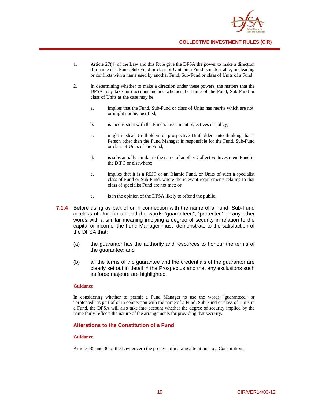

- 1. Article 27(4) of the Law and this Rule give the DFSA the power to make a direction if a name of a Fund, Sub-Fund or class of Units in a Fund is undesirable, misleading or conflicts with a name used by another Fund, Sub-Fund or class of Units of a Fund.
- 2. In determining whether to make a direction under these powers, the matters that the DFSA may take into account include whether the name of the Fund, Sub-Fund or class of Units as the case may be:
	- a. implies that the Fund, Sub-Fund or class of Units has merits which are not, or might not be, justified;
	- b. is inconsistent with the Fund's investment objectives or policy;
	- c. might mislead Unitholders or prospective Unitholders into thinking that a Person other than the Fund Manager is responsible for the Fund, Sub-Fund or class of Units of the Fund;
	- d. is substantially similar to the name of another Collective Investment Fund in the DIFC or elsewhere;
	- e. implies that it is a REIT or an Islamic Fund, or Units of such a specialist class of Fund or Sub-Fund, where the relevant requirements relating to that class of specialist Fund are not met; or
	- e. is in the opinion of the DFSA likely to offend the public.
- **7.1.4** Before using as part of or in connection with the name of a Fund, Sub-Fund or class of Units in a Fund the words "guaranteed", "protected" or any other words with a similar meaning implying a degree of security in relation to the capital or income, the Fund Manager must demonstrate to the satisfaction of the DFSA that:
	- (a) the guarantor has the authority and resources to honour the terms of the guarantee; and
	- (b) all the terms of the guarantee and the credentials of the guarantor are clearly set out in detail in the Prospectus and that any exclusions such as force majeure are highlighted.

In considering whether to permit a Fund Manager to use the words "guaranteed" or "protected" as part of or in connection with the name of a Fund, Sub-Fund or class of Units in a Fund, the DFSA will also take into account whether the degree of security implied by the name fairly reflects the nature of the arrangements for providing that security.

#### **Alterations to the Constitution of a Fund**

#### **Guidance**

Articles 35 and 36 of the Law govern the process of making alterations to a Constitution.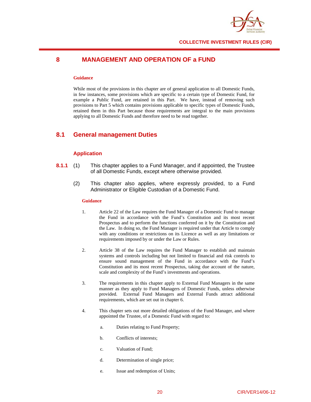

## **8 MANAGEMENT AND OPERATION OF a FUND**

#### **Guidance**

While most of the provisions in this chapter are of general application to all Domestic Funds, in few instances, some provisions which are specific to a certain type of Domestic Fund, for example a Public Fund, are retained in this Part. We have, instead of removing such provisions to Part 5 which contains provisions applicable to specific types of Domestic Funds, retained them in this Part because those requirements are integral to the main provisions applying to all Domestic Funds and therefore need to be read together.

## **8.1 General management Duties**

#### **Application**

- **8.1.1** (1) This chapter applies to a Fund Manager, and if appointed, the Trustee of all Domestic Funds, except where otherwise provided.
	- (2) This chapter also applies, where expressly provided, to a Fund Administrator or Eligible Custodian of a Domestic Fund.

#### **Guidance**

- 1. Article 22 of the Law requires the Fund Manager of a Domestic Fund to manage the Fund in accordance with the Fund's Constitution and its most recent Prospectus and to perform the functions conferred on it by the Constitution and the Law. In doing so, the Fund Manager is required under that Article to comply with any conditions or restrictions on its Licence as well as any limitations or requirements imposed by or under the Law or Rules.
- 2. Article 38 of the Law requires the Fund Manager to establish and maintain systems and controls including but not limited to financial and risk controls to ensure sound management of the Fund in accordance with the Fund's Constitution and its most recent Prospectus, taking due account of the nature, scale and complexity of the Fund's investments and operations.
- 3. The requirements in this chapter apply to External Fund Managers in the same manner as they apply to Fund Managers of Domestic Funds, unless otherwise provided. External Fund Managers and External Funds attract additional requirements, which are set out in chapter 6.
- 4. This chapter sets out more detailed obligations of the Fund Manager, and where appointed the Trustee, of a Domestic Fund with regard to:
	- a. Duties relating to Fund Property;
	- b. Conflicts of interests;
	- c. Valuation of Fund;
	- d. Determination of single price;
	- e. Issue and redemption of Units;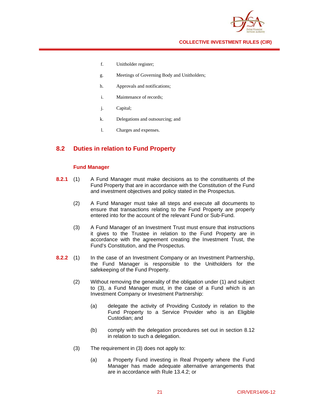

- f. Unitholder register;
- g. Meetings of Governing Body and Unitholders;
- h. Approvals and notifications;
- i. Maintenance of records;
- j. Capital;
- k. Delegations and outsourcing; and
- l. Charges and expenses.

## **8.2 Duties in relation to Fund Property**

#### **Fund Manager**

- **8.2.1** (1) A Fund Manager must make decisions as to the constituents of the Fund Property that are in accordance with the Constitution of the Fund and investment objectives and policy stated in the Prospectus.
	- (2) A Fund Manager must take all steps and execute all documents to ensure that transactions relating to the Fund Property are properly entered into for the account of the relevant Fund or Sub-Fund.
	- (3) A Fund Manager of an Investment Trust must ensure that instructions it gives to the Trustee in relation to the Fund Property are in accordance with the agreement creating the Investment Trust, the Fund's Constitution, and the Prospectus.
- **8.2.2** (1) In the case of an Investment Company or an Investment Partnership, the Fund Manager is responsible to the Unitholders for the safekeeping of the Fund Property.
	- (2) Without removing the generality of the obligation under (1) and subject to (3), a Fund Manager must, in the case of a Fund which is an Investment Company or Investment Partnership:
		- (a) delegate the activity of Providing Custody in relation to the Fund Property to a Service Provider who is an Eligible Custodian; and
		- (b) comply with the delegation procedures set out in section 8.12 in relation to such a delegation.
	- (3) The requirement in (3) does not apply to:
		- (a) a Property Fund investing in Real Property where the Fund Manager has made adequate alternative arrangements that are in accordance with Rule 13.4.2; or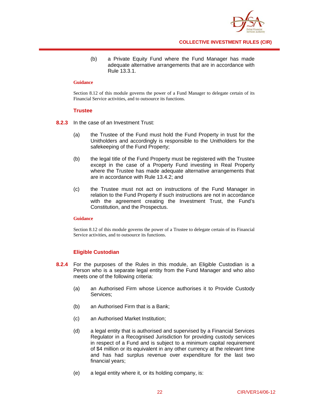

(b) a Private Equity Fund where the Fund Manager has made adequate alternative arrangements that are in accordance with Rule 13.3.1.

#### **Guidance**

Section 8.12 of this module governs the power of a Fund Manager to delegate certain of its Financial Service activities, and to outsource its functions.

#### **Trustee**

- **8.2.3** In the case of an Investment Trust:
	- (a) the Trustee of the Fund must hold the Fund Property in trust for the Unitholders and accordingly is responsible to the Unitholders for the safekeeping of the Fund Property;
	- (b) the legal title of the Fund Property must be registered with the Trustee except in the case of a Property Fund investing in Real Property where the Trustee has made adequate alternative arrangements that are in accordance with Rule 13.4.2; and
	- (c) the Trustee must not act on instructions of the Fund Manager in relation to the Fund Property if such instructions are not in accordance with the agreement creating the Investment Trust, the Fund's Constitution, and the Prospectus.

#### **Guidance**

Section 8.12 of this module governs the power of a Trustee to delegate certain of its Financial Service activities, and to outsource its functions.

#### **Eligible Custodian**

- **8.2.4** For the purposes of the Rules in this module, an Eligible Custodian is a Person who is a separate legal entity from the Fund Manager and who also meets one of the following criteria:
	- (a) an Authorised Firm whose Licence authorises it to Provide Custody Services;
	- (b) an Authorised Firm that is a Bank;
	- (c) an Authorised Market Institution;
	- (d) a legal entity that is authorised and supervised by a Financial Services Regulator in a Recognised Jurisdiction for providing custody services in respect of a Fund and is subject to a minimum capital requirement of \$4 million or its equivalent in any other currency at the relevant time and has had surplus revenue over expenditure for the last two financial years;
	- (e) a legal entity where it, or its holding company, is: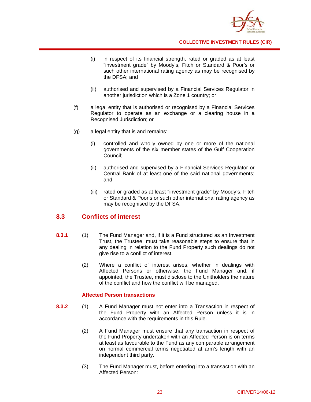

- (i) in respect of its financial strength, rated or graded as at least "investment grade" by Moody's, Fitch or Standard & Poor's or such other international rating agency as may be recognised by the DFSA; and
- (ii) authorised and supervised by a Financial Services Regulator in another jurisdiction which is a Zone 1 country; or
- (f) a legal entity that is authorised or recognised by a Financial Services Regulator to operate as an exchange or a clearing house in a Recognised Jurisdiction; or
- (g) a legal entity that is and remains:
	- (i) controlled and wholly owned by one or more of the national governments of the six member states of the Gulf Cooperation Council;
	- (ii) authorised and supervised by a Financial Services Regulator or Central Bank of at least one of the said national governments; and
	- (iii) rated or graded as at least "investment grade" by Moody's, Fitch or Standard & Poor's or such other international rating agency as may be recognised by the DFSA.

## **8.3 Conflicts of interest**

- **8.3.1** (1) The Fund Manager and, if it is a Fund structured as an Investment Trust, the Trustee, must take reasonable steps to ensure that in any dealing in relation to the Fund Property such dealings do not give rise to a conflict of interest.
	- (2) Where a conflict of interest arises, whether in dealings with Affected Persons or otherwise, the Fund Manager and, if appointed, the Trustee, must disclose to the Unitholders the nature of the conflict and how the conflict will be managed.

#### **Affected Person transactions**

- **8.3.2** (1) A Fund Manager must not enter into a Transaction in respect of the Fund Property with an Affected Person unless it is in accordance with the requirements in this Rule.
	- (2) A Fund Manager must ensure that any transaction in respect of the Fund Property undertaken with an Affected Person is on terms at least as favourable to the Fund as any comparable arrangement on normal commercial terms negotiated at arm's length with an independent third party.
	- (3) The Fund Manager must, before entering into a transaction with an Affected Person: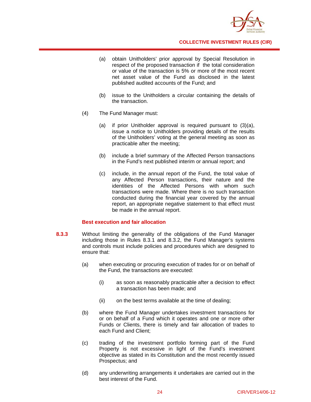

- (a) obtain Unitholders' prior approval by Special Resolution in respect of the proposed transaction if the total consideration or value of the transaction is 5% or more of the most recent net asset value of the Fund as disclosed in the latest published audited accounts of the Fund; and
- (b) issue to the Unitholders a circular containing the details of the transaction.
- (4) The Fund Manager must:
	- (a) if prior Unitholder approval is required pursuant to (3)(a), issue a notice to Unitholders providing details of the results of the Unitholders' voting at the general meeting as soon as practicable after the meeting;
	- (b) include a brief summary of the Affected Person transactions in the Fund's next published interim or annual report; and
	- (c) include, in the annual report of the Fund, the total value of any Affected Person transactions, their nature and the identities of the Affected Persons with whom such transactions were made. Where there is no such transaction conducted during the financial year covered by the annual report, an appropriate negative statement to that effect must be made in the annual report.

#### **Best execution and fair allocation**

- **8.3.3** Without limiting the generality of the obligations of the Fund Manager including those in Rules 8.3.1 and 8.3.2, the Fund Manager's systems and controls must include policies and procedures which are designed to ensure that:
	- (a) when executing or procuring execution of trades for or on behalf of the Fund, the transactions are executed:
		- (i) as soon as reasonably practicable after a decision to effect a transaction has been made; and
		- (ii) on the best terms available at the time of dealing;
	- (b) where the Fund Manager undertakes investment transactions for or on behalf of a Fund which it operates and one or more other Funds or Clients, there is timely and fair allocation of trades to each Fund and Client;
	- (c) trading of the investment portfolio forming part of the Fund Property is not excessive in light of the Fund's investment objective as stated in its Constitution and the most recently issued Prospectus; and
	- (d) any underwriting arrangements it undertakes are carried out in the best interest of the Fund.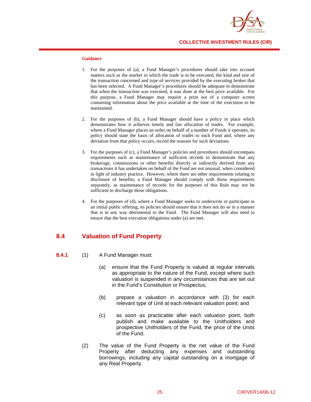

#### **Guidance**

- 1. For the purposes of (a), a Fund Manager's procedures should take into account matters such as the market in which the trade is to be executed, the kind and size of the transaction concerned and type of services provided by the executing broker that has been selected. A Fund Manager's procedures should be adequate to demonstrate that when the transaction was executed, it was done at the best price available. For this purpose, a Fund Manager may require a print out of a computer screen containing information about the price available at the time of the execution to be maintained.
- 2. For the purposes of (b), a Fund Manager should have a policy in place which demonstrates how it achieves timely and fair allocation of trades. For example, where a Fund Manager places an order on behalf of a number of Funds it operates, its policy should state the basis of allocation of trades to each Fund and, where any deviation from that policy occurs, record the reasons for such deviations.
- 3. For the purposes of (c), a Fund Manager's policies and procedures should encompass requirements such as maintenance of sufficient records to demonstrate that any brokerage, commissions or other benefits directly or indirectly derived from any transactions it has undertaken on behalf of the Fund are not unusual, when considered in light of industry practice. However, where there are other requirements relating to disclosure of benefits, a Fund Manager should comply with those requirements separately, as maintenance of records for the purposes of this Rule may not be sufficient to discharge those obligations.
- 4. For the purposes of (d), where a Fund Manager seeks to underwrite or participate in an initial public offering, its policies should ensure that it does not do so in a manner that is in any way detrimental to the Fund. The Fund Manager will also need to ensure that the best execution obligations under (a) are met.

## **8.4 Valuation of Fund Property**

- **8.4.1** (1) A Fund Manager must:
	- (a) ensure that the Fund Property is valued at regular intervals as appropriate to the nature of the Fund, except where such valuation is suspended in any circumstances that are set out in the Fund's Constitution or Prospectus;
	- (b) prepare a valuation in accordance with (3) for each relevant type of Unit at each relevant valuation point; and
	- (c) as soon as practicable after each valuation point, both publish and make available to the Unitholders and prospective Unitholders of the Fund, the price of the Units of the Fund.
	- (2) The value of the Fund Property is the net value of the Fund Property after deducting any expenses and outstanding borrowings, including any capital outstanding on a mortgage of any Real Property.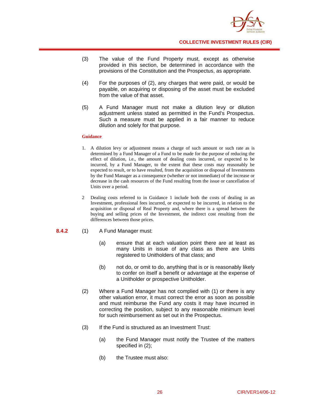

- (3) The value of the Fund Property must, except as otherwise provided in this section, be determined in accordance with the provisions of the Constitution and the Prospectus, as appropriate.
- (4) For the purposes of (2), any charges that were paid, or would be payable, on acquiring or disposing of the asset must be excluded from the value of that asset.
- (5) A Fund Manager must not make a dilution levy or dilution adjustment unless stated as permitted in the Fund's Prospectus. Such a measure must be applied in a fair manner to reduce dilution and solely for that purpose.

- 1. A dilution levy or adjustment means a charge of such amount or such rate as is determined by a Fund Manager of a Fund to be made for the purpose of reducing the effect of dilution, i.e., the amount of dealing costs incurred, or expected to be incurred, by a Fund Manager, to the extent that these costs may reasonably be expected to result, or to have resulted, from the acquisition or disposal of Investments by the Fund Manager as a consequence (whether or not immediate) of the increase or decrease in the cash resources of the Fund resulting from the issue or cancellation of Units over a period.
- 2 Dealing costs referred to in Guidance 1 include both the costs of dealing in an Investment, professional fees incurred, or expected to be incurred, in relation to the acquisition or disposal of Real Property and, where there is a spread between the buying and selling prices of the Investment, the indirect cost resulting from the differences between those prices.

#### **8.4.2** (1) A Fund Manager must:

- (a) ensure that at each valuation point there are at least as many Units in issue of any class as there are Units registered to Unitholders of that class; and
- (b) not do, or omit to do, anything that is or is reasonably likely to confer on itself a benefit or advantage at the expense of a Unitholder or prospective Unitholder.
- (2) Where a Fund Manager has not complied with (1) or there is any other valuation error, it must correct the error as soon as possible and must reimburse the Fund any costs it may have incurred in correcting the position, subject to any reasonable minimum level for such reimbursement as set out in the Prospectus.
- (3) If the Fund is structured as an Investment Trust:
	- (a) the Fund Manager must notify the Trustee of the matters specified in (2);
	- (b) the Trustee must also: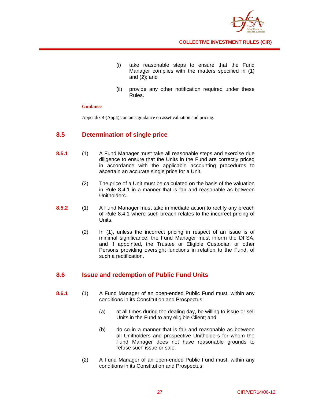

- (i) take reasonable steps to ensure that the Fund Manager complies with the matters specified in (1) and (2); and
- (ii) provide any other notification required under these Rules.

Appendix 4 (App4) contains guidance on asset valuation and pricing.

## **8.5 Determination of single price**

- **8.5.1** (1) A Fund Manager must take all reasonable steps and exercise due diligence to ensure that the Units in the Fund are correctly priced in accordance with the applicable accounting procedures to ascertain an accurate single price for a Unit.
	- (2) The price of a Unit must be calculated on the basis of the valuation in Rule 8.4.1 in a manner that is fair and reasonable as between Unitholders.
- **8.5.2** (1) A Fund Manager must take immediate action to rectify any breach of Rule 8.4.1 where such breach relates to the incorrect pricing of Units.
	- (2) In (1), unless the incorrect pricing in respect of an issue is of minimal significance, the Fund Manager must inform the DFSA, and if appointed, the Trustee or Eligible Custodian or other Persons providing oversight functions in relation to the Fund, of such a rectification.

## **8.6 Issue and redemption of Public Fund Units**

- **8.6.1** (1) A Fund Manager of an open-ended Public Fund must, within any conditions in its Constitution and Prospectus:
	- (a) at all times during the dealing day, be willing to issue or sell Units in the Fund to any eligible Client; and
	- (b) do so in a manner that is fair and reasonable as between all Unitholders and prospective Unitholders for whom the Fund Manager does not have reasonable grounds to refuse such issue or sale.
	- (2) A Fund Manager of an open-ended Public Fund must, within any conditions in its Constitution and Prospectus: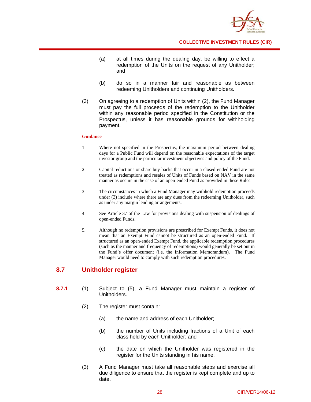

- (a) at all times during the dealing day, be willing to effect a redemption of the Units on the request of any Unitholder; and
- (b) do so in a manner fair and reasonable as between redeeming Unitholders and continuing Unitholders.
- (3) On agreeing to a redemption of Units within (2), the Fund Manager must pay the full proceeds of the redemption to the Unitholder within any reasonable period specified in the Constitution or the Prospectus, unless it has reasonable grounds for withholding payment.

- 1. Where not specified in the Prospectus, the maximum period between dealing days for a Public Fund will depend on the reasonable expectations of the target investor group and the particular investment objectives and policy of the Fund.
- 2. Capital reductions or share buy-backs that occur in a closed-ended Fund are not treated as redemptions and resales of Units of Funds based on NAV in the same manner as occurs in the case of an open-ended Fund as provided in these Rules.
- 3. The circumstances in which a Fund Manager may withhold redemption proceeds under (3) include where there are any dues from the redeeming Unitholder, such as under any margin lending arrangements.
- 4. See Article 37 of the Law for provisions dealing with suspension of dealings of open-ended Funds.
- 5. Although no redemption provisions are prescribed for Exempt Funds, it does not mean that an Exempt Fund cannot be structured as an open-ended Fund. If structured as an open-ended Exempt Fund, the applicable redemption procedures (such as the manner and frequency of redemptions) would generally be set out in the Fund's offer document (i.e. the Information Memorandum). The Fund Manager would need to comply with such redemption procedures.

## **8.7 Unitholder register**

- **8.7.1** (1) Subject to (5), a Fund Manager must maintain a register of Unitholders.
	- (2) The register must contain:
		- (a) the name and address of each Unitholder;
		- (b) the number of Units including fractions of a Unit of each class held by each Unitholder; and
		- (c) the date on which the Unitholder was registered in the register for the Units standing in his name.
	- (3) A Fund Manager must take all reasonable steps and exercise all due diligence to ensure that the register is kept complete and up to date.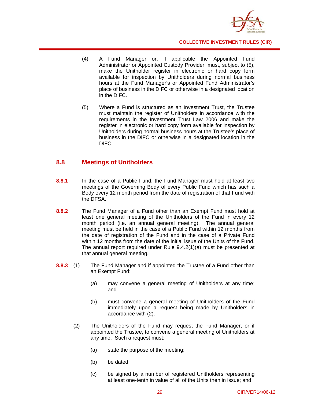

- (4) A Fund Manager or, if applicable the Appointed Fund Administrator or Appointed Custody Provider, must, subject to (5), make the Unitholder register in electronic or hard copy form available for inspection by Unitholders during normal business hours at the Fund Manager's or Appointed Fund Administrator's place of business in the DIFC or otherwise in a designated location in the DIFC.
- (5) Where a Fund is structured as an Investment Trust, the Trustee must maintain the register of Unitholders in accordance with the requirements in the Investment Trust Law 2006 and make the register in electronic or hard copy form available for inspection by Unitholders during normal business hours at the Trustee's place of business in the DIFC or otherwise in a designated location in the DIFC.

### **8.8 Meetings of Unitholders**

- **8.8.1** In the case of a Public Fund, the Fund Manager must hold at least two meetings of the Governing Body of every Public Fund which has such a Body every 12 month period from the date of registration of that Fund with the DFSA.
- **8.8.2** The Fund Manager of a Fund other than an Exempt Fund must hold at least one general meeting of the Unitholders of the Fund in every 12 month period (i.e. an annual general meeting). The annual general meeting must be held in the case of a Public Fund within 12 months from the date of registration of the Fund and in the case of a Private Fund within 12 months from the date of the initial issue of the Units of the Fund. The annual report required under Rule 9.4.2(1)(a) must be presented at that annual general meeting.
- **8.8.3** (1) The Fund Manager and if appointed the Trustee of a Fund other than an Exempt Fund:
	- (a) may convene a general meeting of Unitholders at any time; and
	- (b) must convene a general meeting of Unitholders of the Fund immediately upon a request being made by Unitholders in accordance with (2).
	- (2) The Unitholders of the Fund may request the Fund Manager, or if appointed the Trustee, to convene a general meeting of Unitholders at any time. Such a request must:
		- (a) state the purpose of the meeting;
		- (b) be dated;
		- (c) be signed by a number of registered Unitholders representing at least one-tenth in value of all of the Units then in issue; and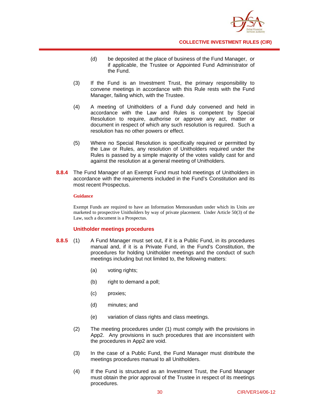

- (d) be deposited at the place of business of the Fund Manager, or if applicable, the Trustee or Appointed Fund Administrator of the Fund.
- (3) If the Fund is an Investment Trust, the primary responsibility to convene meetings in accordance with this Rule rests with the Fund Manager, failing which, with the Trustee.
- (4) A meeting of Unitholders of a Fund duly convened and held in accordance with the Law and Rules is competent by Special Resolution to require, authorise or approve any act, matter or document in respect of which any such resolution is required. Such a resolution has no other powers or effect.
- (5) Where no Special Resolution is specifically required or permitted by the Law or Rules, any resolution of Unitholders required under the Rules is passed by a simple majority of the votes validly cast for and against the resolution at a general meeting of Unitholders.
- **8.8.4** The Fund Manager of an Exempt Fund must hold meetings of Unitholders in accordance with the requirements included in the Fund's Constitution and its most recent Prospectus.

Exempt Funds are required to have an Information Memorandum under which its Units are marketed to prospective Unitholders by way of private placement. Under Article 50(3) of the Law, such a document is a Prospectus.

#### **Unitholder meetings procedures**

- **8.8.5** (1) A Fund Manager must set out, if it is a Public Fund, in its procedures manual and, if it is a Private Fund, in the Fund's Constitution, the procedures for holding Unitholder meetings and the conduct of such meetings including but not limited to, the following matters:
	- (a) voting rights;
	- (b) right to demand a poll;
	- (c) proxies;
	- (d) minutes; and
	- (e) variation of class rights and class meetings.
	- (2) The meeting procedures under (1) must comply with the provisions in App2. Any provisions in such procedures that are inconsistent with the procedures in App2 are void.
	- (3) In the case of a Public Fund, the Fund Manager must distribute the meetings procedures manual to all Unitholders.
	- (4) If the Fund is structured as an Investment Trust, the Fund Manager must obtain the prior approval of the Trustee in respect of its meetings procedures.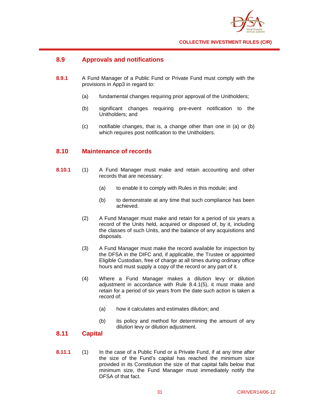

## **8.9 Approvals and notifications**

- **8.9.1** A Fund Manager of a Public Fund or Private Fund must comply with the provisions in App3 in regard to:
	- (a) fundamental changes requiring prior approval of the Unitholders;
	- (b) significant changes requiring pre-event notification to the Unitholders; and
	- (c) notifiable changes, that is, a change other than one in (a) or (b) which requires post notification to the Unitholders.

## **8.10 Maintenance of records**

- **8.10.1** (1) A Fund Manager must make and retain accounting and other records that are necessary:
	- (a) to enable it to comply with Rules in this module; and
	- (b) to demonstrate at any time that such compliance has been achieved.
	- (2) A Fund Manager must make and retain for a period of six years a record of the Units held, acquired or disposed of, by it, including the classes of such Units, and the balance of any acquisitions and disposals.
	- (3) A Fund Manager must make the record available for inspection by the DFSA in the DIFC and, if applicable, the Trustee or appointed Eligible Custodian, free of charge at all times during ordinary office hours and must supply a copy of the record or any part of it.
	- (4) Where a Fund Manager makes a dilution levy or dilution adjustment in accordance with Rule 8.4.1(5), it must make and retain for a period of six years from the date such action is taken a record of:
		- (a) how it calculates and estimates dilution; and
		- (b) its policy and method for determining the amount of any dilution levy or dilution adjustment.

## **8.11 Capital**

**8.11.1** (1) In the case of a Public Fund or a Private Fund, if at any time after the size of the Fund's capital has reached the minimum size provided in its Constitution the size of that capital falls below that minimum size, the Fund Manager must immediately notify the DFSA of that fact.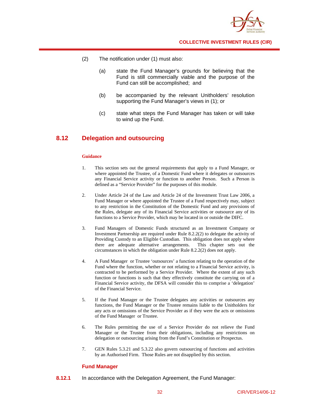

- (2) The notification under (1) must also:
	- (a) state the Fund Manager's grounds for believing that the Fund is still commercially viable and the purpose of the Fund can still be accomplished; and
	- (b) be accompanied by the relevant Unitholders' resolution supporting the Fund Manager's views in (1); or
	- (c) state what steps the Fund Manager has taken or will take to wind up the Fund.

## **8.12 Delegation and outsourcing**

### **Guidance**

- 1. This section sets out the general requirements that apply to a Fund Manager, or where appointed the Trustee, of a Domestic Fund where it delegates or outsources any Financial Service activity or function to another Person. Such a Person is defined as a "Service Provider" for the purposes of this module.
- 2. Under Article 24 of the Law and Article 24 of the Investment Trust Law 2006, a Fund Manager or where appointed the Trustee of a Fund respectively may, subject to any restriction in the Constitution of the Domestic Fund and any provisions of the Rules, delegate any of its Financial Service activities or outsource any of its functions to a Service Provider, which may be located in or outside the DIFC.
- 3. Fund Managers of Domestic Funds structured as an Investment Company or Investment Partnership are required under Rule 8.2.2(2) to delegate the activity of Providing Custody to an Eligible Custodian. This obligation does not apply where there are adequate alternative arrangements. This chapter sets out the circumstances in which the obligation under Rule 8.2.2(2) does not apply.
- 4. A Fund Manager or Trustee 'outsources' a function relating to the operation of the Fund where the function, whether or not relating to a Financial Service activity, is contracted to be performed by a Service Provider. Where the extent of any such function or functions is such that they effectively constitute the carrying on of a Financial Service activity, the DFSA will consider this to comprise a 'delegation' of the Financial Service.
- 5. If the Fund Manager or the Trustee delegates any activities or outsources any functions, the Fund Manager or the Trustee remains liable to the Unitholders for any acts or omissions of the Service Provider as if they were the acts or omissions of the Fund Manager or Trustee.
- 6. The Rules permitting the use of a Service Provider do not relieve the Fund Manager or the Trustee from their obligations, including any restrictions on delegation or outsourcing arising from the Fund's Constitution or Prospectus.
- 7. GEN Rules 5.3.21 and 5.3.22 also govern outsourcing of functions and activities by an Authorised Firm. Those Rules are not disapplied by this section.

## **Fund Manager**

**8.12.1** In accordance with the Delegation Agreement, the Fund Manager: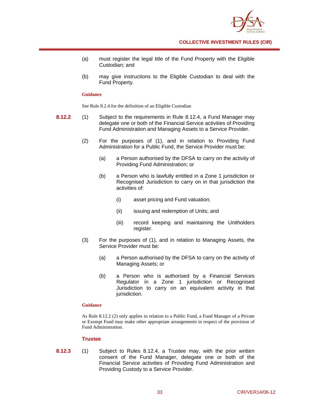

- (a) must register the legal title of the Fund Property with the Eligible Custodian; and
- (b) may give instructions to the Eligible Custodian to deal with the Fund Property.

#### **Guidance**

See Rule 8.2.4 for the definition of an Eligible Custodian

- **8.12.2** (1) Subject to the requirements in Rule 8.12.4, a Fund Manager may delegate one or both of the Financial Service activities of Providing Fund Administration and Managing Assets to a Service Provider.
	- (2) For the purposes of (1), and in relation to Providing Fund Administration for a Public Fund, the Service Provider must be:
		- (a) a Person authorised by the DFSA to carry on the activity of Providing Fund Administration; or
		- (b) a Person who is lawfully entitled in a Zone 1 jurisdiction or Recognised Jurisdiction to carry on in that jurisdiction the activities of:
			- (i) asset pricing and Fund valuation;
			- (ii) issuing and redemption of Units; and
			- (iii) record keeping and maintaining the Unitholders register.
	- (3) For the purposes of (1), and in relation to Managing Assets, the Service Provider must be:
		- (a) a Person authorised by the DFSA to carry on the activity of Managing Assets; or
		- (b) a Person who is authorised by a Financial Services Regulator in a Zone 1 jurisdiction or Recognised Jurisdiction to carry on an equivalent activity in that jurisdiction.

#### **Guidance**

As Rule 8.12.2 (2) only applies in relation to a Public Fund, a Fund Manager of a Private or Exempt Fund may make other appropriate arrangements in respect of the provision of Fund Administration.

## **Trustee**

**8.12.3** (1) Subject to Rules 8.12.4, a Trustee may, with the prior written consent of the Fund Manager, delegate one or both of the Financial Service activities of Providing Fund Administration and Providing Custody to a Service Provider.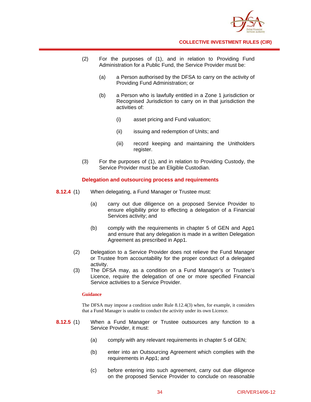

- (2) For the purposes of (1), and in relation to Providing Fund Administration for a Public Fund, the Service Provider must be:
	- (a) a Person authorised by the DFSA to carry on the activity of Providing Fund Administration; or
	- (b) a Person who is lawfully entitled in a Zone 1 jurisdiction or Recognised Jurisdiction to carry on in that jurisdiction the activities of:
		- (i) asset pricing and Fund valuation;
		- (ii) issuing and redemption of Units; and
		- (iii) record keeping and maintaining the Unitholders register.
- (3) For the purposes of (1), and in relation to Providing Custody, the Service Provider must be an Eligible Custodian.

## **Delegation and outsourcing process and requirements**

- **8.12.4** (1) When delegating, a Fund Manager or Trustee must:
	- (a) carry out due diligence on a proposed Service Provider to ensure eligibility prior to effecting a delegation of a Financial Services activity; and
	- (b) comply with the requirements in chapter 5 of GEN and App1 and ensure that any delegation is made in a written Delegation Agreement as prescribed in App1.
	- (2) Delegation to a Service Provider does not relieve the Fund Manager or Trustee from accountability for the proper conduct of a delegated activity.
	- (3) The DFSA may, as a condition on a Fund Manager's or Trustee's Licence, require the delegation of one or more specified Financial Service activities to a Service Provider.

#### **Guidance**

The DFSA may impose a condition under Rule 8.12.4(3) when, for example, it considers that a Fund Manager is unable to conduct the activity under its own Licence.

- **8.12.5** (1) When a Fund Manager or Trustee outsources any function to a Service Provider, it must:
	- (a) comply with any relevant requirements in chapter 5 of GEN;
	- (b) enter into an Outsourcing Agreement which complies with the requirements in App1; and
	- (c) before entering into such agreement, carry out due diligence on the proposed Service Provider to conclude on reasonable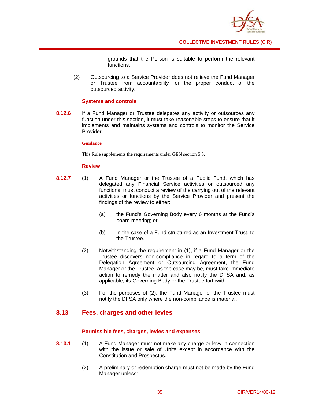

grounds that the Person is suitable to perform the relevant functions.

 (2) Outsourcing to a Service Provider does not relieve the Fund Manager or Trustee from accountability for the proper conduct of the outsourced activity.

## **Systems and controls**

**8.12.6** If a Fund Manager or Trustee delegates any activity or outsources any function under this section, it must take reasonable steps to ensure that it implements and maintains systems and controls to monitor the Service Provider.

### **Guidance**

This Rule supplements the requirements under GEN section 5.3.

## **Review**

- **8.12.7** (1) A Fund Manager or the Trustee of a Public Fund, which has delegated any Financial Service activities or outsourced any functions, must conduct a review of the carrying out of the relevant activities or functions by the Service Provider and present the findings of the review to either:
	- (a) the Fund's Governing Body every 6 months at the Fund's board meeting; or
	- (b) in the case of a Fund structured as an Investment Trust, to the Trustee.
	- (2) Notwithstanding the requirement in (1), if a Fund Manager or the Trustee discovers non-compliance in regard to a term of the Delegation Agreement or Outsourcing Agreement, the Fund Manager or the Trustee, as the case may be, must take immediate action to remedy the matter and also notify the DFSA and, as applicable, its Governing Body or the Trustee forthwith.
	- (3) For the purposes of (2), the Fund Manager or the Trustee must notify the DFSA only where the non-compliance is material.

# **8.13 Fees, charges and other levies**

## **Permissible fees, charges, levies and expenses**

- **8.13.1** (1) A Fund Manager must not make any charge or levy in connection with the issue or sale of Units except in accordance with the Constitution and Prospectus.
	- (2) A preliminary or redemption charge must not be made by the Fund Manager unless: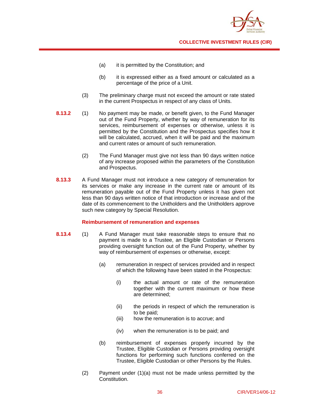

- (a) it is permitted by the Constitution; and
- (b) it is expressed either as a fixed amount or calculated as a percentage of the price of a Unit.
- (3) The preliminary charge must not exceed the amount or rate stated in the current Prospectus in respect of any class of Units.
- **8.13.2** (1) No payment may be made, or benefit given, to the Fund Manager out of the Fund Property, whether by way of remuneration for its services, reimbursement of expenses or otherwise, unless it is permitted by the Constitution and the Prospectus specifies how it will be calculated, accrued, when it will be paid and the maximum and current rates or amount of such remuneration.
	- (2) The Fund Manager must give not less than 90 days written notice of any increase proposed within the parameters of the Constitution and Prospectus.
- **8.13.3** A Fund Manager must not introduce a new category of remuneration for its services or make any increase in the current rate or amount of its remuneration payable out of the Fund Property unless it has given not less than 90 days written notice of that introduction or increase and of the date of its commencement to the Unitholders and the Unitholders approve such new category by Special Resolution.

## **Reimbursement of remuneration and expenses**

- **8.13.4** (1) A Fund Manager must take reasonable steps to ensure that no payment is made to a Trustee, an Eligible Custodian or Persons providing oversight function out of the Fund Property, whether by way of reimbursement of expenses or otherwise, except:
	- (a) remuneration in respect of services provided and in respect of which the following have been stated in the Prospectus:
		- (i) the actual amount or rate of the remuneration together with the current maximum or how these are determined;
		- (ii) the periods in respect of which the remuneration is to be paid;
		- (iii) how the remuneration is to accrue; and
		- (iv) when the remuneration is to be paid; and
	- (b) reimbursement of expenses properly incurred by the Trustee, Eligible Custodian or Persons providing oversight functions for performing such functions conferred on the Trustee, Eligible Custodian or other Persons by the Rules.
	- (2) Payment under (1)(a) must not be made unless permitted by the Constitution.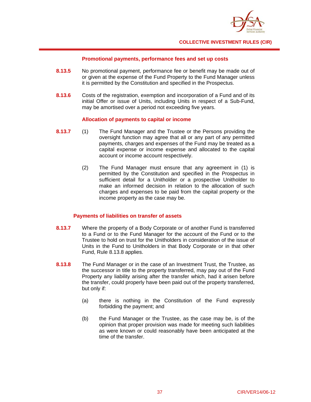

### **Promotional payments, performance fees and set up costs**

- **8.13.5** No promotional payment, performance fee or benefit may be made out of or given at the expense of the Fund Property to the Fund Manager unless it is permitted by the Constitution and specified in the Prospectus.
- **8.13.6** Costs of the registration, exemption and incorporation of a Fund and of its initial Offer or issue of Units, including Units in respect of a Sub-Fund, may be amortised over a period not exceeding five years.

## **Allocation of payments to capital or income**

- **8.13.7** (1) The Fund Manager and the Trustee or the Persons providing the oversight function may agree that all or any part of any permitted payments, charges and expenses of the Fund may be treated as a capital expense or income expense and allocated to the capital account or income account respectively.
	- (2) The Fund Manager must ensure that any agreement in (1) is permitted by the Constitution and specified in the Prospectus in sufficient detail for a Unitholder or a prospective Unitholder to make an informed decision in relation to the allocation of such charges and expenses to be paid from the capital property or the income property as the case may be.

## **Payments of liabilities on transfer of assets**

- **8.13.7** Where the property of a Body Corporate or of another Fund is transferred to a Fund or to the Fund Manager for the account of the Fund or to the Trustee to hold on trust for the Unitholders in consideration of the issue of Units in the Fund to Unitholders in that Body Corporate or in that other Fund, Rule 8.13.8 applies.
- **8.13.8** The Fund Manager or in the case of an Investment Trust, the Trustee, as the successor in title to the property transferred, may pay out of the Fund Property any liability arising after the transfer which, had it arisen before the transfer, could properly have been paid out of the property transferred, but only if:
	- (a) there is nothing in the Constitution of the Fund expressly forbidding the payment; and
	- (b) the Fund Manager or the Trustee, as the case may be, is of the opinion that proper provision was made for meeting such liabilities as were known or could reasonably have been anticipated at the time of the transfer.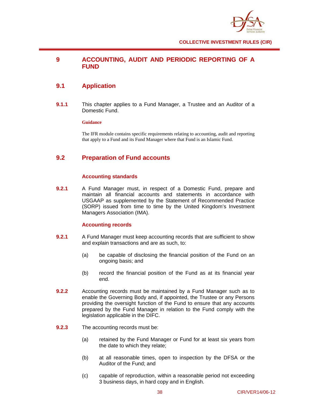

# **9 ACCOUNTING, AUDIT AND PERIODIC REPORTING OF A FUND**

# **9.1 Application**

**9.1.1** This chapter applies to a Fund Manager, a Trustee and an Auditor of a Domestic Fund.

## **Guidance**

The IFR module contains specific requirements relating to accounting, audit and reporting that apply to a Fund and its Fund Manager where that Fund is an Islamic Fund.

# **9.2 Preparation of Fund accounts**

## **Accounting standards**

**9.2.1** A Fund Manager must, in respect of a Domestic Fund, prepare and maintain all financial accounts and statements in accordance with USGAAP as supplemented by the Statement of Recommended Practice (SORP) issued from time to time by the United Kingdom's Investment Managers Association (IMA).

## **Accounting records**

- **9.2.1** A Fund Manager must keep accounting records that are sufficient to show and explain transactions and are as such, to:
	- (a) be capable of disclosing the financial position of the Fund on an ongoing basis; and
	- (b) record the financial position of the Fund as at its financial year end.
- **9.2.2** Accounting records must be maintained by a Fund Manager such as to enable the Governing Body and, if appointed, the Trustee or any Persons providing the oversight function of the Fund to ensure that any accounts prepared by the Fund Manager in relation to the Fund comply with the legislation applicable in the DIFC.
- **9.2.3** The accounting records must be:
	- (a) retained by the Fund Manager or Fund for at least six years from the date to which they relate;
	- (b) at all reasonable times, open to inspection by the DFSA or the Auditor of the Fund; and
	- (c) capable of reproduction, within a reasonable period not exceeding 3 business days, in hard copy and in English.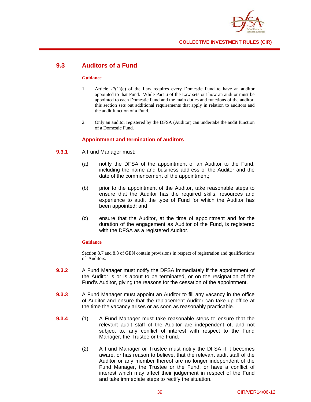

# **9.3 Auditors of a Fund**

#### **Guidance**

- 1. Article 27(1)(c) of the Law requires every Domestic Fund to have an auditor appointed to that Fund. While Part 6 of the Law sets out how an auditor must be appointed to each Domestic Fund and the main duties and functions of the auditor, this section sets out additional requirements that apply in relation to auditors and the audit function of a Fund.
- 2. Only an auditor registered by the DFSA (Auditor) can undertake the audit function of a Domestic Fund.

## **Appointment and termination of auditors**

- **9.3.1** A Fund Manager must:
	- (a) notify the DFSA of the appointment of an Auditor to the Fund, including the name and business address of the Auditor and the date of the commencement of the appointment;
	- (b) prior to the appointment of the Auditor, take reasonable steps to ensure that the Auditor has the required skills, resources and experience to audit the type of Fund for which the Auditor has been appointed; and
	- (c) ensure that the Auditor, at the time of appointment and for the duration of the engagement as Auditor of the Fund, is registered with the DFSA as a registered Auditor.

#### **Guidance**

Section 8.7 and 8.8 of GEN contain provisions in respect of registration and qualifications of Auditors.

- **9.3.2** A Fund Manager must notify the DFSA immediately if the appointment of the Auditor is or is about to be terminated, or on the resignation of the Fund's Auditor, giving the reasons for the cessation of the appointment.
- **9.3.3** A Fund Manager must appoint an Auditor to fill any vacancy in the office of Auditor and ensure that the replacement Auditor can take up office at the time the vacancy arises or as soon as reasonably practicable.
- **9.3.4** (1) A Fund Manager must take reasonable steps to ensure that the relevant audit staff of the Auditor are independent of, and not subject to, any conflict of interest with respect to the Fund Manager, the Trustee or the Fund.
	- (2) A Fund Manager or Trustee must notify the DFSA if it becomes aware, or has reason to believe, that the relevant audit staff of the Auditor or any member thereof are no longer independent of the Fund Manager, the Trustee or the Fund, or have a conflict of interest which may affect their judgement in respect of the Fund and take immediate steps to rectify the situation.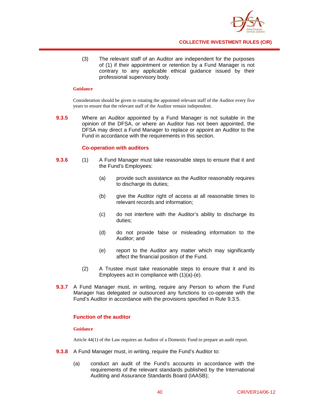

(3) The relevant staff of an Auditor are independent for the purposes of (1) if their appointment or retention by a Fund Manager is not contrary to any applicable ethical guidance issued by their professional supervisory body.

#### **Guidance**

Consideration should be given to rotating the appointed relevant staff of the Auditor every five years to ensure that the relevant staff of the Auditor remain independent.

**9.3.5** Where an Auditor appointed by a Fund Manager is not suitable in the opinion of the DFSA, or where an Auditor has not been appointed, the DFSA may direct a Fund Manager to replace or appoint an Auditor to the Fund in accordance with the requirements in this section.

## **Co-operation with auditors**

- **9.3.6** (1) A Fund Manager must take reasonable steps to ensure that it and the Fund's Employees:
	- (a) provide such assistance as the Auditor reasonably requires to discharge its duties;
	- (b) give the Auditor right of access at all reasonable times to relevant records and information;
	- (c) do not interfere with the Auditor's ability to discharge its duties;
	- (d) do not provide false or misleading information to the Auditor; and
	- (e) report to the Auditor any matter which may significantly affect the financial position of the Fund.
	- (2) A Trustee must take reasonable steps to ensure that it and its Employees act in compliance with (1)(a)-(e).
- **9.3.7** A Fund Manager must, in writing, require any Person to whom the Fund Manager has delegated or outsourced any functions to co-operate with the Fund's Auditor in accordance with the provisions specified in Rule 9.3.5.

## **Function of the auditor**

#### **Guidance**

Article 44(1) of the Law requires an Auditor of a Domestic Fund to prepare an audit report.

- **9.3.8** A Fund Manager must, in writing, require the Fund's Auditor to:
	- (a) conduct an audit of the Fund's accounts in accordance with the requirements of the relevant standards published by the International Auditing and Assurance Standards Board (IAASB);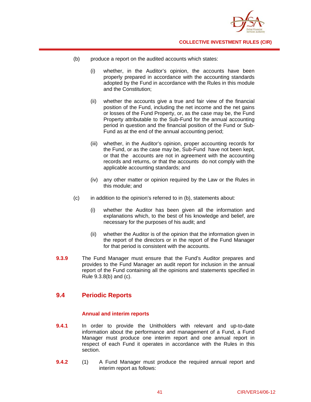

- (b) produce a report on the audited accounts which states:
	- (i) whether, in the Auditor's opinion, the accounts have been properly prepared in accordance with the accounting standards adopted by the Fund in accordance with the Rules in this module and the Constitution;
	- (ii) whether the accounts give a true and fair view of the financial position of the Fund, including the net income and the net gains or losses of the Fund Property, or, as the case may be, the Fund Property attributable to the Sub-Fund for the annual accounting period in question and the financial position of the Fund or Sub-Fund as at the end of the annual accounting period;
	- (iii) whether, in the Auditor's opinion, proper accounting records for the Fund, or as the case may be, Sub-Fund have not been kept, or that the accounts are not in agreement with the accounting records and returns, or that the accounts do not comply with the applicable accounting standards; and
	- (iv) any other matter or opinion required by the Law or the Rules in this module; and
- (c) in addition to the opinion's referred to in (b), statements about:
	- (i) whether the Auditor has been given all the information and explanations which, to the best of his knowledge and belief, are necessary for the purposes of his audit; and
	- (ii) whether the Auditor is of the opinion that the information given in the report of the directors or in the report of the Fund Manager for that period is consistent with the accounts.
- **9.3.9** The Fund Manager must ensure that the Fund's Auditor prepares and provides to the Fund Manager an audit report for inclusion in the annual report of the Fund containing all the opinions and statements specified in Rule 9.3.8(b) and (c).

## **9.4 Periodic Reports**

## **Annual and interim reports**

- **9.4.1** In order to provide the Unitholders with relevant and up-to-date information about the performance and management of a Fund, a Fund Manager must produce one interim report and one annual report in respect of each Fund it operates in accordance with the Rules in this section.
- **9.4.2** (1) A Fund Manager must produce the required annual report and interim report as follows: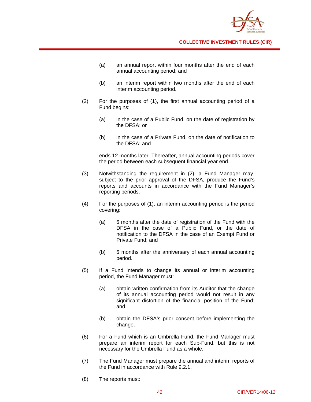

- (a) an annual report within four months after the end of each annual accounting period; and
- (b) an interim report within two months after the end of each interim accounting period.
- (2) For the purposes of (1), the first annual accounting period of a Fund begins:
	- (a) in the case of a Public Fund, on the date of registration by the DFSA; or
	- (b) in the case of a Private Fund, on the date of notification to the DFSA; and

ends 12 months later. Thereafter, annual accounting periods cover the period between each subsequent financial year end.

- (3) Notwithstanding the requirement in (2), a Fund Manager may, subject to the prior approval of the DFSA, produce the Fund's reports and accounts in accordance with the Fund Manager's reporting periods.
- (4) For the purposes of (1), an interim accounting period is the period covering:
	- (a) 6 months after the date of registration of the Fund with the DFSA in the case of a Public Fund, or the date of notification to the DFSA in the case of an Exempt Fund or Private Fund; and
	- (b) 6 months after the anniversary of each annual accounting period.
- (5) If a Fund intends to change its annual or interim accounting period, the Fund Manager must:
	- (a) obtain written confirmation from its Auditor that the change of its annual accounting period would not result in any significant distortion of the financial position of the Fund; and
	- (b) obtain the DFSA's prior consent before implementing the change.
- (6) For a Fund which is an Umbrella Fund, the Fund Manager must prepare an interim report for each Sub-Fund, but this is not necessary for the Umbrella Fund as a whole.
- (7) The Fund Manager must prepare the annual and interim reports of the Fund in accordance with Rule 9.2.1.
- (8) The reports must: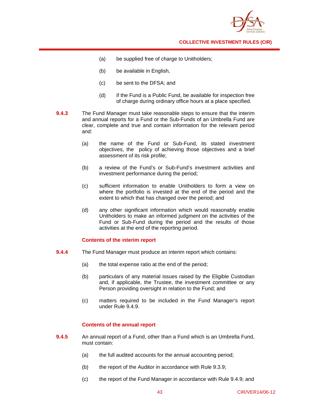

- (a) be supplied free of charge to Unitholders;
- (b) be available in English,
- (c) be sent to the DFSA; and
- (d) if the Fund is a Public Fund, be available for inspection free of charge during ordinary office hours at a place specified.
- **9.4.3** The Fund Manager must take reasonable steps to ensure that the interim and annual reports for a Fund or the Sub-Funds of an Umbrella Fund are clear, complete and true and contain information for the relevant period and:
	- (a) the name of the Fund or Sub-Fund, its stated investment objectives, the policy of achieving those objectives and a brief assessment of its risk profile;
	- (b) a review of the Fund's or Sub-Fund's investment activities and investment performance during the period;
	- (c) sufficient information to enable Unitholders to form a view on where the portfolio is invested at the end of the period and the extent to which that has changed over the period; and
	- (d) any other significant information which would reasonably enable Unitholders to make an informed judgment on the activities of the Fund or Sub-Fund during the period and the results of those activities at the end of the reporting period.

## **Contents of the** i**nterim report**

- **9.4.4** The Fund Manager must produce an interim report which contains:
	- (a) the total expense ratio at the end of the period;
	- (b) particulars of any material issues raised by the Eligible Custodian and, if applicable, the Trustee, the investment committee or any Person providing oversight in relation to the Fund; and
	- (c) matters required to be included in the Fund Manager's report under Rule 9.4.9.

## **Contents of the annual report**

- **9.4.5** An annual report of a Fund, other than a Fund which is an Umbrella Fund, must contain:
	- (a) the full audited accounts for the annual accounting period;
	- (b) the report of the Auditor in accordance with Rule 9.3.9;
	- (c) the report of the Fund Manager in accordance with Rule 9.4.9; and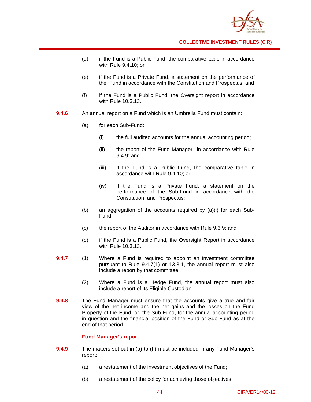

- (d) if the Fund is a Public Fund, the comparative table in accordance with Rule 9.4.10; or
- (e) if the Fund is a Private Fund, a statement on the performance of the Fund in accordance with the Constitution and Prospectus; and
- (f) if the Fund is a Public Fund, the Oversight report in accordance with Rule 10.3.13.
- **9.4.6** An annual report on a Fund which is an Umbrella Fund must contain:
	- (a) for each Sub-Fund:
		- (i) the full audited accounts for the annual accounting period;
		- (ii) the report of the Fund Manager in accordance with Rule 9.4.9; and
		- (iii) if the Fund is a Public Fund, the comparative table in accordance with Rule 9.4.10; or
		- (iv) if the Fund is a Private Fund, a statement on the performance of the Sub-Fund in accordance with the Constitution and Prospectus;
	- (b) an aggregation of the accounts required by (a)(i) for each Sub-Fund;
	- (c) the report of the Auditor in accordance with Rule 9.3.9; and
	- (d) if the Fund is a Public Fund, the Oversight Report in accordance with Rule 10.3.13.
- **9.4.7** (1) Where a Fund is required to appoint an investment committee pursuant to Rule 9.4.7(1) or 13.3.1, the annual report must also include a report by that committee.
	- (2) Where a Fund is a Hedge Fund, the annual report must also include a report of its Eligible Custodian.
- **9.4.8** The Fund Manager must ensure that the accounts give a true and fair view of the net income and the net gains and the losses on the Fund Property of the Fund, or, the Sub-Fund, for the annual accounting period in question and the financial position of the Fund or Sub-Fund as at the end of that period.

#### **Fund Manager's report**

- **9.4.9** The matters set out in (a) to (h) must be included in any Fund Manager's report:
	- (a) a restatement of the investment objectives of the Fund;
	- (b) a restatement of the policy for achieving those objectives;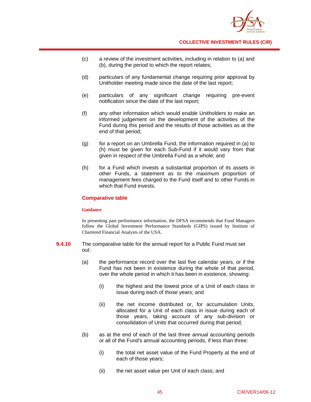

- (c) a review of the investment activities, including in relation to (a) and (b), during the period to which the report relates;
- (d) particulars of any fundamental change requiring prior approval by Unitholder meeting made since the date of the last report;
- (e) particulars of any significant change requiring pre-event notification since the date of the last report;
- (f) any other information which would enable Unitholders to make an informed judgement on the development of the activities of the Fund during this period and the results of those activities as at the end of that period;
- (g) for a report on an Umbrella Fund, the information required in (a) to (h) must be given for each Sub-Fund if it would vary from that given in respect of the Umbrella Fund as a whole; and
- (h) for a Fund which invests a substantial proportion of its assets in other Funds, a statement as to the maximum proportion of management fees charged to the Fund itself and to other Funds in which that Fund invests.

### **Comparative table**

#### **Guidance**

In presenting past performance information, the DFSA recommends that Fund Managers follow the Global Investment Performance Standards (GIPS) issued by Institute of Chartered Financial Analysts of the USA.

- **9.4.10** The comparative table for the annual report for a Public Fund must set out:
	- (a) the performance record over the last five calendar years, or if the Fund has not been in existence during the whole of that period, over the whole period in which it has been in existence, showing:
		- (i) the highest and the lowest price of a Unit of each class in issue during each of those years; and
		- (ii) the net income distributed or, for accumulation Units, allocated for a Unit of each class in issue during each of those years, taking account of any sub-division or consolidation of Units that occurred during that period;
	- (b) as at the end of each of the last three annual accounting periods or all of the Fund's annual accounting periods, if less than three:
		- (i) the total net asset value of the Fund Property at the end of each of those years;
		- (ii) the net asset value per Unit of each class; and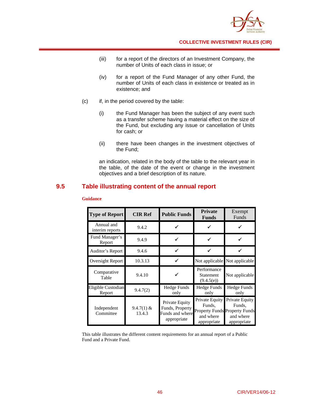

- (iii) for a report of the directors of an Investment Company, the number of Units of each class in issue; or
- (iv) for a report of the Fund Manager of any other Fund, the number of Units of each class in existence or treated as in existence; and
- (c) if, in the period covered by the table:
	- (i) the Fund Manager has been the subject of any event such as a transfer scheme having a material effect on the size of the Fund, but excluding any issue or cancellation of Units for cash; or
	- (ii) there have been changes in the investment objectives of the Fund;

an indication, related in the body of the table to the relevant year in the table, of the date of the event or change in the investment objectives and a brief description of its nature.

# **9.5 Table illustrating content of the annual report**

| <b>Type of Report</b>         | <b>CIR Ref</b>         | <b>Public Funds</b>                                                 | <b>Private</b><br><b>Funds</b>                              | Exempt<br>Funds                                                                              |
|-------------------------------|------------------------|---------------------------------------------------------------------|-------------------------------------------------------------|----------------------------------------------------------------------------------------------|
| Annual and<br>interim reports | 9.4.2                  |                                                                     |                                                             |                                                                                              |
| Fund Manager's<br>Report      | 9.4.9                  |                                                                     |                                                             |                                                                                              |
| Auditor's Report              | 9.4.6                  |                                                                     |                                                             |                                                                                              |
| Oversight Report              | 10.3.13                |                                                                     |                                                             | Not applicable Not applicable                                                                |
| Comparative<br>Table          | 9.4.10                 |                                                                     | Performance<br><b>Statement</b><br>(9.4.5(e))               | Not applicable                                                                               |
| Eligible Custodian<br>Report  | 9.4.7(2)               | <b>Hedge Funds</b><br>only                                          | <b>Hedge Funds</b><br>only                                  | <b>Hedge Funds</b><br>only                                                                   |
| Independent<br>Committee      | $9.4.7(1)$ &<br>13.4.3 | Private Equity<br>Funds, Property<br>Funds and where<br>appropriate | <b>Private Equity</b><br>Funds,<br>and where<br>appropriate | Private Equity<br>Funds,<br><b>Property Funds Property Funds</b><br>and where<br>appropriate |

## **Guidance**

This table illustrates the different content requirements for an annual report of a Public Fund and a Private Fund.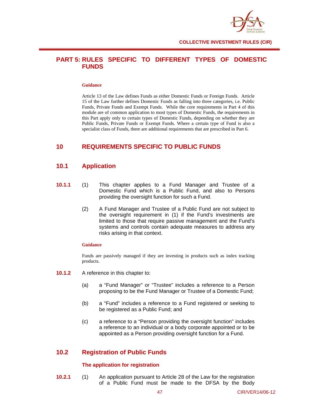

# **PART 5: RULES SPECIFIC TO DIFFERENT TYPES OF DOMESTIC FUNDS**

#### **Guidance**

Article 13 of the Law defines Funds as either Domestic Funds or Foreign Funds. Article 15 of the Law further defines Domestic Funds as falling into three categories, i.e. Public Funds, Private Funds and Exempt Funds. While the core requirements in Part 4 of this module are of common application to most types of Domestic Funds, the requirements in this Part apply only to certain types of Domestic Funds, depending on whether they are Public Funds, Private Funds or Exempt Funds. Where a certain type of Fund is also a specialist class of Funds, there are additional requirements that are prescribed in Part 6.

## **10 REQUIREMENTS SPECIFIC TO PUBLIC FUNDS**

## **10.1 Application**

- **10.1.1** (1) This chapter applies to a Fund Manager and Trustee of a Domestic Fund which is a Public Fund, and also to Persons providing the oversight function for such a Fund.
	- (2) A Fund Manager and Trustee of a Public Fund are not subject to the oversight requirement in (1) if the Fund's investments are limited to those that require passive management and the Fund's systems and controls contain adequate measures to address any risks arising in that context.

#### **Guidance**

Funds are passively managed if they are investing in products such as index tracking products.

- 10.1.2 A reference in this chapter to:
	- (a) a "Fund Manager" or "Trustee" includes a reference to a Person proposing to be the Fund Manager or Trustee of a Domestic Fund;
	- (b) a "Fund" includes a reference to a Fund registered or seeking to be registered as a Public Fund; and
	- (c) a reference to a "Person providing the oversight function" includes a reference to an individual or a body corporate appointed or to be appointed as a Person providing oversight function for a Fund.

## **10.2 Registration of Public Funds**

## **The application for registration**

**10.2.1** (1) An application pursuant to Article 28 of the Law for the registration of a Public Fund must be made to the DFSA by the Body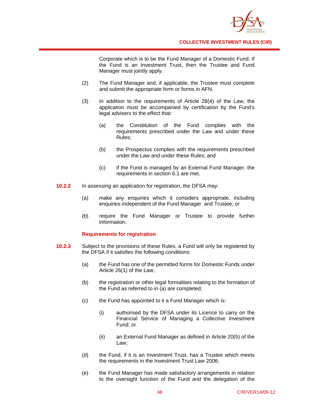

Corporate which is to be the Fund Manager of a Domestic Fund. If the Fund is an Investment Trust, then the Trustee and Fund Manager must jointly apply.

- (2) The Fund Manager and, if applicable, the Trustee must complete and submit the appropriate form or forms in AFN.
- (3) In addition to the requirements of Article 28(4) of the Law, the application must be accompanied by certification by the Fund's legal advisers to the effect that:
	- (a) the Constitution of the Fund complies with the requirements prescribed under the Law and under these Rules;
	- (b) the Prospectus complies with the requirements prescribed under the Law and under these Rules; and
	- (c) if the Fund is managed by an External Fund Manager, the requirements in section 6.1 are met.
- **10.2.2** In assessing an application for registration, the DFSA may:
	- (a) make any enquiries which it considers appropriate, including enquiries independent of the Fund Manager and Trustee; or
	- (b) require the Fund Manager or Trustee to provide further information.

## **Requirements for registration**

- **10.2.3** Subject to the provisions of these Rules, a Fund will only be registered by the DFSA if it satisfies the following conditions:
	- (a) the Fund has one of the permitted forms for Domestic Funds under Article 26(1) of the Law;
	- (b) the registration or other legal formalities relating to the formation of the Fund as referred to in (a) are completed;
	- (c) the Fund has appointed to it a Fund Manager which is:
		- (i) authorised by the DFSA under its Licence to carry on the Financial Service of Managing a Collective Investment Fund; or
		- (ii) an External Fund Manager as defined in Article 20(5) of the Law;
	- (d) the Fund, if it is an Investment Trust, has a Trustee which meets the requirements in the Investment Trust Law 2006;
	- (e) the Fund Manager has made satisfactory arrangements in relation to the oversight function of the Fund and the delegation of the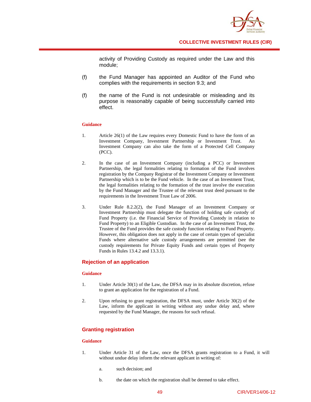

activity of Providing Custody as required under the Law and this module;

- (f) the Fund Manager has appointed an Auditor of the Fund who complies with the requirements in section 9.3; and
- (f) the name of the Fund is not undesirable or misleading and its purpose is reasonably capable of being successfully carried into effect.

### **Guidance**

- 1. Article 26(1) of the Law requires every Domestic Fund to have the form of an Investment Company, Investment Partnership or Investment Trust. An Investment Company can also take the form of a Protected Cell Company (PCC).
- 2. In the case of an Investment Company (including a PCC) or Investment Partnership, the legal formalities relating to formation of the Fund involves registration by the Company Registrar of the Investment Company or Investment Partnership which is to be the Fund vehicle. In the case of an Investment Trust, the legal formalities relating to the formation of the trust involve the execution by the Fund Manager and the Trustee of the relevant trust deed pursuant to the requirements in the Investment Trust Law of 2006.
- 3. Under Rule 8.2.2(2), the Fund Manager of an Investment Company or Investment Partnership must delegate the function of holding safe custody of Fund Property (i.e. the Financial Service of Providing Custody in relation to Fund Property) to an Eligible Custodian. In the case of an Investment Trust, the Trustee of the Fund provides the safe custody function relating to Fund Property. However, this obligation does not apply in the case of certain types of specialist Funds where alternative safe custody arrangements are permitted (see the custody requirements for Private Equity Funds and certain types of Property Funds in Rules 13.4.2 and 13.3.1).

## **Rejection of an application**

#### **Guidance**

- 1. Under Article 30(1) of the Law, the DFSA may in its absolute discretion, refuse to grant an application for the registration of a Fund.
- 2. Upon refusing to grant registration, the DFSA must, under Article 30(2) of the Law, inform the applicant in writing without any undue delay and, where requested by the Fund Manager, the reasons for such refusal.

## **Granting registration**

#### **Guidance**

- 1. Under Article 31 of the Law, once the DFSA grants registration to a Fund, it will without undue delay inform the relevant applicant in writing of:
	- a. such decision; and
	- b. the date on which the registration shall be deemed to take effect.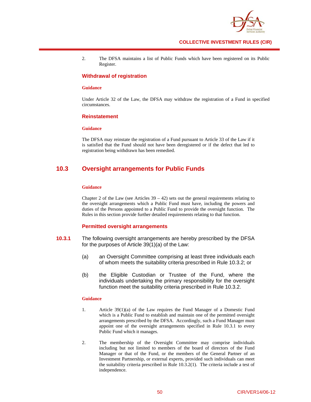

2. The DFSA maintains a list of Public Funds which have been registered on its Public Register.

#### **Withdrawal of registration**

#### **Guidance**

Under Article 32 of the Law, the DFSA may withdraw the registration of a Fund in specified circumstances.

#### **Reinstatement**

#### **Guidance**

The DFSA may reinstate the registration of a Fund pursuant to Article 33 of the Law if it is satisfied that the Fund should not have been deregistered or if the defect that led to registration being withdrawn has been remedied.

## **10.3 Oversight arrangements for Public Funds**

#### **Guidance**

Chapter 2 of the Law (see Articles  $39 - 42$ ) sets out the general requirements relating to the oversight arrangements which a Public Fund must have, including the powers and duties of the Persons appointed to a Public Fund to provide the oversight function. The Rules in this section provide further detailed requirements relating to that function.

#### **Permitted oversight arrangements**

- **10.3.1** The following oversight arrangements are hereby prescribed by the DFSA for the purposes of Article 39(1)(a) of the Law:
	- (a) an Oversight Committee comprising at least three individuals each of whom meets the suitability criteria prescribed in Rule 10.3.2; or
	- (b) the Eligible Custodian or Trustee of the Fund, where the individuals undertaking the primary responsibility for the oversight function meet the suitability criteria prescribed in Rule 10.3.2.

#### **Guidance**

- 1. Article 39(1)(a) of the Law requires the Fund Manager of a Domestic Fund which is a Public Fund to establish and maintain one of the permitted oversight arrangements prescribed by the DFSA. Accordingly, such a Fund Manager must appoint one of the oversight arrangements specified in Rule 10.3.1 to every Public Fund which it manages.
- 2. The membership of the Oversight Committee may comprise individuals including but not limited to members of the board of directors of the Fund Manager or that of the Fund, or the members of the General Partner of an Investment Partnership, or external experts, provided such individuals can meet the suitability criteria prescribed in Rule 10.3.2(1). The criteria include a test of independence.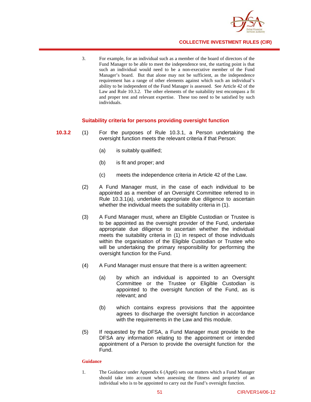

3. For example, for an individual such as a member of the board of directors of the Fund Manager to be able to meet the independence test, the starting point is that such an individual would need to be a non-executive member of the Fund Manager's board. But that alone may not be sufficient, as the independence requirement has a range of other elements against which such an individual's ability to be independent of the Fund Manager is assessed. See Article 42 of the Law and Rule 10.3.2. The other elements of the suitability test encompass a fit and proper test and relevant expertise. These too need to be satisfied by such individuals.

#### **Suitability criteria for persons providing oversight function**

- **10.3.2** (1) For the purposes of Rule 10.3.1, a Person undertaking the oversight function meets the relevant criteria if that Person:
	- (a) is suitably qualified;
	- (b) is fit and proper; and
	- (c) meets the independence criteria in Article 42 of the Law.
	- (2) A Fund Manager must, in the case of each individual to be appointed as a member of an Oversight Committee referred to in Rule 10.3.1(a), undertake appropriate due diligence to ascertain whether the individual meets the suitability criteria in (1).
	- (3) A Fund Manager must, where an Eligible Custodian or Trustee is to be appointed as the oversight provider of the Fund, undertake appropriate due diligence to ascertain whether the individual meets the suitability criteria in (1) in respect of those individuals within the organisation of the Eligible Custodian or Trustee who will be undertaking the primary responsibility for performing the oversight function for the Fund.
	- (4) A Fund Manager must ensure that there is a written agreement:
		- (a) by which an individual is appointed to an Oversight Committee or the Trustee or Eligible Custodian is appointed to the oversight function of the Fund, as is relevant; and
		- (b) which contains express provisions that the appointee agrees to discharge the oversight function in accordance with the requirements in the Law and this module.
	- (5) If requested by the DFSA, a Fund Manager must provide to the DFSA any information relating to the appointment or intended appointment of a Person to provide the oversight function for the Fund.

#### **Guidance**

1. The Guidance under Appendix 6 (App6) sets out matters which a Fund Manager should take into account when assessing the fitness and propriety of an individual who is to be appointed to carry out the Fund's oversight function.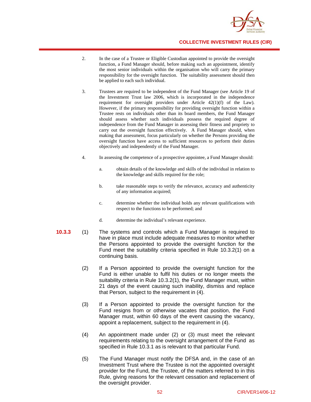

- 2. In the case of a Trustee or Eligible Custodian appointed to provide the oversight function, a Fund Manager should, before making such an appointment, identify the most senior individuals within the organisation who will carry the primary responsibility for the oversight function. The suitability assessment should then be applied to each such individual.
- 3. Trustees are required to be independent of the Fund Manager (see Article 19 of the Investment Trust law 2006, which is incorporated in the independence requirement for oversight providers under Article 42(1)(f) of the Law). However, if the primary responsibility for providing oversight function within a Trustee rests on individuals other than its board members, the Fund Manager should assess whether such individuals possess the required degree of independence from the Fund Manager in assessing their fitness and propriety to carry out the oversight function effectively. A Fund Manager should, when making that assessment, focus particularly on whether the Persons providing the oversight function have access to sufficient resources to perform their duties objectively and independently of the Fund Manager.
- 4. In assessing the competence of a prospective appointee, a Fund Manager should:
	- a. obtain details of the knowledge and skills of the individual in relation to the knowledge and skills required for the role;
	- b. take reasonable steps to verify the relevance, accuracy and authenticity of any information acquired;
	- c. determine whether the individual holds any relevant qualifications with respect to the functions to be performed; and
	- d. determine the individual's relevant experience.
- **10.3.3** (1) The systems and controls which a Fund Manager is required to have in place must include adequate measures to monitor whether the Persons appointed to provide the oversight function for the Fund meet the suitability criteria specified in Rule 10.3.2(1) on a continuing basis.
	- (2) If a Person appointed to provide the oversight function for the Fund is either unable to fulfil his duties or no longer meets the suitability criteria in Rule 10.3.2(1), the Fund Manager must, within 21 days of the event causing such inability, dismiss and replace that Person, subject to the requirement in (4).
	- (3) If a Person appointed to provide the oversight function for the Fund resigns from or otherwise vacates that position, the Fund Manager must, within 60 days of the event causing the vacancy, appoint a replacement, subject to the requirement in (4).
	- (4) An appointment made under (2) or (3) must meet the relevant requirements relating to the oversight arrangement of the Fund as specified in Rule 10.3.1 as is relevant to that particular Fund.
	- (5) The Fund Manager must notify the DFSA and, in the case of an Investment Trust where the Trustee is not the appointed oversight provider for the Fund, the Trustee, of the matters referred to in this Rule, giving reasons for the relevant cessation and replacement of the oversight provider.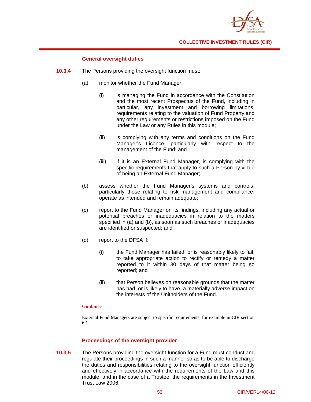

## **General oversight duties**

- **10.3.4** The Persons providing the oversight function must:
	- (a) monitor whether the Fund Manager:
		- (i) is managing the Fund in accordance with the Constitution and the most recent Prospectus of the Fund, including in particular, any investment and borrowing limitations, requirements relating to the valuation of Fund Property and any other requirements or restrictions imposed on the Fund under the Law or any Rules in this module;
		- (ii) is complying with any terms and conditions on the Fund Manager's Licence, particularly with respect to the management of the Fund; and
		- (iii) if it is an External Fund Manager, is complying with the specific requirements that apply to such a Person by virtue of being an External Fund Manager;
	- (b) assess whether the Fund Manager's systems and controls, particularly those relating to risk management and compliance, operate as intended and remain adequate;
	- (c) report to the Fund Manager on its findings, including any actual or potential breaches or inadequacies in relation to the matters specified in (a) and (b), as soon as such breaches or inadequacies are identified or suspected; and
	- (d) report to the DFSA if:
		- (i) the Fund Manager has failed, or is reasonably likely to fail, to take appropriate action to rectify or remedy a matter reported to it within 30 days of that matter being so reported; and
		- (ii) that Person believes on reasonable grounds that the matter has had, or is likely to have, a materially adverse impact on the interests of the Unitholders of the Fund.

#### **Guidance**

External Fund Managers are subject to specific requirements, for example in CIR section 6.1.

## **Proceedings of the oversight provider**

**10.3.5** The Persons providing the oversight function for a Fund must conduct and regulate their proceedings in such a manner so as to be able to discharge the duties and responsibilities relating to the oversight function efficiently and effectively in accordance with the requirements of the Law and this module, and in the case of a Trustee, the requirements in the Investment Trust Law 2006.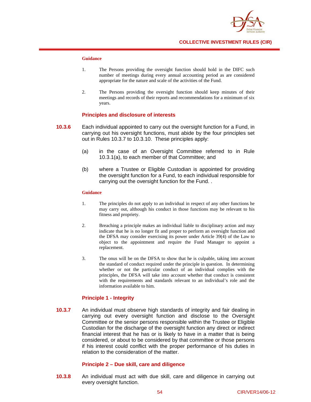

### **Guidance**

- 1. The Persons providing the oversight function should hold in the DIFC such number of meetings during every annual accounting period as are considered appropriate for the nature and scale of the activities of the Fund.
- 2. The Persons providing the oversight function should keep minutes of their meetings and records of their reports and recommendations for a minimum of six years.

### **Principles and disclosure of interests**

- **10.3.6** Each individual appointed to carry out the oversight function for a Fund, in carrying out his oversight functions, must abide by the four principles set out in Rules 10.3.7 to 10.3.10. These principles apply:
	- (a) in the case of an Oversight Committee referred to in Rule 10.3.1(a), to each member of that Committee; and
	- (b) where a Trustee or Eligible Custodian is appointed for providing the oversight function for a Fund, to each individual responsible for carrying out the oversight function for the Fund. .

#### **Guidance**

- 1. The principles do not apply to an individual in respect of any other functions he may carry out, although his conduct in those functions may be relevant to his fitness and propriety.
- 2. Breaching a principle makes an individual liable to disciplinary action and may indicate that he is no longer fit and proper to perform an oversight function and the DFSA may consider exercising its power under Article 39(4) of the Law to object to the appointment and require the Fund Manager to appoint a replacement.
- 3. The onus will be on the DFSA to show that he is culpable, taking into account the standard of conduct required under the principle in question. In determining whether or not the particular conduct of an individual complies with the principles, the DFSA will take into account whether that conduct is consistent with the requirements and standards relevant to an individual's role and the information available to him.

## **Principle 1 - Integrity**

**10.3.7** An individual must observe high standards of integrity and fair dealing in carrying out every oversight function and disclose to the Oversight Committee or the senior persons responsible within the Trustee or Eligible Custodian for the discharge of the oversight function any direct or indirect financial interest that he has or is likely to have in a matter that is being considered, or about to be considered by that committee or those persons if his interest could conflict with the proper performance of his duties in relation to the consideration of the matter.

#### **Principle 2 – Due skill, care and diligence**

**10.3.8** An individual must act with due skill, care and diligence in carrying out every oversight function.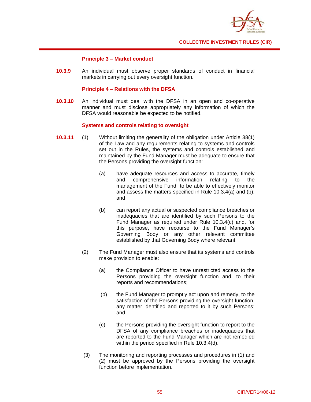

## **Principle 3 – Market conduct**

**10.3.9** An individual must observe proper standards of conduct in financial markets in carrying out every oversight function.

## **Principle 4 – Relations with the DFSA**

**10.3.10** An individual must deal with the DFSA in an open and co-operative manner and must disclose appropriately any information of which the DFSA would reasonable be expected to be notified.

## **Systems and controls relating to oversight**

- **10.3.11** (1) Without limiting the generality of the obligation under Article 38(1) of the Law and any requirements relating to systems and controls set out in the Rules, the systems and controls established and maintained by the Fund Manager must be adequate to ensure that the Persons providing the oversight function:
	- (a) have adequate resources and access to accurate, timely and comprehensive information relating to the management of the Fund to be able to effectively monitor and assess the matters specified in Rule 10.3.4(a) and (b); and
	- (b) can report any actual or suspected compliance breaches or inadequacies that are identified by such Persons to the Fund Manager as required under Rule 10.3.4(c) and, for this purpose, have recourse to the Fund Manager's Governing Body or any other relevant committee established by that Governing Body where relevant.
	- (2) The Fund Manager must also ensure that its systems and controls make provision to enable:
		- (a) the Compliance Officer to have unrestricted access to the Persons providing the oversight function and, to their reports and recommendations;
		- (b) the Fund Manager to promptly act upon and remedy, to the satisfaction of the Persons providing the oversight function, any matter identified and reported to it by such Persons; and
		- (c) the Persons providing the oversight function to report to the DFSA of any compliance breaches or inadequacies that are reported to the Fund Manager which are not remedied within the period specified in Rule 10.3.4(d).
	- (3) The monitoring and reporting processes and procedures in (1) and (2) must be approved by the Persons providing the oversight function before implementation.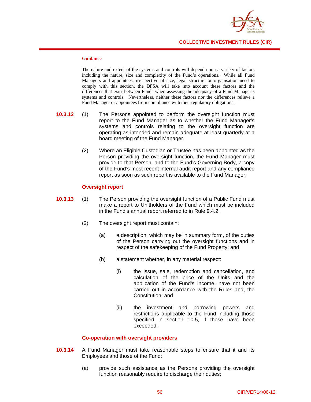

### **Guidance**

The nature and extent of the systems and controls will depend upon a variety of factors including the nature, size and complexity of the Fund's operations. While all Fund Managers and appointees, irrespective of size, legal structure or organisation need to comply with this section, the DFSA will take into account these factors and the differences that exist between Funds when assessing the adequacy of a Fund Manager's systems and controls. Nevertheless, neither these factors nor the differences relieve a Fund Manager or appointees from compliance with their regulatory obligations.

- **10.3.12** (1) The Persons appointed to perform the oversight function must report to the Fund Manager as to whether the Fund Manager's systems and controls relating to the oversight function are operating as intended and remain adequate at least quarterly at a board meeting of the Fund Manager.
	- (2) Where an Eligible Custodian or Trustee has been appointed as the Person providing the oversight function, the Fund Manager must provide to that Person, and to the Fund's Governing Body, a copy of the Fund's most recent internal audit report and any compliance report as soon as such report is available to the Fund Manager.

## **Oversight report**

- **10.3.13** (1) The Person providing the oversight function of a Public Fund must make a report to Unitholders of the Fund which must be included in the Fund's annual report referred to in Rule 9.4.2.
	- (2) The oversight report must contain:
		- (a) a description, which may be in summary form, of the duties of the Person carrying out the oversight functions and in respect of the safekeeping of the Fund Property; and
		- (b) a statement whether, in any material respect:
			- (i) the issue, sale, redemption and cancellation, and calculation of the price of the Units and the application of the Fund's income, have not been carried out in accordance with the Rules and, the Constitution; and
			- (ii) the investment and borrowing powers and restrictions applicable to the Fund including those specified in section 10.5, if those have been exceeded.

## **Co-operation with oversight providers**

- **10.3.14** A Fund Manager must take reasonable steps to ensure that it and its Employees and those of the Fund:
	- (a) provide such assistance as the Persons providing the oversight function reasonably require to discharge their duties;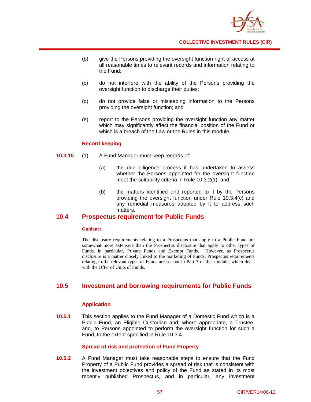

- (b) give the Persons providing the oversight function right of access at all reasonable times to relevant records and information relating to the Fund;
- (c) do not interfere with the ability of the Persons providing the oversight function to discharge their duties;
- (d) do not provide false or misleading information to the Persons providing the oversight function; and
- (e) report to the Persons providing the oversight function any matter which may significantly affect the financial position of the Fund or which is a breach of the Law or the Rules in this module.

### **Record keeping**

- **10.3.15** (1) A Fund Manager must keep records of:
	- (a) the due diligence process it has undertaken to assess whether the Persons appointed for the oversight function meet the suitability criteria in Rule 10.3.2(1); and
	- (b) the matters identified and reported to it by the Persons providing the oversight function under Rule 10.3.4(c) and any remedial measures adopted by it to address such matters.

## **10.4 Prospectus requirement for Public Funds**

#### **Guidance**

The disclosure requirements relating to a Prospectus that apply to a Public Fund are somewhat more extensive than the Prospectus disclosure that apply to other types of Funds, in particular, Private Funds and Exempt Funds. However, as Prospectus disclosure is a matter closely linked to the marketing of Funds, Prospectus requirements relating to the relevant types of Funds are set out in Part 7 of this module, which deals with the Offer of Units of Funds.

## **10.5 Investment and borrowing requirements for Public Funds**

## **Application**

**10.5.1** This section applies to the Fund Manager of a Domestic Fund which is a Public Fund, an Eligible Custodian and, where appropriate, a Trustee, and, to Persons appointed to perform the oversight function for such a Fund, to the extent specified in Rule 10.3.4.

## **Spread of risk and protection of Fund Property**

**10.5.2** A Fund Manager must take reasonable steps to ensure that the Fund Property of a Public Fund provides a spread of risk that is consistent with the investment objectives and policy of the Fund as stated in its most recently published Prospectus, and in particular, any investment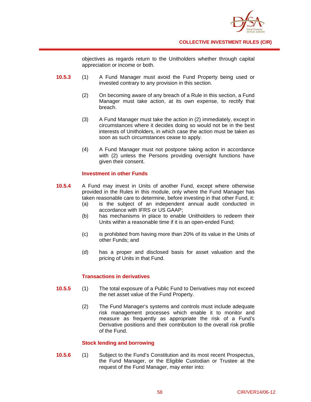

objectives as regards return to the Unitholders whether through capital appreciation or income or both.

- **10.5.3** (1) A Fund Manager must avoid the Fund Property being used or invested contrary to any provision in this section.
	- (2) On becoming aware of any breach of a Rule in this section, a Fund Manager must take action, at its own expense, to rectify that breach.
	- (3) A Fund Manager must take the action in (2) immediately, except in circumstances where it decides doing so would not be in the best interests of Unitholders, in which case the action must be taken as soon as such circumstances cease to apply.
	- (4) A Fund Manager must not postpone taking action in accordance with (2) unless the Persons providing oversight functions have given their consent.

## **Investment in other Funds**

- **10.5.4** A Fund may invest in Units of another Fund, except where otherwise provided in the Rules in this module, only where the Fund Manager has taken reasonable care to determine, before investing in that other Fund, it:
	- (a) is the subject of an independent annual audit conducted in accordance with IFRS or US GAAP;
	- (b) has mechanisms in place to enable Unitholders to redeem their Units within a reasonable time if it is an open-ended Fund;
	- (c) is prohibited from having more than 20% of its value in the Units of other Funds; and
	- (d) has a proper and disclosed basis for asset valuation and the pricing of Units in that Fund.

## **Transactions in derivatives**

- **10.5.5** (1) The total exposure of a Public Fund to Derivatives may not exceed the net asset value of the Fund Property.
	- (2) The Fund Manager's systems and controls must include adequate risk management processes which enable it to monitor and measure as frequently as appropriate the risk of a Fund's Derivative positions and their contribution to the overall risk profile of the Fund.

## **Stock lending and borrowing**

**10.5.6** (1) Subject to the Fund's Constitution and its most recent Prospectus, the Fund Manager, or the Eligible Custodian or Trustee at the request of the Fund Manager, may enter into: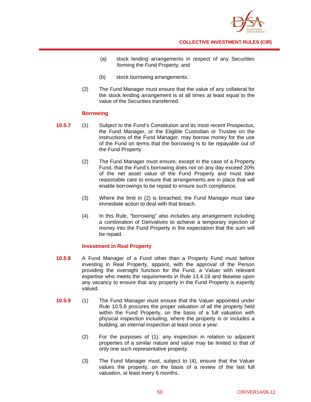

- (a) stock lending arrangements in respect of any Securities forming the Fund Property; and
- (b) stock borrowing arrangements.
- (2) The Fund Manager must ensure that the value of any collateral for the stock lending arrangement is at all times at least equal to the value of the Securities transferred.

## **Borrowing**

- **10.5.7** (1) Subject to the Fund's Constitution and its most recent Prospectus, the Fund Manager, or the Eligible Custodian or Trustee on the instructions of the Fund Manager, may borrow money for the use of the Fund on terms that the borrowing is to be repayable out of the Fund Property.
	- (2) The Fund Manager must ensure, except in the case of a Property Fund, that the Fund's borrowing does not on any day exceed 20% of the net asset value of the Fund Property and must take reasonable care to ensure that arrangements are in place that will enable borrowings to be repaid to ensure such compliance.
	- (3) Where the limit in (2) is breached, the Fund Manager must take immediate action to deal with that breach.
	- (4) In this Rule, "borrowing" also includes any arrangement including a combination of Derivatives to achieve a temporary injection of money into the Fund Property in the expectation that the sum will be repaid.

## **Investment in Real Property**

- **10.5.8** A Fund Manager of a Fund other than a Property Fund must before investing in Real Property, appoint, with the approval of the Person providing the oversight function for the Fund, a Valuer with relevant expertise who meets the requirements in Rule 13.4.19 and likewise upon any vacancy to ensure that any property in the Fund Property is expertly valued.
- **10.5.9** (1) The Fund Manager must ensure that the Valuer appointed under Rule 10.5.8 procures the proper valuation of all the property held within the Fund Property, on the basis of a full valuation with physical inspection including, where the property is or includes a building, an internal inspection at least once a year.
	- (2) For the purposes of (1), any inspection in relation to adjacent properties of a similar nature and value may be limited to that of only one such representative property.
	- (3) The Fund Manager must, subject to (4), ensure that the Valuer values the property, on the basis of a review of the last full valuation, at least every 6 months.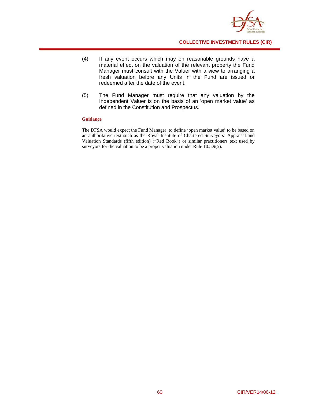

- (4) If any event occurs which may on reasonable grounds have a material effect on the valuation of the relevant property the Fund Manager must consult with the Valuer with a view to arranging a fresh valuation before any Units in the Fund are issued or redeemed after the date of the event.
- (5) The Fund Manager must require that any valuation by the Independent Valuer is on the basis of an 'open market value' as defined in the Constitution and Prospectus.

#### **Guidance**

The DFSA would expect the Fund Manager to define 'open market value' to be based on an authoritative text such as the Royal Institute of Chartered Surveyors' Appraisal and Valuation Standards (fifth edition) ("Red Book") or similar practitioners text used by surveyors for the valuation to be a proper valuation under Rule 10.5.9(5).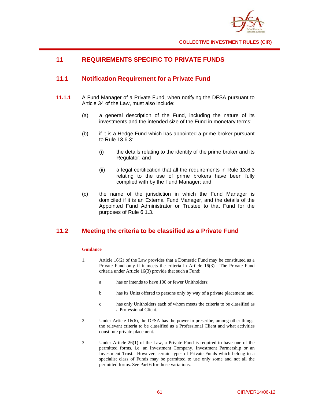

# **11 REQUIREMENTS SPECIFIC TO PRIVATE FUNDS**

# **11.1 Notification Requirement for a Private Fund**

- **11.1.1** A Fund Manager of a Private Fund, when notifying the DFSA pursuant to Article 34 of the Law, must also include:
	- (a) a general description of the Fund, including the nature of its investments and the intended size of the Fund in monetary terms;
	- (b) if it is a Hedge Fund which has appointed a prime broker pursuant to Rule 13.6.3:
		- (i) the details relating to the identity of the prime broker and its Regulator; and
		- (ii) a legal certification that all the requirements in Rule 13.6.3 relating to the use of prime brokers have been fully complied with by the Fund Manager; and
	- (c) the name of the jurisdiction in which the Fund Manager is domiciled if it is an External Fund Manager, and the details of the Appointed Fund Administrator or Trustee to that Fund for the purposes of Rule 6.1.3.

## **11.2 Meeting the criteria to be classified as a Private Fund**

#### **Guidance**

- 1. Article 16(2) of the Law provides that a Domestic Fund may be constituted as a Private Fund only if it meets the criteria in Article 16(3). The Private Fund criteria under Article 16(3) provide that such a Fund:
	- a has or intends to have 100 or fewer Unitholders;
	- b has its Units offered to persons only by way of a private placement; and
	- c has only Unitholders each of whom meets the criteria to be classified as a Professional Client.
- 2. Under Article 16(6), the DFSA has the power to prescribe, among other things, the relevant criteria to be classified as a Professional Client and what activities constitute private placement.
- 3. Under Article 26(1) of the Law, a Private Fund is required to have one of the permitted forms, i.e. an Investment Company, Investment Partnership or an Investment Trust. However, certain types of Private Funds which belong to a specialist class of Funds may be permitted to use only some and not all the permitted forms. See Part 6 for those variations.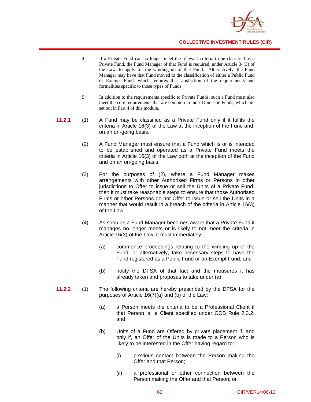

- 4. If a Private Fund can no longer meet the relevant criteria to be classified as a Private Fund, the Fund Manager of that Fund is required, under Article 34(3) of the Law, to apply for the winding up of that Fund. Alternatively, the Fund Manager may have that Fund moved to the classification of either a Public Fund or Exempt Fund, which requires the satisfaction of the requirements and formalities specific to those types of Funds.
- 5. In addition to the requirements specific to Private Funds, such a Fund must also meet the core requirements that are common to most Domestic Funds, which are set out in Part 4 of this module.
- **11.2.1** (1) A Fund may be classified as a Private Fund only if it fulfils the criteria in Article 16(3) of the Law at the inception of the Fund and, on an on-going basis.
	- (2) A Fund Manager must ensure that a Fund which is or is intended to be established and operated as a Private Fund meets the criteria in Article 16(3) of the Law both at the inception of the Fund and on an on-going basis.
	- (3) For the purposes of (2), where a Fund Manager makes arrangements with other Authorised Firms or Persons in other jurisdictions to Offer to issue or sell the Units of a Private Fund, then it must take reasonable steps to ensure that those Authorised Firms or other Persons do not Offer to issue or sell the Units in a manner that would result in a breach of the criteria in Article 16(3) of the Law.
	- (4) As soon as a Fund Manager becomes aware that a Private Fund it manages no longer meets or is likely to not meet the criteria in Article 16(3) of the Law, it must immediately:
		- (a) commence proceedings relating to the winding up of the Fund, or alternatively, take necessary steps to have the Fund registered as a Public Fund or an Exempt Fund; and
		- (b) notify the DFSA of that fact and the measures it has already taken and proposes to take under (a).
- **11.2.2** (1) The following criteria are hereby prescribed by the DFSA for the purposes of Article 16(7)(a) and (b) of the Law:
	- (a) a Person meets the criteria to be a Professional Client if that Person is a Client specified under COB Rule 2.3.2; and
	- (b) Units of a Fund are Offered by private placement if, and only if, an Offer of the Units is made to a Person who is likely to be interested in the Offer having regard to:
		- (i) previous contact between the Person making the Offer and that Person;
		- (ii) a professional or other connection between the Person making the Offer and that Person; or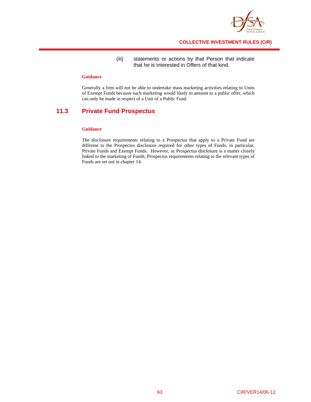

## (iii) statements or actions by that Person that indicate that he is interested in Offers of that kind.

### **Guidance**

Generally a firm will not be able to undertake mass marketing activities relating to Units of Exempt Funds because such marketing would likely to amount to a public offer, which can only be made in respect of a Unit of a Public Fund.

# **11.3 Private Fund Prospectus**

#### **Guidance**

The disclosure requirements relating to a Prospectus that apply to a Private Fund are different to the Prospectus disclosure required for other types of Funds, in particular, Private Funds and Exempt Funds. However, as Prospectus disclosure is a matter closely linked to the marketing of Funds, Prospectus requirements relating to the relevant types of Funds are set out in chapter 14.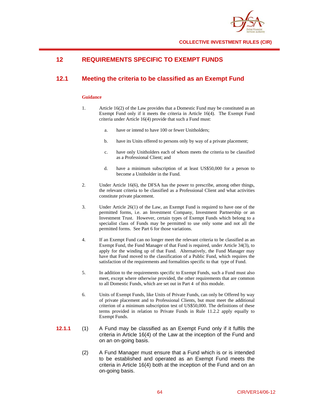

# **12 REQUIREMENTS SPECIFIC TO EXEMPT FUNDS**

# **12.1 Meeting the criteria to be classified as an Exempt Fund**

### **Guidance**

- 1. Article 16(2) of the Law provides that a Domestic Fund may be constituted as an Exempt Fund only if it meets the criteria in Article 16(4). The Exempt Fund criteria under Article 16(4) provide that such a Fund must:
	- a. have or intend to have 100 or fewer Unitholders;
	- b. have its Units offered to persons only by way of a private placement;
	- c. have only Unitholders each of whom meets the criteria to be classified as a Professional Client; and
	- d. have a minimum subscription of at least US\$50,000 for a person to become a Unitholder in the Fund.
- 2. Under Article 16(6), the DFSA has the power to prescribe, among other things, the relevant criteria to be classified as a Professional Client and what activities constitute private placement.
- 3. Under Article 26(1) of the Law, an Exempt Fund is required to have one of the permitted forms, i.e. an Investment Company, Investment Partnership or an Investment Trust. However, certain types of Exempt Funds which belong to a specialist class of Funds may be permitted to use only some and not all the permitted forms. See Part 6 for those variations.
- 4. If an Exempt Fund can no longer meet the relevant criteria to be classified as an Exempt Fund, the Fund Manager of that Fund is required, under Article 34(3), to apply for the winding up of that Fund. Alternatively, the Fund Manager may have that Fund moved to the classification of a Public Fund, which requires the satisfaction of the requirements and formalities specific to that type of Fund.
- 5. In addition to the requirements specific to Exempt Funds, such a Fund must also meet, except where otherwise provided, the other requirements that are common to all Domestic Funds, which are set out in Part 4 of this module.
- 6. Units of Exempt Funds, like Units of Private Funds, can only be Offered by way of private placement and to Professional Clients, but must meet the additional criterion of a minimum subscription test of US\$50,000. The definitions of these terms provided in relation to Private Funds in Rule 11.2.2 apply equally to Exempt Funds.
- **12.1.1** (1) A Fund may be classified as an Exempt Fund only if it fulfils the criteria in Article 16(4) of the Law at the inception of the Fund and on an on-going basis.
	- (2) A Fund Manager must ensure that a Fund which is or is intended to be established and operated as an Exempt Fund meets the criteria in Article 16(4) both at the inception of the Fund and on an on-going basis.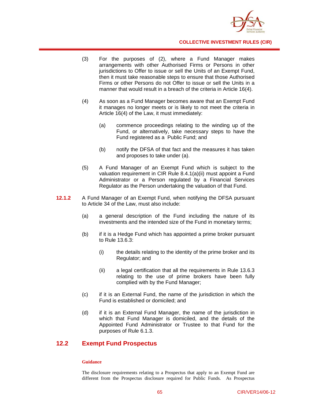

- (3) For the purposes of (2), where a Fund Manager makes arrangements with other Authorised Firms or Persons in other jurisdictions to Offer to issue or sell the Units of an Exempt Fund. then it must take reasonable steps to ensure that those Authorised Firms or other Persons do not Offer to issue or sell the Units in a manner that would result in a breach of the criteria in Article 16(4).
- (4) As soon as a Fund Manager becomes aware that an Exempt Fund it manages no longer meets or is likely to not meet the criteria in Article 16(4) of the Law, it must immediately:
	- (a) commence proceedings relating to the winding up of the Fund, or alternatively, take necessary steps to have the Fund registered as a Public Fund; and
	- (b) notify the DFSA of that fact and the measures it has taken and proposes to take under (a).
- (5) A Fund Manager of an Exempt Fund which is subject to the valuation requirement in CIR Rule 8.4.1(a)(ii) must appoint a Fund Administrator or a Person regulated by a Financial Services Regulator as the Person undertaking the valuation of that Fund.
- **12.1.2** A Fund Manager of an Exempt Fund, when notifying the DFSA pursuant to Article 34 of the Law, must also include:
	- (a) a general description of the Fund including the nature of its investments and the intended size of the Fund in monetary terms;
	- (b) if it is a Hedge Fund which has appointed a prime broker pursuant to Rule 13.6.3:
		- (i) the details relating to the identity of the prime broker and its Regulator; and
		- (ii) a legal certification that all the requirements in Rule 13.6.3 relating to the use of prime brokers have been fully complied with by the Fund Manager;
	- (c) if it is an External Fund, the name of the jurisdiction in which the Fund is established or domiciled; and
	- (d) if it is an External Fund Manager, the name of the jurisdiction in which that Fund Manager is domiciled, and the details of the Appointed Fund Administrator or Trustee to that Fund for the purposes of Rule 6.1.3.

## **12.2 Exempt Fund Prospectus**

#### **Guidance**

The disclosure requirements relating to a Prospectus that apply to an Exempt Fund are different from the Prospectus disclosure required for Public Funds. As Prospectus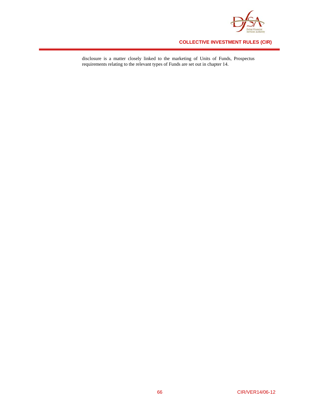

disclosure is a matter closely linked to the marketing of Units of Funds, Prospectus requirements relating to the relevant types of Funds are set out in chapter 14.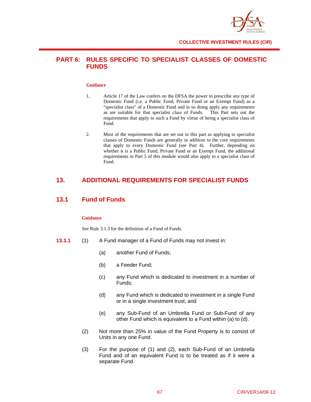

# **PART 6: RULES SPECIFIC TO SPECIALIST CLASSES OF DOMESTIC FUNDS**

#### **Guidance**

- 1. Article 17 of the Law confers on the DFSA the power to prescribe any type of Domestic Fund (i.e. a Public Fund, Private Fund or an Exempt Fund) as a "specialist class" of a Domestic Fund and in so doing apply any requirements as are suitable for that specialist class of Funds. This Part sets out the requirements that apply to such a Fund by virtue of being a specialist class of Fund.
- 2. Most of the requirements that are set out in this part as applying to specialist classes of Domestic Funds are generally in addition to the core requirements that apply to every Domestic Fund (see Part 4). Further, depending on whether it is a Public Fund, Private Fund or an Exempt Fund, the additional requirements in Part 5 of this module would also apply to a specialist class of Fund.

# **13. ADDITIONAL REQUIREMENTS FOR SPECIALIST FUNDS**

## **13.1 Fund of Funds**

### **Guidance**

See Rule 3.1.3 for the definition of a Fund of Funds.

- **13.1.1** (1) A Fund manager of a Fund of Funds may not invest in:
	- (a) another Fund of Funds;
	- (b) a Feeder Fund;
	- (c) any Fund which is dedicated to investment in a number of Funds;
	- (d) any Fund which is dedicated to investment in a single Fund or in a single investment trust; and
	- (e) any Sub-Fund of an Umbrella Fund or Sub-Fund of any other Fund which is equivalent to a Fund within (a) to (d).
	- (2) Not more than 25% in value of the Fund Property is to consist of Units in any one Fund.
	- (3) For the purpose of (1) and (2), each Sub-Fund of an Umbrella Fund and of an equivalent Fund is to be treated as if it were a separate Fund.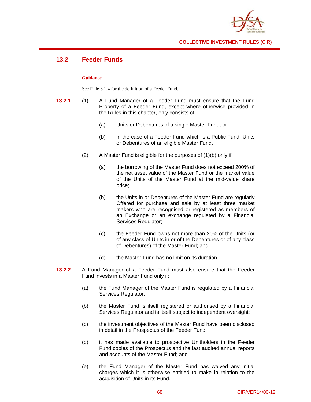

# **13.2 Feeder Funds**

## **Guidance**

See Rule 3.1.4 for the definition of a Feeder Fund.

- **13.2.1** (1) A Fund Manager of a Feeder Fund must ensure that the Fund Property of a Feeder Fund, except where otherwise provided in the Rules in this chapter, only consists of:
	- (a) Units or Debentures of a single Master Fund; or
	- (b) in the case of a Feeder Fund which is a Public Fund, Units or Debentures of an eligible Master Fund.
	- (2) A Master Fund is eligible for the purposes of (1)(b) only if:
		- (a) the borrowing of the Master Fund does not exceed 200% of the net asset value of the Master Fund or the market value of the Units of the Master Fund at the mid-value share price;
		- (b) the Units in or Debentures of the Master Fund are regularly Offered for purchase and sale by at least three market makers who are recognised or registered as members of an Exchange or an exchange regulated by a Financial Services Regulator;
		- (c) the Feeder Fund owns not more than 20% of the Units (or of any class of Units in or of the Debentures or of any class of Debentures) of the Master Fund; and
		- (d) the Master Fund has no limit on its duration.
- **13.2.2** A Fund Manager of a Feeder Fund must also ensure that the Feeder Fund invests in a Master Fund only if:
	- (a) the Fund Manager of the Master Fund is regulated by a Financial Services Regulator;
	- (b) the Master Fund is itself registered or authorised by a Financial Services Regulator and is itself subject to independent oversight;
	- (c) the investment objectives of the Master Fund have been disclosed in detail in the Prospectus of the Feeder Fund;
	- (d) it has made available to prospective Unitholders in the Feeder Fund copies of the Prospectus and the last audited annual reports and accounts of the Master Fund; and
	- (e) the Fund Manager of the Master Fund has waived any initial charges which it is otherwise entitled to make in relation to the acquisition of Units in its Fund.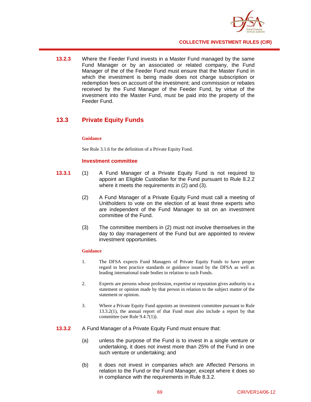

**13.2.3** Where the Feeder Fund invests in a Master Fund managed by the same Fund Manager or by an associated or related company, the Fund Manager of the of the Feeder Fund must ensure that the Master Fund in which the investment is being made does not charge subscription or redemption fees on account of the investment; and commission or rebates received by the Fund Manager of the Feeder Fund, by virtue of the investment into the Master Fund, must be paid into the property of the Feeder Fund.

## **13.3 Private Equity Funds**

## **Guidance**

See Rule 3.1.6 for the definition of a Private Equity Fund.

## **Investment committee**

- **13.3.1** (1) A Fund Manager of a Private Equity Fund is not required to appoint an Eligible Custodian for the Fund pursuant to Rule 8.2.2 where it meets the requirements in (2) and (3).
	- (2) A Fund Manager of a Private Equity Fund must call a meeting of Unitholders to vote on the election of at least three experts who are independent of the Fund Manager to sit on an investment committee of the Fund.
	- (3) The committee members in (2) must not involve themselves in the day to day management of the Fund but are appointed to review investment opportunities.

## **Guidance**

- 1. The DFSA expects Fund Managers of Private Equity Funds to have proper regard to best practice standards or guidance issued by the DFSA as well as leading international trade bodies in relation to such Funds.
- 2. Experts are persons whose profession, expertise or reputation gives authority to a statement or opinion made by that person in relation to the subject matter of the statement or opinion.
- 3. Where a Private Equity Fund appoints an investment committee pursuant to Rule 13.3.2(1), the annual report of that Fund must also include a report by that committee (see Rule 9.4.7(1)).
- **13.3.2** A Fund Manager of a Private Equity Fund must ensure that:
	- (a) unless the purpose of the Fund is to invest in a single venture or undertaking, it does not invest more than 25% of the Fund in one such venture or undertaking; and
	- (b) it does not invest in companies which are Affected Persons in relation to the Fund or the Fund Manager, except where it does so in compliance with the requirements in Rule 8.3.2.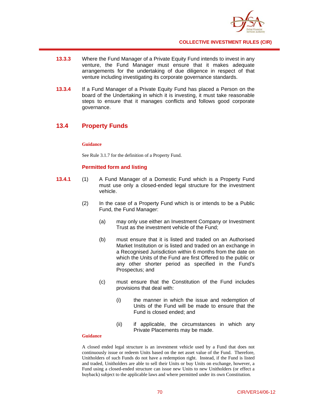

- **13.3.3** Where the Fund Manager of a Private Equity Fund intends to invest in any venture, the Fund Manager must ensure that it makes adequate arrangements for the undertaking of due diligence in respect of that venture including investigating its corporate governance standards.
- **13.3.4** If a Fund Manager of a Private Equity Fund has placed a Person on the board of the Undertaking in which it is investing, it must take reasonable steps to ensure that it manages conflicts and follows good corporate governance.

## **13.4 Property Funds**

## **Guidance**

See Rule 3.1.7 for the definition of a Property Fund.

## **Permitted form and listing**

- **13.4.1** (1) A Fund Manager of a Domestic Fund which is a Property Fund must use only a closed-ended legal structure for the investment vehicle.
	- (2) In the case of a Property Fund which is or intends to be a Public Fund, the Fund Manager:
		- (a) may only use either an Investment Company or Investment Trust as the investment vehicle of the Fund;
		- (b) must ensure that it is listed and traded on an Authorised Market Institution or is listed and traded on an exchange in a Recognised Jurisdiction within 6 months from the date on which the Units of the Fund are first Offered to the public or any other shorter period as specified in the Fund's Prospectus; and
		- (c) must ensure that the Constitution of the Fund includes provisions that deal with:
			- (i) the manner in which the issue and redemption of Units of the Fund will be made to ensure that the Fund is closed ended; and
			- (ii) if applicable, the circumstances in which any Private Placements may be made.

#### **Guidance**

A closed ended legal structure is an investment vehicle used by a Fund that does not continuously issue or redeem Units based on the net asset value of the Fund. Therefore, Unitholders of such Funds do not have a redemption right. Instead, if the Fund is listed and traded, Unitholders are able to sell their Units or buy Units on exchange, however, a Fund using a closed-ended structure can issue new Units to new Unitholders (or effect a buyback) subject to the applicable laws and where permitted under its own Constitution.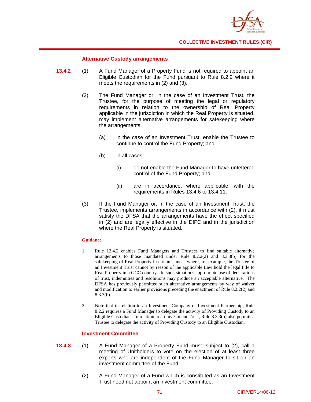

## **Alternative Custody arrangements**

- **13.4.2** (1) A Fund Manager of a Property Fund is not required to appoint an Eligible Custodian for the Fund pursuant to Rule 8.2.2 where it meets the requirements in (2) and (3).
	- (2) The Fund Manager or, in the case of an Investment Trust, the Trustee, for the purpose of meeting the legal or regulatory requirements in relation to the ownership of Real Property applicable in the jurisdiction in which the Real Property is situated, may implement alternative arrangements for safekeeping where the arrangements:
		- (a) in the case of an Investment Trust, enable the Trustee to continue to control the Fund Property; and
		- (b) in all cases:
			- (i) do not enable the Fund Manager to have unfettered control of the Fund Property; and
			- (ii) are in accordance, where applicable, with the requirements in Rules 13.4.6 to 13.4.11.
	- (3) If the Fund Manager or, in the case of an Investment Trust, the Trustee, implements arrangements in accordance with (2), it must satisfy the DFSA that the arrangements have the effect specified in (2) and are legally effective in the DIFC and in the jurisdiction where the Real Property is situated.

#### **Guidance**

- 1. Rule 13.4.2 enables Fund Managers and Trustees to find suitable alternative arrangements to those mandated under Rule 8.2.2(2) and 8.3.3(b) for the safekeeping of Real Property in circumstances where, for example, the Trustee of an Investment Trust cannot by reason of the applicable Law hold the legal title to Real Property in a GCC country. In such situations appropriate use of declarations of trust, indemnities and resolutions may produce an acceptable alternative. The DFSA has previously permitted such alternative arrangements by way of waiver and modification to earlier provisions preceding the enactment of Rule 8.2.2(2) and 8.3.3(b).
- 2. Note that in relation to an Investment Company or Investment Partnership, Rule 8.2.2 requires a Fund Manager to delegate the activity of Providing Custody to an Eligible Custodian. In relation to an Investment Trust, Rule 8.3.3(b) also permits a Trustee to delegate the activity of Providing Custody to an Eligible Custodian.

## **Investment Committee**

- **13.4.3** (1) A Fund Manager of a Property Fund must, subject to (2), call a meeting of Unitholders to vote on the election of at least three experts who are independent of the Fund Manager to sit on an investment committee of the Fund.
	- (2) A Fund Manager of a Fund which is constituted as an Investment Trust need not appoint an investment committee.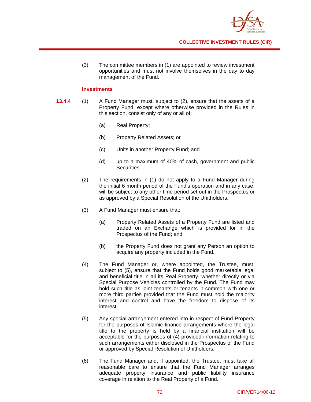

(3) The committee members in (1) are appointed to review investment opportunities and must not involve themselves in the day to day management of the Fund.

## **Investments**

- **13.4.4** (1) A Fund Manager must, subject to (2), ensure that the assets of a Property Fund, except where otherwise provided in the Rules in this section, consist only of any or all of:
	- (a) Real Property;
	- (b) Property Related Assets; or
	- (c) Units in another Property Fund; and
	- (d) up to a maximum of 40% of cash, government and public Securities.
	- (2) The requirements in (1) do not apply to a Fund Manager during the initial 6 month period of the Fund's operation and in any case, will be subject to any other time period set out in the Prospectus or as approved by a Special Resolution of the Unitholders.
	- (3) A Fund Manager must ensure that:
		- (a) Property Related Assets of a Property Fund are listed and traded on an Exchange which is provided for in the Prospectus of the Fund; and
		- (b) the Property Fund does not grant any Person an option to acquire any property included in the Fund.
	- (4) The Fund Manager or, where appointed, the Trustee, must, subject to (5), ensure that the Fund holds good marketable legal and beneficial title in all its Real Property, whether directly or via Special Purpose Vehicles controlled by the Fund. The Fund may hold such title as joint tenants or tenants-in-common with one or more third parties provided that the Fund must hold the majority interest and control and have the freedom to dispose of its interest.
	- (5) Any special arrangement entered into in respect of Fund Property for the purposes of Islamic finance arrangements where the legal title to the property is held by a financial institution will be acceptable for the purposes of (4) provided information relating to such arrangements either disclosed in the Prospectus of the Fund or approved by Special Resolution of Unitholders.
	- (6) The Fund Manager and, if appointed, the Trustee, must take all reasonable care to ensure that the Fund Manager arranges adequate property insurance and public liability insurance coverage in relation to the Real Property of a Fund.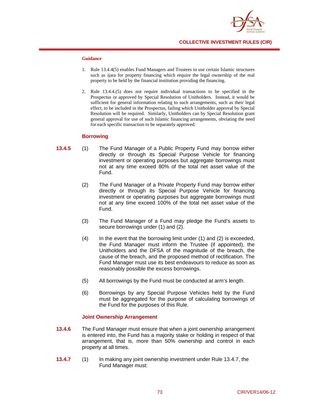

## **Guidance**

- 1. Rule 13.4.4(5) enables Fund Managers and Trustees to use certain Islamic structures such as ijara for property financing which require the legal ownership of the real property to be held by the financial institution providing the financing.
- 2. Rule 13.4.4.(5) does not require individual transactions to be specified in the Prospectus or approved by Special Resolution of Unitholders. Instead, it would be sufficient for general information relating to such arrangements, such as their legal effect, to be included in the Prospectus, failing which Unitholder approval by Special Resolution will be required. Similarly, Unitholders can by Special Resolution grant general approval for use of such Islamic financing arrangements, obviating the need for each specific transaction to be separately approved.

#### **Borrowing**

- **13.4.5** (1) The Fund Manager of a Public Property Fund may borrow either directly or through its Special Purpose Vehicle for financing investment or operating purposes but aggregate borrowings must not at any time exceed 80% of the total net asset value of the Fund.
	- (2) The Fund Manager of a Private Property Fund may borrow either directly or through its Special Purpose Vehicle for financing investment or operating purposes but aggregate borrowings must not at any time exceed 100% of the total net asset value of the Fund.
	- (3) The Fund Manager of a Fund may pledge the Fund's assets to secure borrowings under (1) and (2).
	- $(4)$  In the event that the borrowing limit under  $(1)$  and  $(2)$  is exceeded, the Fund Manager must inform the Trustee (if appointed), the Unitholders and the DFSA of the magnitude of the breach, the cause of the breach, and the proposed method of rectification. The Fund Manager must use its best endeavours to reduce as soon as reasonably possible the excess borrowings.
	- (5) All borrowings by the Fund must be conducted at arm's length.
	- (6) Borrowings by any Special Purpose Vehicles held by the Fund must be aggregated for the purpose of calculating borrowings of the Fund for the purposes of this Rule.

## **Joint Ownership Arrangement**

- **13.4.6** The Fund Manager must ensure that when a joint ownership arrangement is entered into, the Fund has a majority stake or holding in respect of that arrangement, that is, more than 50% ownership and control in each property at all times.
- **13.4.7** (1) In making any joint ownership investment under Rule 13.4.7, the Fund Manager must: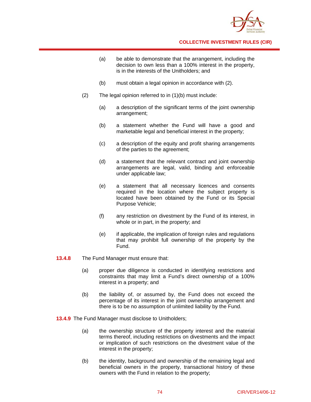

- (a) be able to demonstrate that the arrangement, including the decision to own less than a 100% interest in the property, is in the interests of the Unitholders; and
- (b) must obtain a legal opinion in accordance with (2).
- (2) The legal opinion referred to in (1)(b) must include:
	- (a) a description of the significant terms of the joint ownership arrangement;
	- (b) a statement whether the Fund will have a good and marketable legal and beneficial interest in the property;
	- (c) a description of the equity and profit sharing arrangements of the parties to the agreement;
	- (d) a statement that the relevant contract and joint ownership arrangements are legal, valid, binding and enforceable under applicable law;
	- (e) a statement that all necessary licences and consents required in the location where the subject property is located have been obtained by the Fund or its Special Purpose Vehicle;
	- (f) any restriction on divestment by the Fund of its interest, in whole or in part, in the property; and
	- (e) if applicable, the implication of foreign rules and regulations that may prohibit full ownership of the property by the Fund.
- **13.4.8** The Fund Manager must ensure that:
	- (a) proper due diligence is conducted in identifying restrictions and constraints that may limit a Fund's direct ownership of a 100% interest in a property; and
	- (b) the liability of, or assumed by, the Fund does not exceed the percentage of its interest in the joint ownership arrangement and there is to be no assumption of unlimited liability by the Fund.
- **13.4.9** The Fund Manager must disclose to Unitholders;
	- (a) the ownership structure of the property interest and the material terms thereof, including restrictions on divestments and the impact or implication of such restrictions on the divestment value of the interest in the property;
	- (b) the identity, background and ownership of the remaining legal and beneficial owners in the property, transactional history of these owners with the Fund in relation to the property;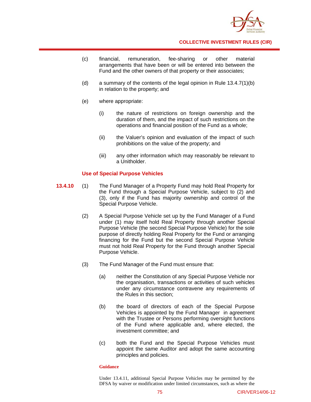

- (c) financial, remuneration, fee-sharing or other material arrangements that have been or will be entered into between the Fund and the other owners of that property or their associates;
- (d) a summary of the contents of the legal opinion in Rule 13.4.7(1)(b) in relation to the property; and
- (e) where appropriate:
	- (i) the nature of restrictions on foreign ownership and the duration of them, and the impact of such restrictions on the operations and financial position of the Fund as a whole;
	- (ii) the Valuer's opinion and evaluation of the impact of such prohibitions on the value of the property; and
	- (iii) any other information which may reasonably be relevant to a Unitholder.

## **Use of Special Purpose Vehicles**

- **13.4.10** (1) The Fund Manager of a Property Fund may hold Real Property for the Fund through a Special Purpose Vehicle, subject to (2) and (3), only if the Fund has majority ownership and control of the Special Purpose Vehicle.
	- (2) A Special Purpose Vehicle set up by the Fund Manager of a Fund under (1) may itself hold Real Property through another Special Purpose Vehicle (the second Special Purpose Vehicle) for the sole purpose of directly holding Real Property for the Fund or arranging financing for the Fund but the second Special Purpose Vehicle must not hold Real Property for the Fund through another Special Purpose Vehicle.
	- (3) The Fund Manager of the Fund must ensure that:
		- (a) neither the Constitution of any Special Purpose Vehicle nor the organisation, transactions or activities of such vehicles under any circumstance contravene any requirements of the Rules in this section;
		- (b) the board of directors of each of the Special Purpose Vehicles is appointed by the Fund Manager in agreement with the Trustee or Persons performing oversight functions of the Fund where applicable and, where elected, the investment committee; and
		- (c) both the Fund and the Special Purpose Vehicles must appoint the same Auditor and adopt the same accounting principles and policies.

#### **Guidance**

Under 13.4.11, additional Special Purpose Vehicles may be permitted by the DFSA by waiver or modification under limited circumstances, such as where the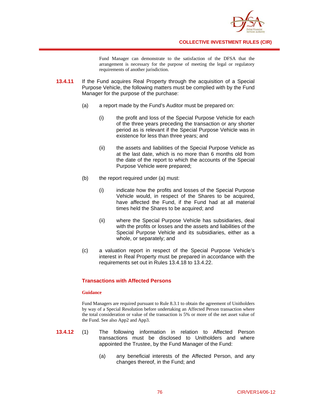

Fund Manager can demonstrate to the satisfaction of the DFSA that the arrangement is necessary for the purpose of meeting the legal or regulatory requirements of another jurisdiction.

- **13.4.11** If the Fund acquires Real Property through the acquisition of a Special Purpose Vehicle, the following matters must be complied with by the Fund Manager for the purpose of the purchase:
	- (a) a report made by the Fund's Auditor must be prepared on:
		- (i) the profit and loss of the Special Purpose Vehicle for each of the three years preceding the transaction or any shorter period as is relevant if the Special Purpose Vehicle was in existence for less than three years; and
		- (ii) the assets and liabilities of the Special Purpose Vehicle as at the last date, which is no more than 6 months old from the date of the report to which the accounts of the Special Purpose Vehicle were prepared;
	- (b) the report required under (a) must:
		- (i) indicate how the profits and losses of the Special Purpose Vehicle would, in respect of the Shares to be acquired, have affected the Fund, if the Fund had at all material times held the Shares to be acquired; and
		- (ii) where the Special Purpose Vehicle has subsidiaries, deal with the profits or losses and the assets and liabilities of the Special Purpose Vehicle and its subsidiaries, either as a whole, or separately; and
	- (c) a valuation report in respect of the Special Purpose Vehicle's interest in Real Property must be prepared in accordance with the requirements set out in Rules 13.4.18 to 13.4.22.

## **Transactions with Affected Persons**

## **Guidance**

Fund Managers are required pursuant to Rule 8.3.1 to obtain the agreement of Unitholders by way of a Special Resolution before undertaking an Affected Person transaction where the total consideration or value of the transaction is 5% or more of the net asset value of the Fund. See also App2 and App3.

- **13.4.12** (1) The following information in relation to Affected Person transactions must be disclosed to Unitholders and where appointed the Trustee, by the Fund Manager of the Fund:
	- (a) any beneficial interests of the Affected Person, and any changes thereof, in the Fund; and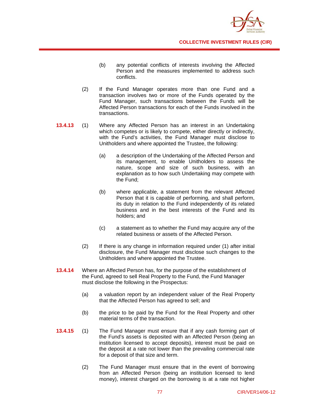

- (b) any potential conflicts of interests involving the Affected Person and the measures implemented to address such conflicts.
- (2) If the Fund Manager operates more than one Fund and a transaction involves two or more of the Funds operated by the Fund Manager, such transactions between the Funds will be Affected Person transactions for each of the Funds involved in the transactions.
- **13.4.13** (1) Where any Affected Person has an interest in an Undertaking which competes or is likely to compete, either directly or indirectly, with the Fund's activities, the Fund Manager must disclose to Unitholders and where appointed the Trustee, the following:
	- (a) a description of the Undertaking of the Affected Person and its management, to enable Unitholders to assess the nature, scope and size of such business, with an explanation as to how such Undertaking may compete with the Fund;
	- (b) where applicable, a statement from the relevant Affected Person that it is capable of performing, and shall perform, its duty in relation to the Fund independently of its related business and in the best interests of the Fund and its holders; and
	- (c) a statement as to whether the Fund may acquire any of the related business or assets of the Affected Person.
	- (2) If there is any change in information required under (1) after initial disclosure, the Fund Manager must disclose such changes to the Unitholders and where appointed the Trustee.
- **13.4.14** Where an Affected Person has, for the purpose of the establishment of the Fund, agreed to sell Real Property to the Fund, the Fund Manager must disclose the following in the Prospectus:
	- (a) a valuation report by an independent valuer of the Real Property that the Affected Person has agreed to sell; and
	- (b) the price to be paid by the Fund for the Real Property and other material terms of the transaction.
- **13.4.15** (1) The Fund Manager must ensure that if any cash forming part of the Fund's assets is deposited with an Affected Person (being an institution licensed to accept deposits), interest must be paid on the deposit at a rate not lower than the prevailing commercial rate for a deposit of that size and term.
	- (2) The Fund Manager must ensure that in the event of borrowing from an Affected Person (being an institution licensed to lend money), interest charged on the borrowing is at a rate not higher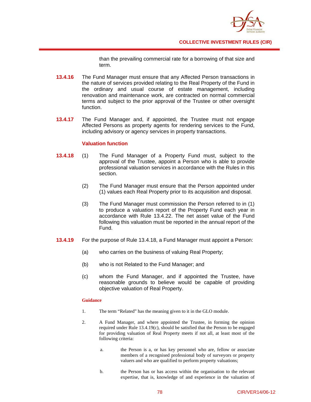

than the prevailing commercial rate for a borrowing of that size and term.

- **13.4.16** The Fund Manager must ensure that any Affected Person transactions in the nature of services provided relating to the Real Property of the Fund in the ordinary and usual course of estate management, including renovation and maintenance work, are contracted on normal commercial terms and subject to the prior approval of the Trustee or other oversight function.
- **13.4.17** The Fund Manager and, if appointed, the Trustee must not engage Affected Persons as property agents for rendering services to the Fund, including advisory or agency services in property transactions.

## **Valuation function**

- **13.4.18** (1) The Fund Manager of a Property Fund must, subject to the approval of the Trustee, appoint a Person who is able to provide professional valuation services in accordance with the Rules in this section.
	- (2) The Fund Manager must ensure that the Person appointed under (1) values each Real Property prior to its acquisition and disposal.
	- (3) The Fund Manager must commission the Person referred to in (1) to produce a valuation report of the Property Fund each year in accordance with Rule 13.4.22. The net asset value of the Fund following this valuation must be reported in the annual report of the Fund.
- **13.4.19** For the purpose of Rule 13.4.18, a Fund Manager must appoint a Person:
	- (a) who carries on the business of valuing Real Property;
	- (b) who is not Related to the Fund Manager; and
	- (c) whom the Fund Manager, and if appointed the Trustee, have reasonable grounds to believe would be capable of providing objective valuation of Real Property.

#### **Guidance**

- 1. The term "Related" has the meaning given to it in the GLO module.
- 2. A Fund Manager, and where appointed the Trustee, in forming the opinion required under Rule 13.4.19(c), should be satisfied that the Person to be engaged for providing valuation of Real Property meets if not all, at least most of the following criteria:
	- a. the Person is a, or has key personnel who are, fellow or associate members of a recognised professional body of surveyors or property valuers and who are qualified to perform property valuations;
	- b. the Person has or has access within the organisation to the relevant expertise, that is, knowledge of and experience in the valuation of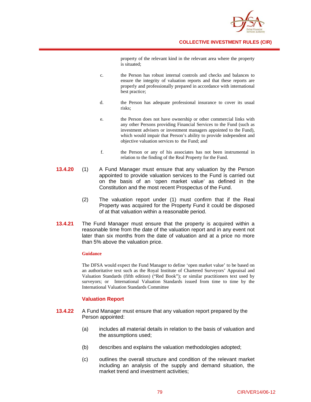

property of the relevant kind in the relevant area where the property is situated;

- c. the Person has robust internal controls and checks and balances to ensure the integrity of valuation reports and that these reports are properly and professionally prepared in accordance with international best practice;
- d. the Person has adequate professional insurance to cover its usual risks;
- e. the Person does not have ownership or other commercial links with any other Persons providing Financial Services to the Fund (such as investment advisers or investment managers appointed to the Fund), which would impair that Person's ability to provide independent and objective valuation services to the Fund; and
- f. the Person or any of his associates has not been instrumental in relation to the finding of the Real Property for the Fund.
- **13.4.20** (1) A Fund Manager must ensure that any valuation by the Person appointed to provide valuation services to the Fund is carried out on the basis of an 'open market value' as defined in the Constitution and the most recent Prospectus of the Fund.
	- (2) The valuation report under (1) must confirm that if the Real Property was acquired for the Property Fund it could be disposed of at that valuation within a reasonable period.
- **13.4.21** The Fund Manager must ensure that the property is acquired within a reasonable time from the date of the valuation report and in any event not later than six months from the date of valuation and at a price no more than 5% above the valuation price.

## **Guidance**

The DFSA would expect the Fund Manager to define 'open market value' to be based on an authoritative text such as the Royal Institute of Chartered Surveyors' Appraisal and Valuation Standards (fifth edition) ("Red Book"); or similar practitioners text used by surveyors; or International Valuation Standards issued from time to time by the International Valuation Standards Committee

## **Valuation Report**

- **13.4.22** A Fund Manager must ensure that any valuation report prepared by the Person appointed:
	- (a) includes all material details in relation to the basis of valuation and the assumptions used;
	- (b) describes and explains the valuation methodologies adopted;
	- (c) outlines the overall structure and condition of the relevant market including an analysis of the supply and demand situation, the market trend and investment activities;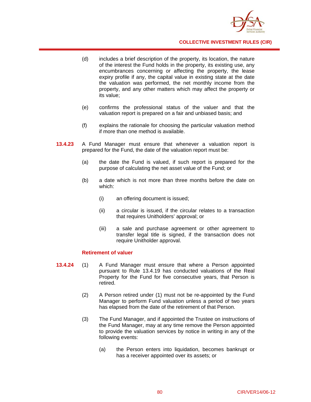

- (d) includes a brief description of the property, its location, the nature of the interest the Fund holds in the property, its existing use, any encumbrances concerning or affecting the property, the lease expiry profile if any, the capital value in existing state at the date the valuation was performed, the net monthly income from the property, and any other matters which may affect the property or its value;
- (e) confirms the professional status of the valuer and that the valuation report is prepared on a fair and unbiased basis; and
- (f) explains the rationale for choosing the particular valuation method if more than one method is available.
- **13.4.23** A Fund Manager must ensure that whenever a valuation report is prepared for the Fund, the date of the valuation report must be:
	- (a) the date the Fund is valued, if such report is prepared for the purpose of calculating the net asset value of the Fund; or
	- (b) a date which is not more than three months before the date on which:
		- (i) an offering document is issued;
		- (ii) a circular is issued, if the circular relates to a transaction that requires Unitholders' approval; or
		- (iii) a sale and purchase agreement or other agreement to transfer legal title is signed, if the transaction does not require Unitholder approval.

#### **Retirement of valuer**

- **13.4.24** (1) A Fund Manager must ensure that where a Person appointed pursuant to Rule 13.4.19 has conducted valuations of the Real Property for the Fund for five consecutive years, that Person is retired.
	- (2) A Person retired under (1) must not be re-appointed by the Fund Manager to perform Fund valuation unless a period of two years has elapsed from the date of the retirement of that Person.
	- (3) The Fund Manager, and if appointed the Trustee on instructions of the Fund Manager, may at any time remove the Person appointed to provide the valuation services by notice in writing in any of the following events:
		- (a) the Person enters into liquidation, becomes bankrupt or has a receiver appointed over its assets; or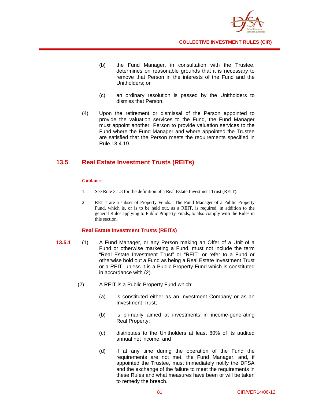

- (b) the Fund Manager, in consultation with the Trustee, determines on reasonable grounds that it is necessary to remove that Person in the interests of the Fund and the Unitholders; or
- (c) an ordinary resolution is passed by the Unitholders to dismiss that Person.
- (4) Upon the retirement or dismissal of the Person appointed to provide the valuation services to the Fund, the Fund Manager must appoint another Person to provide valuation services to the Fund where the Fund Manager and where appointed the Trustee are satisfied that the Person meets the requirements specified in Rule 13.4.19.

## **13.5 Real Estate Investment Trusts (REITs)**

## **Guidance**

- 1. See Rule 3.1.8 for the definition of a Real Estate Investment Trust (REIT).
- 2. REITs are a subset of Property Funds. The Fund Manager of a Public Property Fund, which is, or is to be held out, as a REIT, is required, in addition to the general Rules applying to Public Property Funds, to also comply with the Rules in this section.

## **Real Estate Investment Trusts (REITs)**

- **13.5.1** (1) A Fund Manager, or any Person making an Offer of a Unit of a Fund or otherwise marketing a Fund, must not include the term "Real Estate Investment Trust" or "REIT" or refer to a Fund or otherwise hold out a Fund as being a Real Estate Investment Trust or a REIT, unless it is a Public Property Fund which is constituted in accordance with (2).
	- (2) A REIT is a Public Property Fund which:
		- (a) is constituted either as an Investment Company or as an Investment Trust;
		- (b) is primarily aimed at investments in income-generating Real Property;
		- (c) distributes to the Unitholders at least 80% of its audited annual net income; and
		- (d) if at any time during the operation of the Fund the requirements are not met, the Fund Manager, and, if appointed the Trustee, must immediately notify the DFSA and the exchange of the failure to meet the requirements in these Rules and what measures have been or will be taken to remedy the breach.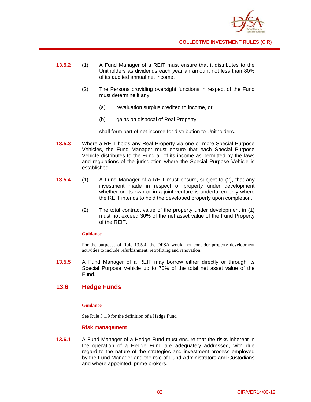

- **13.5.2** (1) A Fund Manager of a REIT must ensure that it distributes to the Unitholders as dividends each year an amount not less than 80% of its audited annual net income.
	- (2) The Persons providing oversight functions in respect of the Fund must determine if any;
		- (a) revaluation surplus credited to income, or
		- (b) gains on disposal of Real Property,

shall form part of net income for distribution to Unitholders.

- **13.5.3** Where a REIT holds any Real Property via one or more Special Purpose Vehicles, the Fund Manager must ensure that each Special Purpose Vehicle distributes to the Fund all of its income as permitted by the laws and regulations of the jurisdiction where the Special Purpose Vehicle is established.
- **13.5.4** (1) A Fund Manager of a REIT must ensure, subject to (2), that any investment made in respect of property under development whether on its own or in a joint venture is undertaken only where the REIT intends to hold the developed property upon completion.
	- (2) The total contract value of the property under development in (1) must not exceed 30% of the net asset value of the Fund Property of the REIT.

## **Guidance**

For the purposes of Rule 13.5.4, the DFSA would not consider property development activities to include refurbishment, retrofitting and renovation.

**13.5.5** A Fund Manager of a REIT may borrow either directly or through its Special Purpose Vehicle up to 70% of the total net asset value of the Fund.

## **13.6 Hedge Funds**

#### **Guidance**

See Rule 3.1.9 for the definition of a Hedge Fund.

## **Risk management**

**13.6.1** A Fund Manager of a Hedge Fund must ensure that the risks inherent in the operation of a Hedge Fund are adequately addressed, with due regard to the nature of the strategies and investment process employed by the Fund Manager and the role of Fund Administrators and Custodians and where appointed, prime brokers.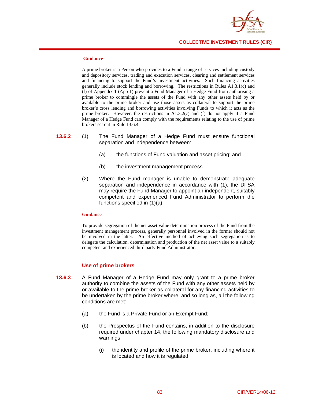

#### **Guidance**

A prime broker is a Person who provides to a Fund a range of services including custody and depository services, trading and execution services, clearing and settlement services and financing to support the Fund's investment activities. Such financing activities generally include stock lending and borrowing. The restrictions in Rules A1.3.1(c) and (f) of Appendix 1 (App 1) prevent a Fund Manager of a Hedge Fund from authorising a prime broker to commingle the assets of the Fund with any other assets held by or available to the prime broker and use those assets as collateral to support the prime broker's cross lending and borrowing activities involving Funds to which it acts as the prime broker. However, the restrictions in  $A1.3.2(c)$  and (f) do not apply if a Fund Manager of a Hedge Fund can comply with the requirements relating to the use of prime brokers set out in Rule 13.6.4.

## **13.6.2** (1) The Fund Manager of a Hedge Fund must ensure functional separation and independence between:

- (a) the functions of Fund valuation and asset pricing; and
- (b) the investment management process.
- (2) Where the Fund manager is unable to demonstrate adequate separation and independence in accordance with (1), the DFSA may require the Fund Manager to appoint an independent, suitably competent and experienced Fund Administrator to perform the functions specified in (1)(a).

## **Guidance**

To provide segregation of the net asset value determination process of the Fund from the investment management process, generally personnel involved in the former should not be involved in the latter. An effective method of achieving such segregation is to delegate the calculation, determination and production of the net asset value to a suitably competent and experienced third party Fund Administrator.

## **Use of prime brokers**

- **13.6.3** A Fund Manager of a Hedge Fund may only grant to a prime broker authority to combine the assets of the Fund with any other assets held by or available to the prime broker as collateral for any financing activities to be undertaken by the prime broker where, and so long as, all the following conditions are met:
	- (a) the Fund is a Private Fund or an Exempt Fund;
	- (b) the Prospectus of the Fund contains, in addition to the disclosure required under chapter 14, the following mandatory disclosure and warnings:
		- (i) the identity and profile of the prime broker, including where it is located and how it is regulated;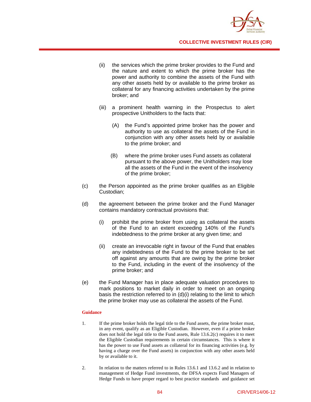

- (ii) the services which the prime broker provides to the Fund and the nature and extent to which the prime broker has the power and authority to combine the assets of the Fund with any other assets held by or available to the prime broker as collateral for any financing activities undertaken by the prime broker; and
- (iii) a prominent health warning in the Prospectus to alert prospective Unitholders to the facts that:
	- (A) the Fund's appointed prime broker has the power and authority to use as collateral the assets of the Fund in conjunction with any other assets held by or available to the prime broker; and
	- (B) where the prime broker uses Fund assets as collateral pursuant to the above power, the Unitholders may lose all the assets of the Fund in the event of the insolvency of the prime broker;
- (c) the Person appointed as the prime broker qualifies as an Eligible Custodian;
- (d) the agreement between the prime broker and the Fund Manager contains mandatory contractual provisions that:
	- (i) prohibit the prime broker from using as collateral the assets of the Fund to an extent exceeding 140% of the Fund's indebtedness to the prime broker at any given time; and
	- (ii) create an irrevocable right in favour of the Fund that enables any indebtedness of the Fund to the prime broker to be set off against any amounts that are owing by the prime broker to the Fund, including in the event of the insolvency of the prime broker; and
- (e) the Fund Manager has in place adequate valuation procedures to mark positions to market daily in order to meet on an ongoing basis the restriction referred to in (d)(i) relating to the limit to which the prime broker may use as collateral the assets of the Fund.

## **Guidance**

- 1. If the prime broker holds the legal title to the Fund assets, the prime broker must, in any event, qualify as an Eligible Custodian. However, even if a prime broker does not hold the legal title to the Fund assets, Rule 13.6.2(c) requires it to meet the Eligible Custodian requirements in certain circumstances. This is where it has the power to use Fund assets as collateral for its financing activities (e.g. by having a charge over the Fund assets) in conjunction with any other assets held by or available to it.
- 2. In relation to the matters referred to in Rules 13.6.1 and 13.6.2 and in relation to management of Hedge Fund investments, the DFSA expects Fund Managers of Hedge Funds to have proper regard to best practice standards and guidance set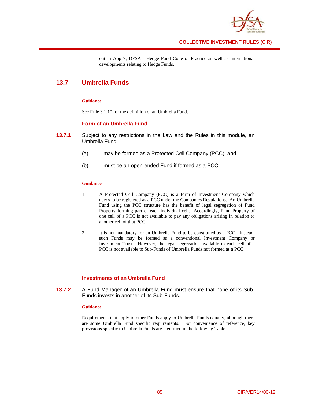

out in App 7, DFSA's Hedge Fund Code of Practice as well as international developments relating to Hedge Funds.

## **13.7 Umbrella Funds**

## **Guidance**

See Rule 3.1.10 for the definition of an Umbrella Fund.

## **Form of an Umbrella Fund**

- **13.7.1** Subject to any restrictions in the Law and the Rules in this module, an Umbrella Fund:
	- (a) may be formed as a Protected Cell Company (PCC); and
	- (b) must be an open-ended Fund if formed as a PCC.

## **Guidance**

- 1. A Protected Cell Company (PCC) is a form of Investment Company which needs to be registered as a PCC under the Companies Regulations. An Umbrella Fund using the PCC structure has the benefit of legal segregation of Fund Property forming part of each individual cell. Accordingly, Fund Property of one cell of a PCC is not available to pay any obligations arising in relation to another cell of that PCC.
- 2. It is not mandatory for an Umbrella Fund to be constituted as a PCC. Instead, such Funds may be formed as a conventional Investment Company or Investment Trust. However, the legal segregation available to each cell of a PCC is not available to Sub-Funds of Umbrella Funds not formed as a PCC.

## **Investments of an Umbrella Fund**

**13.7.2** A Fund Manager of an Umbrella Fund must ensure that none of its Sub-Funds invests in another of its Sub-Funds.

#### **Guidance**

Requirements that apply to other Funds apply to Umbrella Funds equally, although there are some Umbrella Fund specific requirements. For convenience of reference, key provisions specific to Umbrella Funds are identified in the following Table.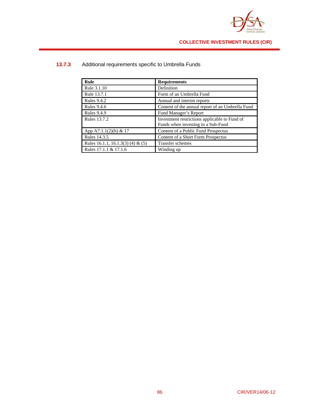

| Rule                              | <b>Requirements</b>                                                                 |
|-----------------------------------|-------------------------------------------------------------------------------------|
| Rule 3.1.10                       | Definition                                                                          |
| Rule 13.7.1                       | Form of an Umbrella Fund                                                            |
| <b>Rules 9.4.2</b>                | Annual and interim reports                                                          |
| <b>Rules 9.4.6</b>                | Content of the annual report of an Umbrella Fund                                    |
| <b>Rules 9.4.9</b>                | Fund Manager's Report                                                               |
| <b>Rules 13.7.2</b>               | Investment restrictions applicable to Fund of<br>Funds when investing in a Sub-Fund |
| App A7.1.1(2)(h) & 17             | Content of a Public Fund Prospectus                                                 |
| Rules 14.3.5                      | Content of a Short Form Prospectus                                                  |
| Rules 16.1.1, 16.1.3(3) (4) & (5) | Transfer schemes                                                                    |
| Rules 17.1.1 & 17.1.6             | Winding up                                                                          |

# **13.7.3** Additional requirements specific to Umbrella Funds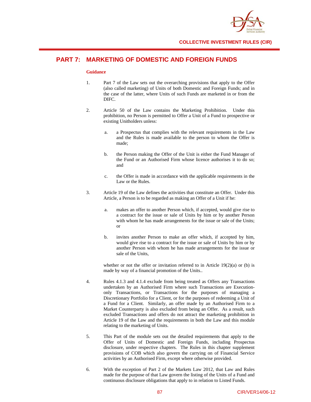

# **PART 7: MARKETING OF DOMESTIC AND FOREIGN FUNDS**

#### **Guidance**

- 1. Part 7 of the Law sets out the overarching provisions that apply to the Offer (also called marketing) of Units of both Domestic and Foreign Funds; and in the case of the latter, where Units of such Funds are marketed in or from the DIFC.
- 2. Article 50 of the Law contains the Marketing Prohibition. Under this prohibition, no Person is permitted to Offer a Unit of a Fund to prospective or existing Unitholders unless:
	- a. a Prospectus that complies with the relevant requirements in the Law and the Rules is made available to the person to whom the Offer is made;
	- b. the Person making the Offer of the Unit is either the Fund Manager of the Fund or an Authorised Firm whose licence authorises it to do so; and
	- c. the Offer is made in accordance with the applicable requirements in the Law or the Rules.
- 3. Article 19 of the Law defines the activities that constitute an Offer. Under this Article, a Person is to be regarded as making an Offer of a Unit if he:
	- a. makes an offer to another Person which, if accepted, would give rise to a contract for the issue or sale of Units by him or by another Person with whom he has made arrangements for the issue or sale of the Units; or
	- b. invites another Person to make an offer which, if accepted by him, would give rise to a contract for the issue or sale of Units by him or by another Person with whom he has made arrangements for the issue or sale of the Units,

whether or not the offer or invitation referred to in Article  $19(2)(a)$  or (b) is made by way of a financial promotion of the Units..

- 4. Rules 4.1.3 and 4.1.4 exclude from being treated as Offers any Transactions undertaken by an Authorised Firm where such Transactions are Executiononly Transactions, or Transactions for the purposes of managing a Discretionary Portfolio for a Client, or for the purposes of redeeming a Unit of a Fund for a Client. Similarly, an offer made by an Authorised Firm to a Market Counterparty is also excluded from being an Offer. As a result, such excluded Transactions and offers do not attract the marketing prohibition in Article 19 of the Law and the requirements in both the Law and this module relating to the marketing of Units.
- 5. This Part of the module sets out the detailed requirements that apply to the Offer of Units of Domestic and Foreign Funds, including Prospectus disclosure, under respective chapters. The Rules in this chapter supplement provisions of COB which also govern the carrying on of Financial Service activities by an Authorised Firm, except where otherwise provided.
- 6. With the exception of Part 2 of the Markets Law 2012, that Law and Rules made for the purpose of that Law govern the listing of the Units of a Fund and continuous disclosure obligations that apply to in relation to Listed Funds.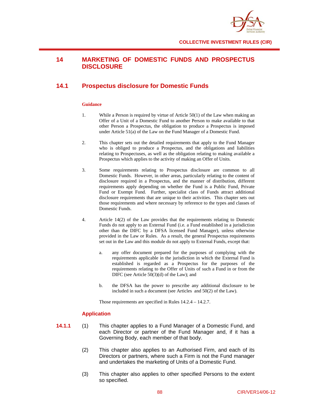

## **14 MARKETING OF DOMESTIC FUNDS AND PROSPECTUS DISCLOSURE**

## **14.1 Prospectus disclosure for Domestic Funds**

## **Guidance**

- 1. While a Person is required by virtue of Article 50(1) of the Law when making an Offer of a Unit of a Domestic Fund to another Person to make available to that other Person a Prospectus, the obligation to produce a Prospectus is imposed under Article 51(a) of the Law on the Fund Manager of a Domestic Fund.
- 2. This chapter sets out the detailed requirements that apply to the Fund Manager who is obliged to produce a Prospectus, and the obligations and liabilities relating to Prospectuses, as well as the obligation relating to making available a Prospectus which applies to the activity of making an Offer of Units.
- 3. Some requirements relating to Prospectus disclosure are common to all Domestic Funds. However, in other areas, particularly relating to the content of disclosure required in a Prospectus, and the manner of distribution, different requirements apply depending on whether the Fund is a Public Fund, Private Fund or Exempt Fund. Further, specialist class of Funds attract additional disclosure requirements that are unique to their activities. This chapter sets out those requirements and where necessary by reference to the types and classes of Domestic Funds.
- 4. Article 14(2) of the Law provides that the requirements relating to Domestic Funds do not apply to an External Fund (i.e. a Fund established in a jurisdiction other than the DIFC by a DFSA licensed Fund Manager), unless otherwise provided in the Law or Rules. As a result, the general Prospectus requirements set out in the Law and this module do not apply to External Funds, except that:
	- a. any offer document prepared for the purposes of complying with the requirements applicable in the jurisdiction in which the External Fund is established is regarded as a Prospectus for the purposes of the requirements relating to the Offer of Units of such a Fund in or from the DIFC (see Article 50(3)(d) of the Law); and
	- b. the DFSA has the power to prescribe any additional disclosure to be included in such a document (see Articles and 50(2) of the Law).

Those requirements are specified in Rules 14.2.4 – 14.2.7.

## **Application**

- **14.1.1** (1) This chapter applies to a Fund Manager of a Domestic Fund, and each Director or partner of the Fund Manager and, if it has a Governing Body, each member of that body.
	- (2) This chapter also applies to an Authorised Firm, and each of its Directors or partners, where such a Firm is not the Fund manager and undertakes the marketing of Units of a Domestic Fund.
	- (3) This chapter also applies to other specified Persons to the extent so specified.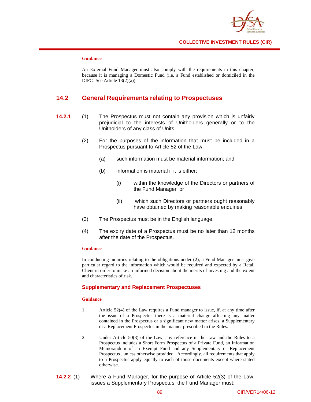

## **Guidance**

An External Fund Manager must also comply with the requirements in this chapter, because it is managing a Domestic Fund (i.e. a Fund established or domiciled in the DIFC- See Article 13(2)(a)).

## **14.2 General Requirements relating to Prospectuses**

- **14.2.1** (1) The Prospectus must not contain any provision which is unfairly prejudicial to the interests of Unitholders generally or to the Unitholders of any class of Units.
	- (2) For the purposes of the information that must be included in a Prospectus pursuant to Article 52 of the Law:
		- (a) such information must be material information; and
		- (b) information is material if it is either:
			- (i) within the knowledge of the Directors or partners of the Fund Manager or
			- (ii) which such Directors or partners ought reasonably have obtained by making reasonable enquiries.
	- (3) The Prospectus must be in the English language.
	- (4) The expiry date of a Prospectus must be no later than 12 months after the date of the Prospectus.

## **Guidance**

In conducting inquiries relating to the obligations under (2), a Fund Manager must give particular regard to the information which would be required and expected by a Retail Client in order to make an informed decision about the merits of investing and the extent and characteristics of risk.

#### **Supplementary and Replacement Prospectuses**

#### **Guidance**

- 1. Article 52(4) of the Law requires a Fund manager to issue, if, at any time after the issue of a Prospectus there is a material change affecting any matter contained in the Prospectus or a significant new matter arises, a Supplementary or a Replacement Prospectus in the manner prescribed in the Rules.
- 2. Under Article 50(3) of the Law, any reference in the Law and the Rules to a Prospectus includes a Short Form Prospectus of a Private Fund, an Information Memorandum of an Exempt Fund and any Supplementary or Replacement Prospectus , unless otherwise provided. Accordingly, all requirements that apply to a Prospectus apply equally to each of those documents except where stated otherwise.
- **14.2.2** (1) Where a Fund Manager, for the purpose of Article 52(3) of the Law, issues a Supplementary Prospectus, the Fund Manager must: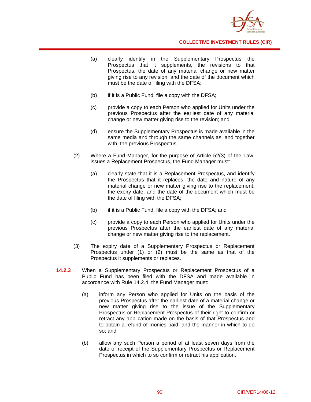

- (a) clearly identify in the Supplementary Prospectus the Prospectus that it supplements, the revisions to that Prospectus, the date of any material change or new matter giving rise to any revision, and the date of the document which must be the date of filing with the DFSA;
- (b) if it is a Public Fund, file a copy with the DFSA;
- (c) provide a copy to each Person who applied for Units under the previous Prospectus after the earliest date of any material change or new matter giving rise to the revision; and
- (d) ensure the Supplementary Prospectus is made available in the same media and through the same channels as, and together with, the previous Prospectus.
- (2) Where a Fund Manager, for the purpose of Article 52(3) of the Law, issues a Replacement Prospectus, the Fund Manager must:
	- (a) clearly state that it is a Replacement Prospectus, and identify the Prospectus that it replaces, the date and nature of any material change or new matter giving rise to the replacement, the expiry date, and the date of the document which must be the date of filing with the DFSA;
	- (b) if it is a Public Fund, file a copy with the DFSA; and
	- (c) provide a copy to each Person who applied for Units under the previous Prospectus after the earliest date of any material change or new matter giving rise to the replacement.
- (3) The expiry date of a Supplementary Prospectus or Replacement Prospectus under (1) or (2) must be the same as that of the Prospectus it supplements or replaces.
- **14.2.3** When a Supplementary Prospectus or Replacement Prospectus of a Public Fund has been filed with the DFSA and made available in accordance with Rule 14.2.4, the Fund Manager must:
	- (a) inform any Person who applied for Units on the basis of the previous Prospectus after the earliest date of a material change or new matter giving rise to the issue of the Supplementary Prospectus or Replacement Prospectus of their right to confirm or retract any application made on the basis of that Prospectus and to obtain a refund of monies paid, and the manner in which to do so; and
	- (b) allow any such Person a period of at least seven days from the date of receipt of the Supplementary Prospectus or Replacement Prospectus in which to so confirm or retract his application.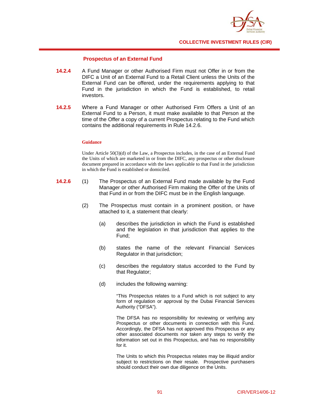

## **Prospectus of an External Fund**

- **14.2.4** A Fund Manager or other Authorised Firm must not Offer in or from the DIFC a Unit of an External Fund to a Retail Client unless the Units of the External Fund can be offered, under the requirements applying to that Fund in the jurisdiction in which the Fund is established, to retail investors.
- **14.2.5** Where a Fund Manager or other Authorised Firm Offers a Unit of an External Fund to a Person, it must make available to that Person at the time of the Offer a copy of a current Prospectus relating to the Fund which contains the additional requirements in Rule 14.2.6.

## **Guidance**

Under Article 50(3)(d) of the Law, a Prospectus includes, in the case of an External Fund the Units of which are marketed in or from the DIFC, any prospectus or other disclosure document prepared in accordance with the laws applicable to that Fund in the jurisdiction in which the Fund is established or domiciled.

- **14.2.6** (1) The Prospectus of an External Fund made available by the Fund Manager or other Authorised Firm making the Offer of the Units of that Fund in or from the DIFC must be in the English language.
	- (2) The Prospectus must contain in a prominent position, or have attached to it, a statement that clearly:
		- (a) describes the jurisdiction in which the Fund is established and the legislation in that jurisdiction that applies to the Fund;
		- (b) states the name of the relevant Financial Services Regulator in that jurisdiction;
		- (c) describes the regulatory status accorded to the Fund by that Regulator;
		- (d) includes the following warning:

"This Prospectus relates to a Fund which is not subject to any form of regulation or approval by the Dubai Financial Services Authority ("DFSA").

The DFSA has no responsibility for reviewing or verifying any Prospectus or other documents in connection with this Fund. Accordingly, the DFSA has not approved this Prospectus or any other associated documents nor taken any steps to verify the information set out in this Prospectus, and has no responsibility for it.

The Units to which this Prospectus relates may be illiquid and/or subject to restrictions on their resale. Prospective purchasers should conduct their own due diligence on the Units.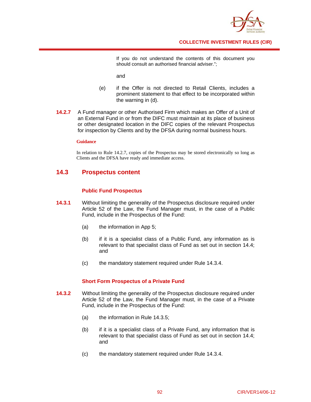

If you do not understand the contents of this document you should consult an authorised financial adviser.";

and

- (e) if the Offer is not directed to Retail Clients, includes a prominent statement to that effect to be incorporated within the warning in (d).
- **14.2.7** A Fund manager or other Authorised Firm which makes an Offer of a Unit of an External Fund in or from the DIFC must maintain at its place of business or other designated location in the DIFC copies of the relevant Prospectus for inspection by Clients and by the DFSA during normal business hours.

## **Guidance**

In relation to Rule 14.2.7, copies of the Prospectus may be stored electronically so long as Clients and the DFSA have ready and immediate access.

## **14.3 Prospectus content**

## **Public Fund Prospectus**

- **14.3.1** Without limiting the generality of the Prospectus disclosure required under Article 52 of the Law, the Fund Manager must, in the case of a Public Fund, include in the Prospectus of the Fund:
	- (a) the information in App 5;
	- (b) if it is a specialist class of a Public Fund, any information as is relevant to that specialist class of Fund as set out in section 14.4; and
	- (c) the mandatory statement required under Rule 14.3.4.

## **Short Form Prospectus of a Private Fund**

- **14.3.2** Without limiting the generality of the Prospectus disclosure required under Article 52 of the Law, the Fund Manager must, in the case of a Private Fund, include in the Prospectus of the Fund:
	- (a) the information in Rule 14.3.5;
	- (b) if it is a specialist class of a Private Fund, any information that is relevant to that specialist class of Fund as set out in section 14.4; and
	- (c) the mandatory statement required under Rule 14.3.4.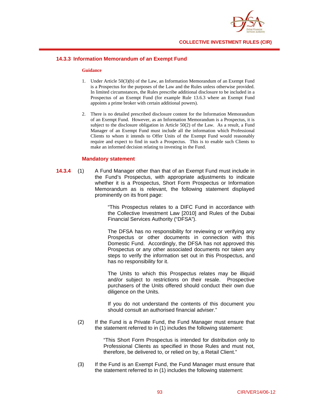

## **14.3.3 Information Memorandum of an Exempt Fund**

#### **Guidance**

- 1. Under Article 50(3)(b) of the Law, an Information Memorandum of an Exempt Fund is a Prospectus for the purposes of the Law and the Rules unless otherwise provided. In limited circumstances, the Rules prescribe additional disclosure to be included in a Prospectus of an Exempt Fund (for example Rule 13.6.3 where an Exempt Fund appoints a prime broker with certain additional powers).
- 2. There is no detailed prescribed disclosure content for the Information Memorandum of an Exempt Fund. However, as an Information Memorandum is a Prospectus, it is subject to the disclosure obligation in Article 50(2) of the Law. As a result, a Fund Manager of an Exempt Fund must include all the information which Professional Clients to whom it intends to Offer Units of the Exempt Fund would reasonably require and expect to find in such a Prospectus. This is to enable such Clients to make an informed decision relating to investing in the Fund.

### **Mandatory statement**

**14.3.4** (1) A Fund Manager other than that of an Exempt Fund must include in the Fund's Prospectus, with appropriate adjustments to indicate whether it is a Prospectus, Short Form Prospectus or Information Memorandum as is relevant, the following statement displayed prominently on its front page:

> "This Prospectus relates to a DIFC Fund in accordance with the Collective Investment Law [2010] and Rules of the Dubai Financial Services Authority ("DFSA").

> The DFSA has no responsibility for reviewing or verifying any Prospectus or other documents in connection with this Domestic Fund. Accordingly, the DFSA has not approved this Prospectus or any other associated documents nor taken any steps to verify the information set out in this Prospectus, and has no responsibility for it.

> The Units to which this Prospectus relates may be illiquid and/or subject to restrictions on their resale. Prospective purchasers of the Units offered should conduct their own due diligence on the Units.

> If you do not understand the contents of this document you should consult an authorised financial adviser."

(2) If the Fund is a Private Fund, the Fund Manager must ensure that the statement referred to in (1) includes the following statement:

> "This Short Form Prospectus is intended for distribution only to Professional Clients as specified in those Rules and must not, therefore, be delivered to, or relied on by, a Retail Client."

(3) If the Fund is an Exempt Fund, the Fund Manager must ensure that the statement referred to in (1) includes the following statement: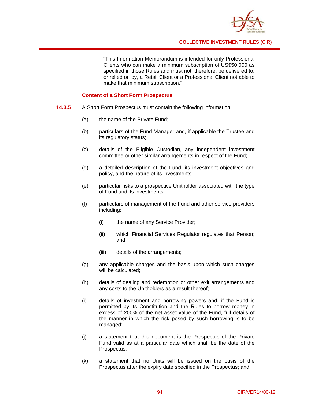

"This Information Memorandum is intended for only Professional Clients who can make a minimum subscription of US\$50,000 as specified in those Rules and must not, therefore, be delivered to, or relied on by, a Retail Client or a Professional Client not able to make that minimum subscription."

## **Content of a Short Form Prospectus**

- **14.3.5** A Short Form Prospectus must contain the following information:
	- (a) the name of the Private Fund;
	- (b) particulars of the Fund Manager and, if applicable the Trustee and its regulatory status;
	- (c) details of the Eligible Custodian, any independent investment committee or other similar arrangements in respect of the Fund;
	- (d) a detailed description of the Fund, its investment objectives and policy, and the nature of its investments;
	- (e) particular risks to a prospective Unitholder associated with the type of Fund and its investments;
	- (f) particulars of management of the Fund and other service providers including:
		- (i) the name of any Service Provider;
		- (ii) which Financial Services Regulator regulates that Person; and
		- (iii) details of the arrangements;
	- (g) any applicable charges and the basis upon which such charges will be calculated;
	- (h) details of dealing and redemption or other exit arrangements and any costs to the Unitholders as a result thereof;
	- (i) details of investment and borrowing powers and, if the Fund is permitted by its Constitution and the Rules to borrow money in excess of 200% of the net asset value of the Fund, full details of the manner in which the risk posed by such borrowing is to be managed;
	- (j) a statement that this document is the Prospectus of the Private Fund valid as at a particular date which shall be the date of the Prospectus;
	- (k) a statement that no Units will be issued on the basis of the Prospectus after the expiry date specified in the Prospectus; and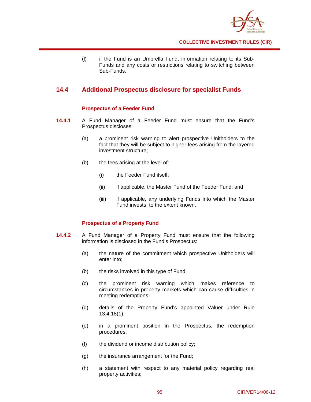

(l) if the Fund is an Umbrella Fund, information relating to its Sub-Funds and any costs or restrictions relating to switching between Sub-Funds.

## **14.4 Additional Prospectus disclosure for specialist Funds**

## **Prospectus of a Feeder Fund**

- **14.4.1** A Fund Manager of a Feeder Fund must ensure that the Fund's Prospectus discloses:
	- (a) a prominent risk warning to alert prospective Unitholders to the fact that they will be subject to higher fees arising from the layered investment structure;
	- (b) the fees arising at the level of:
		- (i) the Feeder Fund itself;
		- (ii) if applicable, the Master Fund of the Feeder Fund; and
		- (iii) if applicable, any underlying Funds into which the Master Fund invests, to the extent known.

## **Prospectus of a Property Fund**

- **14.4.2** A Fund Manager of a Property Fund must ensure that the following information is disclosed in the Fund's Prospectus:
	- (a) the nature of the commitment which prospective Unitholders will enter into;
	- (b) the risks involved in this type of Fund;
	- (c) the prominent risk warning which makes reference to circumstances in property markets which can cause difficulties in meeting redemptions;
	- (d) details of the Property Fund's appointed Valuer under Rule 13.4.18(1);
	- (e) in a prominent position in the Prospectus, the redemption procedures;
	- (f) the dividend or income distribution policy;
	- (g) the insurance arrangement for the Fund;
	- (h) a statement with respect to any material policy regarding real property activities;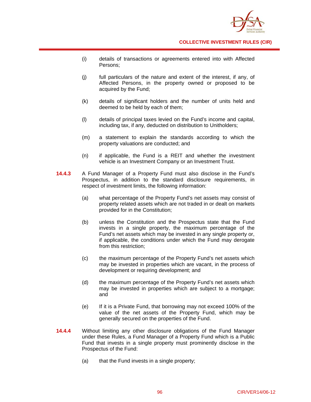

- (i) details of transactions or agreements entered into with Affected Persons;
- (j) full particulars of the nature and extent of the interest, if any, of Affected Persons, in the property owned or proposed to be acquired by the Fund;
- (k) details of significant holders and the number of units held and deemed to be held by each of them;
- (l) details of principal taxes levied on the Fund's income and capital, including tax, if any, deducted on distribution to Unitholders;
- (m) a statement to explain the standards according to which the property valuations are conducted; and
- (n) if applicable, the Fund is a REIT and whether the investment vehicle is an Investment Company or an Investment Trust.
- **14.4.3** A Fund Manager of a Property Fund must also disclose in the Fund's Prospectus, in addition to the standard disclosure requirements, in respect of investment limits, the following information:
	- (a) what percentage of the Property Fund's net assets may consist of property related assets which are not traded in or dealt on markets provided for in the Constitution;
	- (b) unless the Constitution and the Prospectus state that the Fund invests in a single property, the maximum percentage of the Fund's net assets which may be invested in any single property or, if applicable, the conditions under which the Fund may derogate from this restriction;
	- (c) the maximum percentage of the Property Fund's net assets which may be invested in properties which are vacant, in the process of development or requiring development; and
	- (d) the maximum percentage of the Property Fund's net assets which may be invested in properties which are subject to a mortgage; and
	- (e) If it is a Private Fund, that borrowing may not exceed 100% of the value of the net assets of the Property Fund, which may be generally secured on the properties of the Fund.
- **14.4.4** Without limiting any other disclosure obligations of the Fund Manager under these Rules, a Fund Manager of a Property Fund which is a Public Fund that invests in a single property must prominently disclose in the Prospectus of the Fund:
	- (a) that the Fund invests in a single property;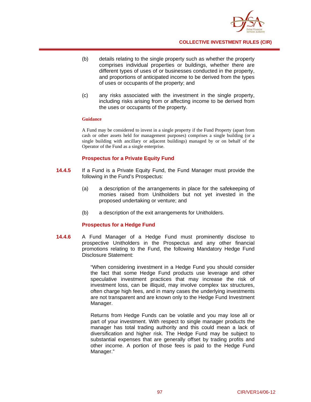

- (b) details relating to the single property such as whether the property comprises individual properties or buildings, whether there are different types of uses of or businesses conducted in the property, and proportions of anticipated income to be derived from the types of uses or occupants of the property; and
- (c) any risks associated with the investment in the single property, including risks arising from or affecting income to be derived from the uses or occupants of the property.

#### **Guidance**

A Fund may be considered to invest in a single property if the Fund Property (apart from cash or other assets held for management purposes) comprises a single building (or a single building with ancillary or adjacent buildings) managed by or on behalf of the Operator of the Fund as a single enterprise.

## **Prospectus for a Private Equity Fund**

- **14.4.5** If a Fund is a Private Equity Fund, the Fund Manager must provide the following in the Fund's Prospectus:
	- (a) a description of the arrangements in place for the safekeeping of monies raised from Unitholders but not yet invested in the proposed undertaking or venture; and
	- (b) a description of the exit arrangements for Unitholders.

#### **Prospectus for a Hedge Fund**

**14.4.6** A Fund Manager of a Hedge Fund must prominently disclose to prospective Unitholders in the Prospectus and any other financial promotions relating to the Fund, the following Mandatory Hedge Fund Disclosure Statement:

> "When considering investment in a Hedge Fund you should consider the fact that some Hedge Fund products use leverage and other speculative investment practices that may increase the risk of investment loss, can be illiquid, may involve complex tax structures, often charge high fees, and in many cases the underlying investments are not transparent and are known only to the Hedge Fund Investment Manager.

> Returns from Hedge Funds can be volatile and you may lose all or part of your investment. With respect to single manager products the manager has total trading authority and this could mean a lack of diversification and higher risk. The Hedge Fund may be subject to substantial expenses that are generally offset by trading profits and other income. A portion of those fees is paid to the Hedge Fund Manager."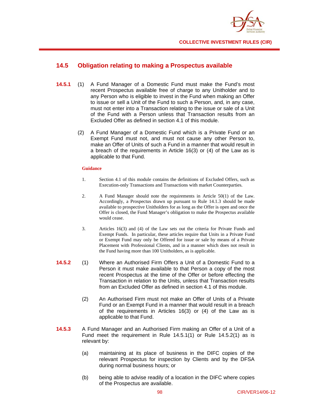

## **14.5 Obligation relating to making a Prospectus available**

- **14.5.1** (1) A Fund Manager of a Domestic Fund must make the Fund's most recent Prospectus available free of charge to any Unitholder and to any Person who is eligible to invest in the Fund when making an Offer to issue or sell a Unit of the Fund to such a Person, and, in any case, must not enter into a Transaction relating to the issue or sale of a Unit of the Fund with a Person unless that Transaction results from an Excluded Offer as defined in section 4.1 of this module.
	- (2) A Fund Manager of a Domestic Fund which is a Private Fund or an Exempt Fund must not, and must not cause any other Person to, make an Offer of Units of such a Fund in a manner that would result in a breach of the requirements in Article 16(3) or (4) of the Law as is applicable to that Fund.

## **Guidance**

- 1. Section 4.1 of this module contains the definitions of Excluded Offers, such as Execution-only Transactions and Transactions with market Counterparties.
- 2. A Fund Manager should note the requirements in Article 50(1) of the Law. Accordingly, a Prospectus drawn up pursuant to Rule 14.1.3 should be made available to prospective Unitholders for as long as the Offer is open and once the Offer is closed, the Fund Manager's obligation to make the Prospectus available would cease.
- 3. Articles 16(3) and (4) of the Law sets out the criteria for Private Funds and Exempt Funds. In particular, these articles require that Units in a Private Fund or Exempt Fund may only be Offered for issue or sale by means of a Private Placement with Professional Clients, and in a manner which does not result in the Fund having more than 100 Unitholders, as is applicable.
- **14.5.2** (1) Where an Authorised Firm Offers a Unit of a Domestic Fund to a Person it must make available to that Person a copy of the most recent Prospectus at the time of the Offer or before effecting the Transaction in relation to the Units, unless that Transaction results from an Excluded Offer as defined in section 4.1 of this module.
	- (2) An Authorised Firm must not make an Offer of Units of a Private Fund or an Exempt Fund in a manner that would result in a breach of the requirements in Articles 16(3) or (4) of the Law as is applicable to that Fund.
- **14.5.3** A Fund Manager and an Authorised Firm making an Offer of a Unit of a Fund meet the requirement in Rule 14.5.1(1) or Rule 14.5.2(1) as is relevant by:
	- (a) maintaining at its place of business in the DIFC copies of the relevant Prospectus for inspection by Clients and by the DFSA during normal business hours; or
	- (b) being able to advise readily of a location in the DIFC where copies of the Prospectus are available.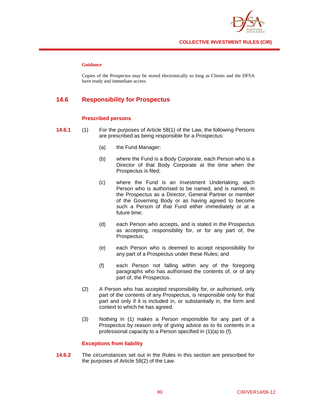

## **Guidance**

Copies of the Prospectus may be stored electronically so long as Clients and the DFSA have ready and immediate access.

## **14.6 Responsibility for Prospectus**

## **Prescribed persons**

- **14.6.1** (1) For the purposes of Article 58(1) of the Law, the following Persons are prescribed as being responsible for a Prospectus:
	- (a) the Fund Manager;
	- (b) where the Fund is a Body Corporate, each Person who is a Director of that Body Corporate at the time when the Prospectus is filed;
	- (c) where the Fund is an Investment Undertaking, each Person who is authorised to be named, and is named, in the Prospectus as a Director, General Partner or member of the Governing Body or as having agreed to become such a Person of that Fund either immediately or at a future time;
	- (d) each Person who accepts, and is stated in the Prospectus as accepting, responsibility for, or for any part of, the Prospectus;
	- (e) each Person who is deemed to accept responsibility for any part of a Prospectus under these Rules; and
	- (f) each Person not falling within any of the foregoing paragraphs who has authorised the contents of, or of any part of, the Prospectus.
	- (2) A Person who has accepted responsibility for, or authorised, only part of the contents of any Prospectus, is responsible only for that part and only if it is included in, or substantially in, the form and context to which he has agreed.
	- (3) Nothing in (1) makes a Person responsible for any part of a Prospectus by reason only of giving advice as to its contents in a professional capacity to a Person specified in (1)(a) to (f).

## **Exceptions from liability**

**14.6.2** The circumstances set out in the Rules in this section are prescribed for the purposes of Article 58(2) of the Law.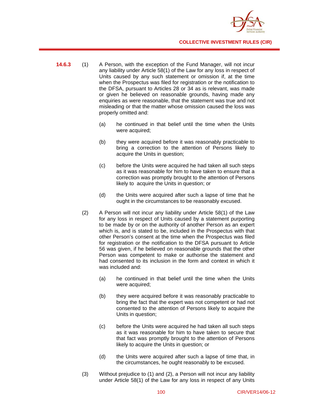

- **14.6.3** (1) A Person, with the exception of the Fund Manager, will not incur any liability under Article 58(1) of the Law for any loss in respect of Units caused by any such statement or omission if, at the time when the Prospectus was filed for registration or the notification to the DFSA, pursuant to Articles 28 or 34 as is relevant, was made or given he believed on reasonable grounds, having made any enquiries as were reasonable, that the statement was true and not misleading or that the matter whose omission caused the loss was properly omitted and:
	- (a) he continued in that belief until the time when the Units were acquired;
	- (b) they were acquired before it was reasonably practicable to bring a correction to the attention of Persons likely to acquire the Units in question;
	- (c) before the Units were acquired he had taken all such steps as it was reasonable for him to have taken to ensure that a correction was promptly brought to the attention of Persons likely to acquire the Units in question; or
	- (d) the Units were acquired after such a lapse of time that he ought in the circumstances to be reasonably excused.
	- (2) A Person will not incur any liability under Article 58(1) of the Law for any loss in respect of Units caused by a statement purporting to be made by or on the authority of another Person as an expert which is, and is stated to be, included in the Prospectus with that other Person's consent at the time when the Prospectus was filed for registration or the notification to the DFSA pursuant to Article 56 was given, if he believed on reasonable grounds that the other Person was competent to make or authorise the statement and had consented to its inclusion in the form and context in which it was included and:
		- (a) he continued in that belief until the time when the Units were acquired;
		- (b) they were acquired before it was reasonably practicable to bring the fact that the expert was not competent or had not consented to the attention of Persons likely to acquire the Units in question;
		- (c) before the Units were acquired he had taken all such steps as it was reasonable for him to have taken to secure that that fact was promptly brought to the attention of Persons likely to acquire the Units in question; or
		- (d) the Units were acquired after such a lapse of time that, in the circumstances, he ought reasonably to be excused.
	- (3) Without prejudice to (1) and (2), a Person will not incur any liability under Article 58(1) of the Law for any loss in respect of any Units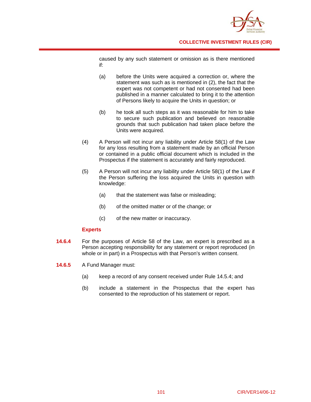

caused by any such statement or omission as is there mentioned if:

- (a) before the Units were acquired a correction or, where the statement was such as is mentioned in (2), the fact that the expert was not competent or had not consented had been published in a manner calculated to bring it to the attention of Persons likely to acquire the Units in question; or
- (b) he took all such steps as it was reasonable for him to take to secure such publication and believed on reasonable grounds that such publication had taken place before the Units were acquired.
- (4) A Person will not incur any liability under Article 58(1) of the Law for any loss resulting from a statement made by an official Person or contained in a public official document which is included in the Prospectus if the statement is accurately and fairly reproduced.
- (5) A Person will not incur any liability under Article 58(1) of the Law if the Person suffering the loss acquired the Units in question with knowledge:
	- (a) that the statement was false or misleading;
	- (b) of the omitted matter or of the change; or
	- (c) of the new matter or inaccuracy.

## **Experts**

- **14.6.4** For the purposes of Article 58 of the Law, an expert is prescribed as a Person accepting responsibility for any statement or report reproduced (in whole or in part) in a Prospectus with that Person's written consent.
- **14.6.5** A Fund Manager must:
	- (a) keep a record of any consent received under Rule 14.5.4; and
	- (b) include a statement in the Prospectus that the expert has consented to the reproduction of his statement or report.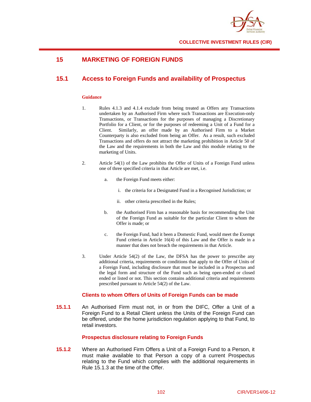

# **15 MARKETING OF FOREIGN FUNDS**

# **15.1 Access to Foreign Funds and availability of Prospectus**

## **Guidance**

- 1. Rules 4.1.3 and 4.1.4 exclude from being treated as Offers any Transactions undertaken by an Authorised Firm where such Transactions are Execution-only Transactions, or Transactions for the purposes of managing a Discretionary Portfolio for a Client, or for the purposes of redeeming a Unit of a Fund for a Client. Similarly, an offer made by an Authorised Firm to a Market Counterparty is also excluded from being an Offer. As a result, such excluded Transactions and offers do not attract the marketing prohibition in Article 50 of the Law and the requirements in both the Law and this module relating to the marketing of Units.
- 2. Article 54(1) of the Law prohibits the Offer of Units of a Foreign Fund unless one of three specified criteria in that Article are met, i.e.
	- a. the Foreign Fund meets either:
		- i. the criteria for a Designated Fund in a Recognised Jurisdiction; or
		- ii. other criteria prescribed in the Rules;
	- b. the Authorised Firm has a reasonable basis for recommending the Unit of the Foreign Fund as suitable for the particular Client to whom the Offer is made; or
	- c. the Foreign Fund, had it been a Domestic Fund, would meet the Exempt Fund criteria in Article 16(4) of this Law and the Offer is made in a manner that does not breach the requirements in that Article.
- 3. Under Article 54(2) of the Law, the DFSA has the power to prescribe any additional criteria, requirements or conditions that apply to the Offer of Units of a Foreign Fund, including disclosure that must be included in a Prospectus and the legal form and structure of the Fund such as being open-ended or closed ended or listed or not. This section contains additional criteria and requirements prescribed pursuant to Article 54(2) of the Law.

## **Clients to whom Offers of Units of Foreign Funds can be made**

**15.1.1** An Authorised Firm must not, in or from the DIFC, Offer a Unit of a Foreign Fund to a Retail Client unless the Units of the Foreign Fund can be offered, under the home jurisdiction regulation applying to that Fund, to retail investors.

## **Prospectus disclosure relating to Foreign Funds**

**15.1.2** Where an Authorised Firm Offers a Unit of a Foreign Fund to a Person, it must make available to that Person a copy of a current Prospectus relating to the Fund which complies with the additional requirements in Rule 15.1.3 at the time of the Offer.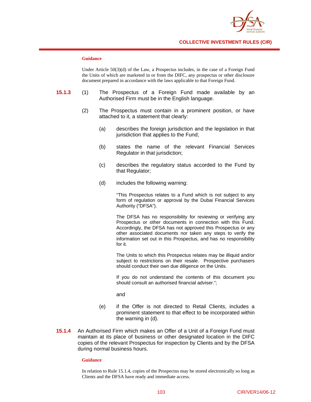

## **Guidance**

Under Article 50(3)(d) of the Law, a Prospectus includes, in the case of a Foreign Fund the Units of which are marketed in or from the DIFC, any prospectus or other disclosure document prepared in accordance with the laws applicable to that Foreign Fund.

- **15.1.3** (1) The Prospectus of a Foreign Fund made available by an Authorised Firm must be in the English language.
	- (2) The Prospectus must contain in a prominent position, or have attached to it, a statement that clearly:
		- (a) describes the foreign jurisdiction and the legislation in that jurisdiction that applies to the Fund;
		- (b) states the name of the relevant Financial Services Regulator in that jurisdiction;
		- (c) describes the regulatory status accorded to the Fund by that Regulator;
		- (d) includes the following warning:

"This Prospectus relates to a Fund which is not subject to any form of regulation or approval by the Dubai Financial Services Authority ("DFSA").

The DFSA has no responsibility for reviewing or verifying any Prospectus or other documents in connection with this Fund. Accordingly, the DFSA has not approved this Prospectus or any other associated documents nor taken any steps to verify the information set out in this Prospectus, and has no responsibility for it.

The Units to which this Prospectus relates may be illiquid and/or subject to restrictions on their resale. Prospective purchasers should conduct their own due diligence on the Units.

If you do not understand the contents of this document you should consult an authorised financial adviser.";

and

- (e) if the Offer is not directed to Retail Clients, includes a prominent statement to that effect to be incorporated within the warning in (d).
- **15.1.4** An Authorised Firm which makes an Offer of a Unit of a Foreign Fund must maintain at its place of business or other designated location in the DIFC copies of the relevant Prospectus for inspection by Clients and by the DFSA during normal business hours.

#### **Guidance**

In relation to Rule 15.1.4, copies of the Prospectus may be stored electronically so long as Clients and the DFSA have ready and immediate access.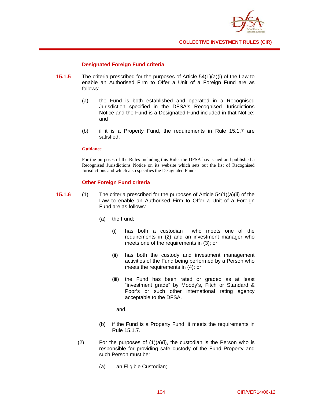

## **Designated Foreign Fund criteria**

- **15.1.5** The criteria prescribed for the purposes of Article 54(1)(a)(i) of the Law to enable an Authorised Firm to Offer a Unit of a Foreign Fund are as follows:
	- (a) the Fund is both established and operated in a Recognised Jurisdiction specified in the DFSA's Recognised Jurisdictions Notice and the Fund is a Designated Fund included in that Notice; and
	- (b) if it is a Property Fund, the requirements in Rule 15.1.7 are satisfied.

### **Guidance**

For the purposes of the Rules including this Rule, the DFSA has issued and published a Recognised Jurisdictions Notice on its website which sets out the list of Recognised Jurisdictions and which also specifies the Designated Funds.

## **Other Foreign Fund criteria**

- **15.1.6** (1) The criteria prescribed for the purposes of Article 54(1)(a)(ii) of the Law to enable an Authorised Firm to Offer a Unit of a Foreign Fund are as follows:
	- (a) the Fund:
		- (i) has both a custodian who meets one of the requirements in (2) and an investment manager who meets one of the requirements in (3); or
		- (ii) has both the custody and investment management activities of the Fund being performed by a Person who meets the requirements in (4); or
		- (iii) the Fund has been rated or graded as at least "investment grade" by Moody's, Fitch or Standard & Poor's or such other international rating agency acceptable to the DFSA.

and,

- (b) if the Fund is a Property Fund, it meets the requirements in Rule 15.1.7.
- (2) For the purposes of  $(1)(a)(i)$ , the custodian is the Person who is responsible for providing safe custody of the Fund Property and such Person must be:
	- (a) an Eligible Custodian;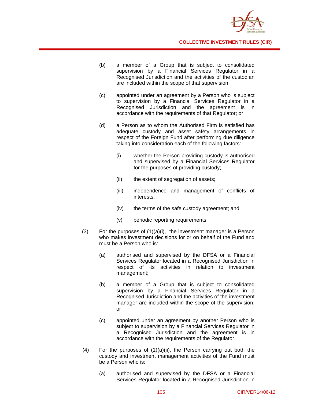

- (b) a member of a Group that is subject to consolidated supervision by a Financial Services Regulator in a Recognised Jurisdiction and the activities of the custodian are included within the scope of that supervision;
- (c) appointed under an agreement by a Person who is subject to supervision by a Financial Services Regulator in a Recognised Jurisdiction and the agreement is in accordance with the requirements of that Regulator; or
- (d) a Person as to whom the Authorised Firm is satisfied has adequate custody and asset safety arrangements in respect of the Foreign Fund after performing due diligence taking into consideration each of the following factors:
	- (i) whether the Person providing custody is authorised and supervised by a Financial Services Regulator for the purposes of providing custody;
	- (ii) the extent of segregation of assets;
	- (iii) independence and management of conflicts of interests;
	- (iv) the terms of the safe custody agreement; and
	- (v) periodic reporting requirements.
- $(3)$  For the purposes of  $(1)(a)(i)$ , the investment manager is a Person who makes investment decisions for or on behalf of the Fund and must be a Person who is:
	- (a) authorised and supervised by the DFSA or a Financial Services Regulator located in a Recognised Jurisdiction in respect of its activities in relation to investment management;
	- (b) a member of a Group that is subject to consolidated supervision by a Financial Services Regulator in a Recognised Jurisdiction and the activities of the investment manager are included within the scope of the supervision; or
	- (c) appointed under an agreement by another Person who is subject to supervision by a Financial Services Regulator in a Recognised Jurisdiction and the agreement is in accordance with the requirements of the Regulator.
- (4) For the purposes of (1)(a)(ii), the Person carrying out both the custody and investment management activities of the Fund must be a Person who is:
	- (a) authorised and supervised by the DFSA or a Financial Services Regulator located in a Recognised Jurisdiction in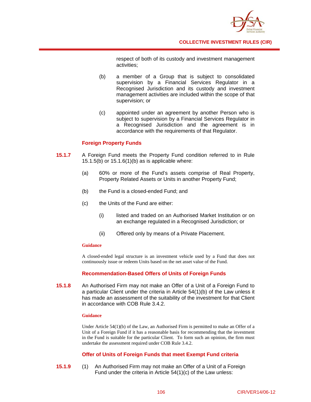

respect of both of its custody and investment management activities;

- (b) a member of a Group that is subject to consolidated supervision by a Financial Services Regulator in a Recognised Jurisdiction and its custody and investment management activities are included within the scope of that supervision; or
- (c) appointed under an agreement by another Person who is subject to supervision by a Financial Services Regulator in a Recognised Jurisdiction and the agreement is in accordance with the requirements of that Regulator.

## **Foreign Property Funds**

- **15.1.7** A Foreign Fund meets the Property Fund condition referred to in Rule 15.1.5(b) or 15.1.6(1)(b) as is applicable where:
	- (a) 60% or more of the Fund's assets comprise of Real Property, Property Related Assets or Units in another Property Fund;
	- (b) the Fund is a closed-ended Fund; and
	- (c) the Units of the Fund are either:
		- (i) listed and traded on an Authorised Market Institution or on an exchange regulated in a Recognised Jurisdiction; or
		- (ii) Offered only by means of a Private Placement.

#### **Guidance**

A closed-ended legal structure is an investment vehicle used by a Fund that does not continuously issue or redeem Units based on the net asset value of the Fund.

## **Recommendation-Based Offers of Units of Foreign Funds**

**15.1.8** An Authorised Firm may not make an Offer of a Unit of a Foreign Fund to a particular Client under the criteria in Article 54(1)(b) of the Law unless it has made an assessment of the suitability of the investment for that Client in accordance with COB Rule 3.4.2.

#### **Guidance**

Under Article  $54(1)(b)$  of the Law, an Authorised Firm is permitted to make an Offer of a Unit of a Foreign Fund if it has a reasonable basis for recommending that the investment in the Fund is suitable for the particular Client. To form such an opinion, the firm must undertake the assessment required under COB Rule 3.4.2.

## **Offer of Units of Foreign Funds that meet Exempt Fund criteria**

**15.1.9** (1) An Authorised Firm may not make an Offer of a Unit of a Foreign Fund under the criteria in Article 54(1)(c) of the Law unless: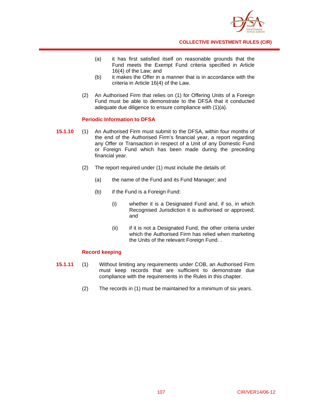

- (a) it has first satisfied itself on reasonable grounds that the Fund meets the Exempt Fund criteria specified in Article 16(4) of the Law; and
- (b) it makes the Offer in a manner that is in accordance with the criteria in Article 16(4) of the Law.
- (2) An Authorised Firm that relies on (1) for Offering Units of a Foreign Fund must be able to demonstrate to the DFSA that it conducted adequate due diligence to ensure compliance with (1)(a).

## **Periodic Information to DFSA**

- **15.1.10** (1) An Authorised Firm must submit to the DFSA, within four months of the end of the Authorised Firm's financial year, a report regarding any Offer or Transaction in respect of a Unit of any Domestic Fund or Foreign Fund which has been made during the preceding financial year.
	- (2) The report required under (1) must include the details of:
		- (a) the name of the Fund and its Fund Manager; and
		- (b) if the Fund is a Foreign Fund:
			- (i) whether it is a Designated Fund and, if so, in which Recognised Jurisdiction it is authorised or approved; and
			- (ii) if it is not a Designated Fund, the other criteria under which the Authorised Firm has relied when marketing the Units of the relevant Foreign Fund. .

## **Record keeping**

- **15.1.11** (1) Without limiting any requirements under COB, an Authorised Firm must keep records that are sufficient to demonstrate due compliance with the requirements in the Rules in this chapter.
	- (2) The records in (1) must be maintained for a minimum of six years.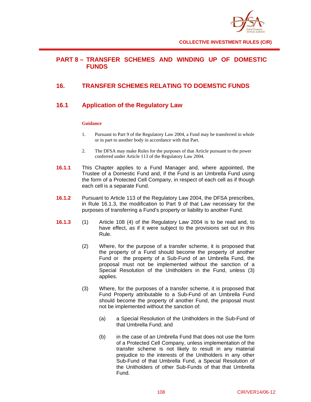

# **PART 8 – TRANSFER SCHEMES AND WINDING UP OF DOMESTIC FUNDS**

# **16. TRANSFER SCHEMES RELATING TO DOEMSTIC FUNDS**

# **16.1 Application of the Regulatory Law**

## **Guidance**

- 1. Pursuant to Part 9 of the Regulatory Law 2004, a Fund may be transferred in whole or in part to another body in accordance with that Part.
- 2. The DFSA may make Rules for the purposes of that Article pursuant to the power conferred under Article 113 of the Regulatory Law 2004.
- **16.1.1** This Chapter applies to a Fund Manager and, where appointed, the Trustee of a Domestic Fund and, if the Fund is an Umbrella Fund using the form of a Protected Cell Company, in respect of each cell as if though each cell is a separate Fund.
- **16.1.2** Pursuant to Article 113 of the Regulatory Law 2004, the DFSA prescribes, in Rule 16.1.3, the modification to Part 9 of that Law necessary for the purposes of transferring a Fund's property or liability to another Fund.
- **16.1.3** (1) Article 108 (4) of the Regulatory Law 2004 is to be read and, to have effect, as if it were subject to the provisions set out in this Rule.
	- (2) Where, for the purpose of a transfer scheme, it is proposed that the property of a Fund should become the property of another Fund or the property of a Sub-Fund of an Umbrella Fund, the proposal must not be implemented without the sanction of a Special Resolution of the Unitholders in the Fund, unless (3) applies.
	- (3) Where, for the purposes of a transfer scheme, it is proposed that Fund Property attributable to a Sub-Fund of an Umbrella Fund should become the property of another Fund, the proposal must not be implemented without the sanction of:
		- (a) a Special Resolution of the Unitholders in the Sub-Fund of that Umbrella Fund; and
		- (b) in the case of an Umbrella Fund that does not use the form of a Protected Cell Company, unless implementation of the transfer scheme is not likely to result in any material prejudice to the interests of the Unitholders in any other Sub-Fund of that Umbrella Fund, a Special Resolution of the Unitholders of other Sub-Funds of that that Umbrella Fund.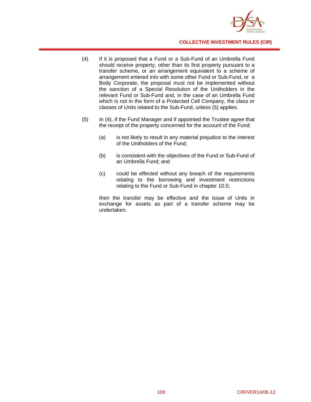

- (4) If it is proposed that a Fund or a Sub-Fund of an Umbrella Fund should receive property, other than its first property pursuant to a transfer scheme, or an arrangement equivalent to a scheme of arrangement entered into with some other Fund or Sub-Fund, or a Body Corporate, the proposal must not be implemented without the sanction of a Special Resolution of the Unitholders in the relevant Fund or Sub-Fund and, in the case of an Umbrella Fund which is not in the form of a Protected Cell Company, the class or classes of Units related to the Sub-Fund, unless (5) applies.
- (5) In (4), if the Fund Manager and if appointed the Trustee agree that the receipt of the property concerned for the account of the Fund:
	- (a) is not likely to result in any material prejudice to the interest of the Unitholders of the Fund;
	- (b) is consistent with the objectives of the Fund or Sub-Fund of an Umbrella Fund; and
	- (c) could be effected without any breach of the requirements relating to the borrowing and investment restrictions relating to the Fund or Sub-Fund in chapter 10.5;

then the transfer may be effective and the issue of Units in exchange for assets as part of a transfer scheme may be undertaken.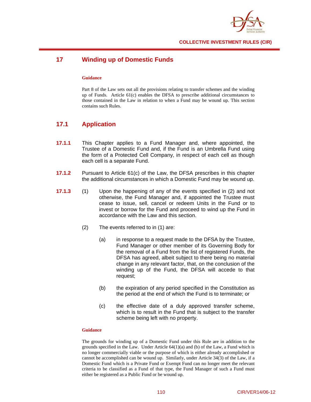

# **17 Winding up of Domestic Funds**

### **Guidance**

Part 8 of the Law sets out all the provisions relating to transfer schemes and the winding up of Funds. Article 61(c) enables the DFSA to prescribe additional circumstances to those contained in the Law in relation to when a Fund may be wound up. This section contains such Rules.

# **17.1 Application**

- **17.1.1** This Chapter applies to a Fund Manager and, where appointed, the Trustee of a Domestic Fund and, if the Fund is an Umbrella Fund using the form of a Protected Cell Company, in respect of each cell as though each cell is a separate Fund.
- **17.1.2** Pursuant to Article 61(c) of the Law, the DFSA prescribes in this chapter the additional circumstances in which a Domestic Fund may be wound up.
- **17.1.3** (1) Upon the happening of any of the events specified in (2) and not otherwise, the Fund Manager and, if appointed the Trustee must cease to issue, sell, cancel or redeem Units in the Fund or to invest or borrow for the Fund and proceed to wind up the Fund in accordance with the Law and this section.
	- (2) The events referred to in (1) are:
		- (a) in response to a request made to the DFSA by the Trustee, Fund Manager or other member of its Governing Body for the removal of a Fund from the list of registered Funds, the DFSA has agreed, albeit subject to there being no material change in any relevant factor, that, on the conclusion of the winding up of the Fund, the DFSA will accede to that request;
		- (b) the expiration of any period specified in the Constitution as the period at the end of which the Fund is to terminate; or
		- (c) the effective date of a duly approved transfer scheme, which is to result in the Fund that is subject to the transfer scheme being left with no property.

#### **Guidance**

The grounds for winding up of a Domestic Fund under this Rule are in addition to the grounds specified in the Law. Under Article 64(1)(a) and (b) of the Law, a Fund which is no longer commercially viable or the purpose of which is either already accomplished or cannot be accomplished can be wound up. Similarly, under Article 34(3) of the Law, if a Domestic Fund which is a Private Fund or Exempt Fund can no longer meet the relevant criteria to be classified as a Fund of that type, the Fund Manager of such a Fund must either be registered as a Public Fund or be wound up.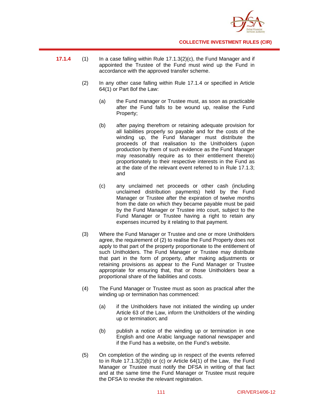

- **17.1.4** (1) In a case falling within Rule 17.1.3(2)(c), the Fund Manager and if appointed the Trustee of the Fund must wind up the Fund in accordance with the approved transfer scheme.
	- (2) In any other case falling within Rule 17.1.4 or specified in Article 64(1) or Part 8of the Law:
		- (a) the Fund manager or Trustee must, as soon as practicable after the Fund falls to be wound up, realise the Fund Property;
		- (b) after paying therefrom or retaining adequate provision for all liabilities properly so payable and for the costs of the winding up, the Fund Manager must distribute the proceeds of that realisation to the Unitholders (upon production by them of such evidence as the Fund Manager may reasonably require as to their entitlement thereto) proportionately to their respective interests in the Fund as at the date of the relevant event referred to in Rule 17.1.3; and
		- (c) any unclaimed net proceeds or other cash (including unclaimed distribution payments) held by the Fund Manager or Trustee after the expiration of twelve months from the date on which they became payable must be paid by the Fund Manager or Trustee into court, subject to the Fund Manager or Trustee having a right to retain any expenses incurred by it relating to that payment.
	- (3) Where the Fund Manager or Trustee and one or more Unitholders agree, the requirement of (2) to realise the Fund Property does not apply to that part of the property proportionate to the entitlement of such Unitholders. The Fund Manager or Trustee may distribute that part in the form of property, after making adjustments or retaining provisions as appear to the Fund Manager or Trustee appropriate for ensuring that, that or those Unitholders bear a proportional share of the liabilities and costs.
	- (4) The Fund Manager or Trustee must as soon as practical after the winding up or termination has commenced:
		- (a) if the Unitholders have not initiated the winding up under Article 63 of the Law, inform the Unitholders of the winding up or termination; and
		- (b) publish a notice of the winding up or termination in one English and one Arabic language national newspaper and if the Fund has a website, on the Fund's website.
	- (5) On completion of the winding up in respect of the events referred to in Rule 17.1.3(2)(b) or (c) or Article 64(1) of the Law, the Fund Manager or Trustee must notify the DFSA in writing of that fact and at the same time the Fund Manager or Trustee must require the DFSA to revoke the relevant registration.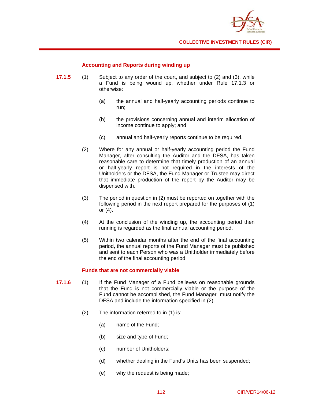

## **Accounting and Reports during winding up**

- **17.1.5** (1) Subject to any order of the court, and subject to (2) and (3), while a Fund is being wound up, whether under Rule 17.1.3 or otherwise:
	- (a) the annual and half-yearly accounting periods continue to run;
	- (b) the provisions concerning annual and interim allocation of income continue to apply; and
	- (c) annual and half-yearly reports continue to be required.
	- (2) Where for any annual or half-yearly accounting period the Fund Manager, after consulting the Auditor and the DFSA, has taken reasonable care to determine that timely production of an annual or half-yearly report is not required in the interests of the Unitholders or the DFSA, the Fund Manager or Trustee may direct that immediate production of the report by the Auditor may be dispensed with.
	- (3) The period in question in (2) must be reported on together with the following period in the next report prepared for the purposes of (1) or (4).
	- (4) At the conclusion of the winding up, the accounting period then running is regarded as the final annual accounting period.
	- (5) Within two calendar months after the end of the final accounting period, the annual reports of the Fund Manager must be published and sent to each Person who was a Unitholder immediately before the end of the final accounting period.

#### **Funds that are not commercially viable**

- **17.1.6** (1) If the Fund Manager of a Fund believes on reasonable grounds that the Fund is not commercially viable or the purpose of the Fund cannot be accomplished, the Fund Manager must notify the DFSA and include the information specified in (2).
	- (2) The information referred to in (1) is:
		- (a) name of the Fund;
		- (b) size and type of Fund;
		- (c) number of Unitholders;
		- (d) whether dealing in the Fund's Units has been suspended;
		- (e) why the request is being made;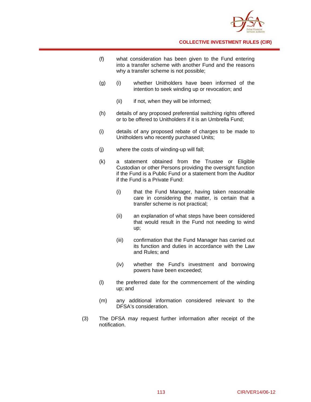

- (f) what consideration has been given to the Fund entering into a transfer scheme with another Fund and the reasons why a transfer scheme is not possible;
- (g) (i) whether Unitholders have been informed of the intention to seek winding up or revocation; and
	- (ii) if not, when they will be informed;
- (h) details of any proposed preferential switching rights offered or to be offered to Unitholders if it is an Umbrella Fund;
- (i) details of any proposed rebate of charges to be made to Unitholders who recently purchased Units;
- (j) where the costs of winding-up will fall;
- (k) a statement obtained from the Trustee or Eligible Custodian or other Persons providing the oversight function if the Fund is a Public Fund or a statement from the Auditor if the Fund is a Private Fund:
	- (i) that the Fund Manager, having taken reasonable care in considering the matter, is certain that a transfer scheme is not practical;
	- (ii) an explanation of what steps have been considered that would result in the Fund not needing to wind up;
	- (iii) confirmation that the Fund Manager has carried out its function and duties in accordance with the Law and Rules; and
	- (iv) whether the Fund's investment and borrowing powers have been exceeded;
- (l) the preferred date for the commencement of the winding up; and
- (m) any additional information considered relevant to the DFSA's consideration.
- (3) The DFSA may request further information after receipt of the notification.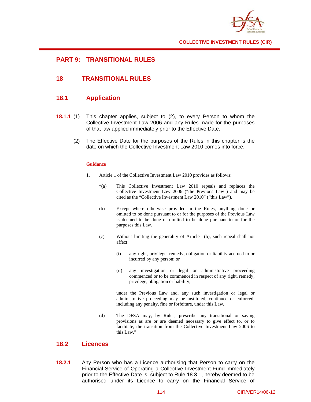

# **PART 9: TRANSITIONAL RULES**

# **18 TRANSITIONAL RULES**

# **18.1 Application**

- **18.1.1** (1) This chapter applies, subject to (2), to every Person to whom the Collective Investment Law 2006 and any Rules made for the purposes of that law applied immediately prior to the Effective Date.
	- (2) The Effective Date for the purposes of the Rules in this chapter is the date on which the Collective Investment Law 2010 comes into force.

### **Guidance**

- 1. Article 1 of the Collective Investment Law 2010 provides as follows:
	- "(a) This Collective Investment Law 2010 repeals and replaces the Collective Investment Law 2006 ("the Previous Law") and may be cited as the "Collective Investment Law 2010" ("this Law").
	- (b) Except where otherwise provided in the Rules, anything done or omitted to be done pursuant to or for the purposes of the Previous Law is deemed to be done or omitted to be done pursuant to or for the purposes this Law.
	- (c) Without limiting the generality of Article 1(b), such repeal shall not affect:
		- (i) any right, privilege, remedy, obligation or liability accrued to or incurred by any person; or
		- (ii) any investigation or legal or administrative proceeding commenced or to be commenced in respect of any right, remedy, privilege, obligation or liability,

 under the Previous Law and, any such investigation or legal or administrative proceeding may be instituted, continued or enforced, including any penalty, fine or forfeiture, under this Law.

(d) The DFSA may, by Rules, prescribe any transitional or saving provisions as are or are deemed necessary to give effect to, or to facilitate, the transition from the Collective Investment Law 2006 to this Law."

## **18.2 Licences**

**18.2.1** Any Person who has a Licence authorising that Person to carry on the Financial Service of Operating a Collective Investment Fund immediately prior to the Effective Date is, subject to Rule 18.3.1, hereby deemed to be authorised under its Licence to carry on the Financial Service of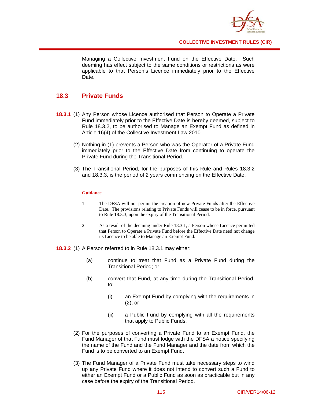

Managing a Collective Investment Fund on the Effective Date. Such deeming has effect subject to the same conditions or restrictions as were applicable to that Person's Licence immediately prior to the Effective Date.

# **18.3 Private Funds**

- **18.3.1** (1) Any Person whose Licence authorised that Person to Operate a Private Fund immediately prior to the Effective Date is hereby deemed, subject to Rule 18.3.2, to be authorised to Manage an Exempt Fund as defined in Article 16(4) of the Collective Investment Law 2010.
	- (2) Nothing in (1) prevents a Person who was the Operator of a Private Fund immediately prior to the Effective Date from continuing to operate the Private Fund during the Transitional Period.
	- (3) The Transitional Period, for the purposes of this Rule and Rules 18.3.2 and 18.3.3, is the period of 2 years commencing on the Effective Date.

### **Guidance**

- 1. The DFSA will not permit the creation of new Private Funds after the Effective Date. The provisions relating to Private Funds will cease to be in force, pursuant to Rule 18.3.3, upon the expiry of the Transitional Period.
- 2. As a result of the deeming under Rule 18.3.1, a Person whose Licence permitted that Person to Operate a Private Fund before the Effective Date need not change its Licence to be able to Manage an Exempt Fund.

**18.3.2** (1) A Person referred to in Rule 18.3.1 may either:

- (a) continue to treat that Fund as a Private Fund during the Transitional Period; or
- (b) convert that Fund, at any time during the Transitional Period, to:
	- (i) an Exempt Fund by complying with the requirements in (2); or
	- (ii) a Public Fund by complying with all the requirements that apply to Public Funds.
- (2) For the purposes of converting a Private Fund to an Exempt Fund, the Fund Manager of that Fund must lodge with the DFSA a notice specifying the name of the Fund and the Fund Manager and the date from which the Fund is to be converted to an Exempt Fund.
- (3) The Fund Manager of a Private Fund must take necessary steps to wind up any Private Fund where it does not intend to convert such a Fund to either an Exempt Fund or a Public Fund as soon as practicable but in any case before the expiry of the Transitional Period.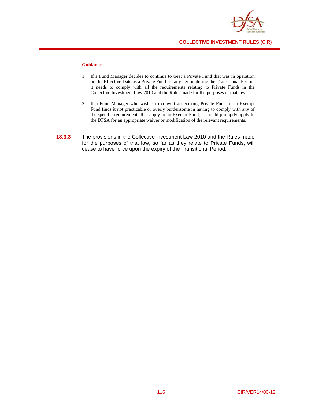

#### **Guidance**

- 1. If a Fund Manager decides to continue to treat a Private Fund that was in operation on the Effective Date as a Private Fund for any period during the Transitional Period, it needs to comply with all the requirements relating to Private Funds in the Collective Investment Law 2010 and the Rules made for the purposes of that law.
- 2. If a Fund Manager who wishes to convert an existing Private Fund to an Exempt Fund finds it not practicable or overly burdensome in having to comply with any of the specific requirements that apply to an Exempt Fund, it should promptly apply to the DFSA for an appropriate waiver or modification of the relevant requirements.
- **18.3.3** The provisions in the Collective investment Law 2010 and the Rules made for the purposes of that law, so far as they relate to Private Funds, will cease to have force upon the expiry of the Transitional Period.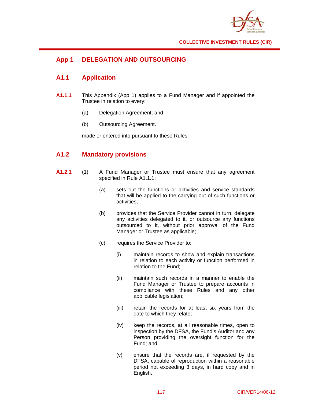

# **App 1 DELEGATION AND OUTSOURCING**

# **A1.1 Application**

- **A1.1.1** This Appendix (App 1) applies to a Fund Manager and if appointed the Trustee in relation to every:
	- (a) Delegation Agreement; and
	- (b) Outsourcing Agreement.

made or entered into pursuant to these Rules.

# **A1.2 Mandatory provisions**

- **A1.2.1** (1) A Fund Manager or Trustee must ensure that any agreement specified in Rule A1.1.1:
	- (a) sets out the functions or activities and service standards that will be applied to the carrying out of such functions or activities;
	- (b) provides that the Service Provider cannot in turn, delegate any activities delegated to it, or outsource any functions outsourced to it, without prior approval of the Fund Manager or Trustee as applicable;
	- (c) requires the Service Provider to:
		- (i) maintain records to show and explain transactions in relation to each activity or function performed in relation to the Fund;
		- (ii) maintain such records in a manner to enable the Fund Manager or Trustee to prepare accounts in compliance with these Rules and any other applicable legislation;
		- (iii) retain the records for at least six years from the date to which they relate;
		- (iv) keep the records, at all reasonable times, open to inspection by the DFSA, the Fund's Auditor and any Person providing the oversight function for the Fund; and
		- (v) ensure that the records are, if requested by the DFSA, capable of reproduction within a reasonable period not exceeding 3 days, in hard copy and in English.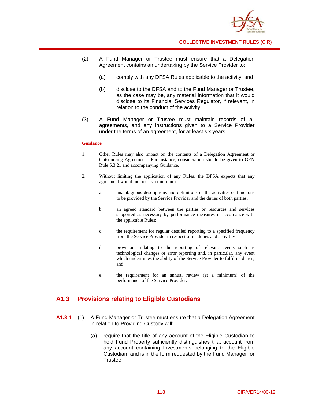

- (2) A Fund Manager or Trustee must ensure that a Delegation Agreement contains an undertaking by the Service Provider to:
	- (a) comply with any DFSA Rules applicable to the activity; and
	- (b) disclose to the DFSA and to the Fund Manager or Trustee, as the case may be, any material information that it would disclose to its Financial Services Regulator, if relevant, in relation to the conduct of the activity.
- (3) A Fund Manager or Trustee must maintain records of all agreements, and any instructions given to a Service Provider under the terms of an agreement, for at least six years.

#### **Guidance**

- 1. Other Rules may also impact on the contents of a Delegation Agreement or Outsourcing Agreement. For instance, consideration should be given to GEN Rule 5.3.21 and accompanying Guidance.
- 2. Without limiting the application of any Rules, the DFSA expects that any agreement would include as a minimum:
	- a. unambiguous descriptions and definitions of the activities or functions to be provided by the Service Provider and the duties of both parties;
	- b. an agreed standard between the parties or resources and services supported as necessary by performance measures in accordance with the applicable Rules;
	- c. the requirement for regular detailed reporting to a specified frequency from the Service Provider in respect of its duties and activities;
	- d. provisions relating to the reporting of relevant events such as technological changes or error reporting and, in particular, any event which undermines the ability of the Service Provider to fulfil its duties; and
	- e. the requirement for an annual review (at a minimum) of the performance of the Service Provider.

## **A1.3 Provisions relating to Eligible Custodians**

- **A1.3.1** (1) A Fund Manager or Trustee must ensure that a Delegation Agreement in relation to Providing Custody will:
	- (a) require that the title of any account of the Eligible Custodian to hold Fund Property sufficiently distinguishes that account from any account containing Investments belonging to the Eligible Custodian, and is in the form requested by the Fund Manager or Trustee;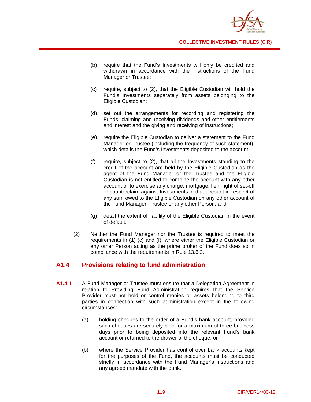

- (b) require that the Fund's Investments will only be credited and withdrawn in accordance with the instructions of the Fund Manager or Trustee;
- (c) require, subject to (2), that the Eligible Custodian will hold the Fund's Investments separately from assets belonging to the Eligible Custodian;
- (d) set out the arrangements for recording and registering the Funds, claiming and receiving dividends and other entitlements and interest and the giving and receiving of instructions;
- (e) require the Eligible Custodian to deliver a statement to the Fund Manager or Trustee (including the frequency of such statement), which details the Fund's Investments deposited to the account;
- (f) require, subject to (2), that all the Investments standing to the credit of the account are held by the Eligible Custodian as the agent of the Fund Manager or the Trustee and the Eligible Custodian is not entitled to combine the account with any other account or to exercise any charge, mortgage, lien, right of set-off or counterclaim against Investments in that account in respect of any sum owed to the Eligible Custodian on any other account of the Fund Manager, Trustee or any other Person; and
- (g) detail the extent of liability of the Eligible Custodian in the event of default.
- (2) Neither the Fund Manager nor the Trustee is required to meet the requirements in (1) (c) and (f), where either the Eligible Custodian or any other Person acting as the prime broker of the Fund does so in compliance with the requirements in Rule 13.6.3.

# **A1.4 Provisions relating to fund administration**

- **A1.4.1** A Fund Manager or Trustee must ensure that a Delegation Agreement in relation to Providing Fund Administration requires that the Service Provider must not hold or control monies or assets belonging to third parties in connection with such administration except in the following circumstances:
	- (a) holding cheques to the order of a Fund's bank account, provided such cheques are securely held for a maximum of three business days prior to being deposited into the relevant Fund's bank account or returned to the drawer of the cheque; or
	- (b) where the Service Provider has control over bank accounts kept for the purposes of the Fund, the accounts must be conducted strictly in accordance with the Fund Manager's instructions and any agreed mandate with the bank.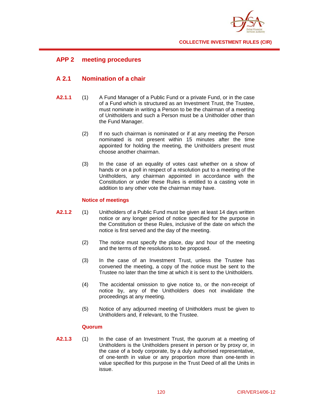

# **APP 2 meeting procedures**

# **A 2.1 Nomination of a chair**

- **A2.1.1** (1) A Fund Manager of a Public Fund or a private Fund, or in the case of a Fund which is structured as an Investment Trust, the Trustee, must nominate in writing a Person to be the chairman of a meeting of Unitholders and such a Person must be a Unitholder other than the Fund Manager.
	- (2) If no such chairman is nominated or if at any meeting the Person nominated is not present within 15 minutes after the time appointed for holding the meeting, the Unitholders present must choose another chairman.
	- (3) In the case of an equality of votes cast whether on a show of hands or on a poll in respect of a resolution put to a meeting of the Unitholders, any chairman appointed in accordance with the Constitution or under these Rules is entitled to a casting vote in addition to any other vote the chairman may have.

## **Notice of meetings**

- **A2.1.2** (1) Unitholders of a Public Fund must be given at least 14 days written notice or any longer period of notice specified for the purpose in the Constitution or these Rules, inclusive of the date on which the notice is first served and the day of the meeting.
	- (2) The notice must specify the place, day and hour of the meeting and the terms of the resolutions to be proposed.
	- (3) In the case of an Investment Trust, unless the Trustee has convened the meeting, a copy of the notice must be sent to the Trustee no later than the time at which it is sent to the Unitholders.
	- (4) The accidental omission to give notice to, or the non-receipt of notice by, any of the Unitholders does not invalidate the proceedings at any meeting.
	- (5) Notice of any adjourned meeting of Unitholders must be given to Unitholders and, if relevant, to the Trustee.

## **Quorum**

**A2.1.3** (1) In the case of an Investment Trust, the quorum at a meeting of Unitholders is the Unitholders present in person or by proxy or, in the case of a body corporate, by a duly authorised representative, of one-tenth in value or any proportion more than one-tenth in value specified for this purpose in the Trust Deed of all the Units in issue.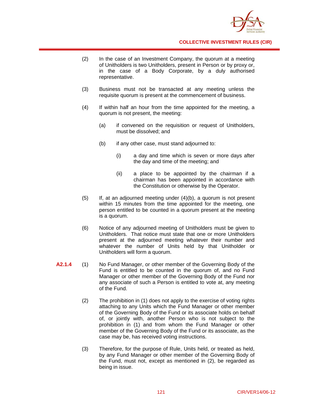

- (2) In the case of an Investment Company, the quorum at a meeting of Unitholders is two Unitholders, present in Person or by proxy or, in the case of a Body Corporate, by a duly authorised representative.
- (3) Business must not be transacted at any meeting unless the requisite quorum is present at the commencement of business.
- (4) If within half an hour from the time appointed for the meeting, a quorum is not present, the meeting:
	- (a) if convened on the requisition or request of Unitholders, must be dissolved; and
	- (b) if any other case, must stand adjourned to:
		- (i) a day and time which is seven or more days after the day and time of the meeting; and
		- (ii) a place to be appointed by the chairman if a chairman has been appointed in accordance with the Constitution or otherwise by the Operator.
- (5) If, at an adjourned meeting under (4)(b), a quorum is not present within 15 minutes from the time appointed for the meeting, one person entitled to be counted in a quorum present at the meeting is a quorum.
- (6) Notice of any adjourned meeting of Unitholders must be given to Unitholders. That notice must state that one or more Unitholders present at the adjourned meeting whatever their number and whatever the number of Units held by that Unitholder or Unitholders will form a quorum.
- **A2.1.4** (1) No Fund Manager, or other member of the Governing Body of the Fund is entitled to be counted in the quorum of, and no Fund Manager or other member of the Governing Body of the Fund nor any associate of such a Person is entitled to vote at, any meeting of the Fund.
	- (2) The prohibition in (1) does not apply to the exercise of voting rights attaching to any Units which the Fund Manager or other member of the Governing Body of the Fund or its associate holds on behalf of, or jointly with, another Person who is not subject to the prohibition in (1) and from whom the Fund Manager or other member of the Governing Body of the Fund or its associate, as the case may be, has received voting instructions.
	- (3) Therefore, for the purpose of Rule, Units held, or treated as held, by any Fund Manager or other member of the Governing Body of the Fund, must not, except as mentioned in (2), be regarded as being in issue.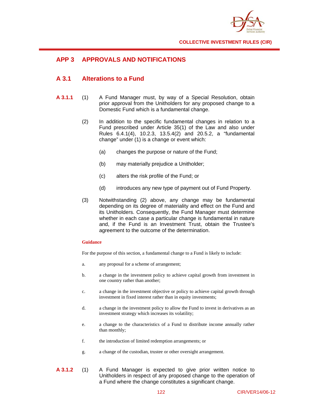

# **APP 3 APPROVALS AND NOTIFICATIONS**

# **A 3.1 Alterations to a Fund**

- **A 3.1.1** (1) A Fund Manager must, by way of a Special Resolution, obtain prior approval from the Unitholders for any proposed change to a Domestic Fund which is a fundamental change.
	- (2) In addition to the specific fundamental changes in relation to a Fund prescribed under Article 35(1) of the Law and also under Rules 6.4.1(4), 10.2.3, 13.5.4(2) and 20.5.2, a "fundamental change" under (1) is a change or event which:
		- (a) changes the purpose or nature of the Fund;
		- (b) may materially prejudice a Unitholder;
		- (c) alters the risk profile of the Fund; or
		- (d) introduces any new type of payment out of Fund Property.
	- (3) Notwithstanding (2) above, any change may be fundamental depending on its degree of materiality and effect on the Fund and its Unitholders. Consequently, the Fund Manager must determine whether in each case a particular change is fundamental in nature and, if the Fund is an Investment Trust, obtain the Trustee's agreement to the outcome of the determination.

#### **Guidance**

For the purpose of this section, a fundamental change to a Fund is likely to include:

- a. any proposal for a scheme of arrangement;
- b. a change in the investment policy to achieve capital growth from investment in one country rather than another;
- c. a change in the investment objective or policy to achieve capital growth through investment in fixed interest rather than in equity investments;
- d. a change in the investment policy to allow the Fund to invest in derivatives as an investment strategy which increases its volatility;
- e. a change to the characteristics of a Fund to distribute income annually rather than monthly;
- f. the introduction of limited redemption arrangements; or
- g. a change of the custodian, trustee or other oversight arrangement.
- **A 3.1.2** (1) A Fund Manager is expected to give prior written notice to Unitholders in respect of any proposed change to the operation of a Fund where the change constitutes a significant change.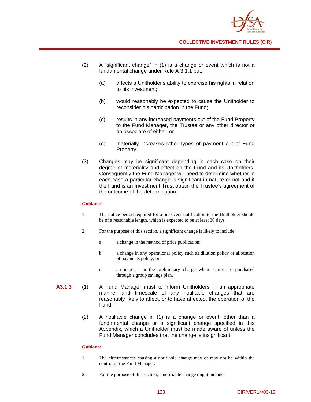

- (2) A "significant change" in (1) is a change or event which is not a fundamental change under Rule A 3.1.1 but:
	- (a) affects a Unitholder's ability to exercise his rights in relation to his investment;
	- (b) would reasonably be expected to cause the Unitholder to reconsider his participation in the Fund;
	- (c) results in any increased payments out of the Fund Property to the Fund Manager, the Trustee or any other director or an associate of either; or
	- (d) materially increases other types of payment out of Fund Property.
- (3) Changes may be significant depending in each case on their degree of materiality and effect on the Fund and its Unitholders. Consequently the Fund Manager will need to determine whether in each case a particular change is significant in nature or not and if the Fund is an Investment Trust obtain the Trustee's agreement of the outcome of the determination.

#### **Guidance**

- 1. The notice period required for a pre-event notification to the Unitholder should be of a reasonable length, which is expected to be at least 30 days.
- 2. For the purpose of this section, a significant change is likely to include:
	- a. a change in the method of price publication;
	- b. a change in any operational policy such as dilution policy or allocation of payments policy; or
	- c. an increase in the preliminary charge where Units are purchased through a group savings plan.
- **A3.1.3** (1) A Fund Manager must to inform Unitholders in an appropriate manner and timescale of any notifiable changes that are reasonably likely to affect, or to have affected, the operation of the Fund.
	- (2) A notifiable change in (1) is a change or event, other than a fundamental change or a significant change specified in this Appendix, which a Unitholder must be made aware of unless the Fund Manager concludes that the change is insignificant.

#### **Guidance**

- 1. The circumstances causing a notifiable change may or may not be within the control of the Fund Manager.
- 2. For the purpose of this section, a notifiable change might include: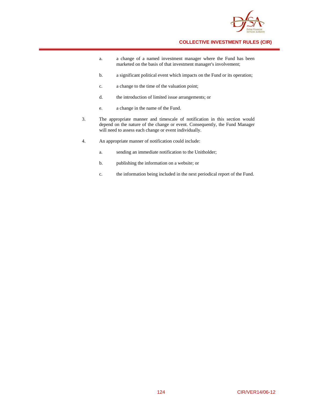

- a. a change of a named investment manager where the Fund has been marketed on the basis of that investment manager's involvement;
- b. a significant political event which impacts on the Fund or its operation;
- c. a change to the time of the valuation point;
- d. the introduction of limited issue arrangements; or
- e. a change in the name of the Fund.
- 3. The appropriate manner and timescale of notification in this section would depend on the nature of the change or event. Consequently, the Fund Manager will need to assess each change or event individually.
- 4. An appropriate manner of notification could include:
	- a. sending an immediate notification to the Unitholder;
	- b. publishing the information on a website; or
	- c. the information being included in the next periodical report of the Fund.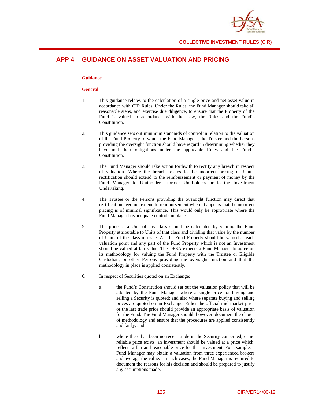

# **APP 4 GUIDANCE ON ASSET VALUATION AND PRICING**

#### **Guidance**

### **General**

- 1. This guidance relates to the calculation of a single price and net asset value in accordance with CIR Rules. Under the Rules, the Fund Manager should take all reasonable steps, and exercise due diligence, to ensure that the Property of the Fund is valued in accordance with the Law, the Rules and the Fund's Constitution.
- 2. This guidance sets out minimum standards of control in relation to the valuation of the Fund Property to which the Fund Manager , the Trustee and the Persons providing the oversight function should have regard in determining whether they have met their obligations under the applicable Rules and the Fund's Constitution.
- 3. The Fund Manager should take action forthwith to rectify any breach in respect of valuation. Where the breach relates to the incorrect pricing of Units, rectification should extend to the reimbursement or payment of money by the Fund Manager to Unitholders, former Unitholders or to the Investment Undertaking.
- 4. The Trustee or the Persons providing the oversight function may direct that rectification need not extend to reimbursement where it appears that the incorrect pricing is of minimal significance. This would only be appropriate where the Fund Manager has adequate controls in place.
- 5. The price of a Unit of any class should be calculated by valuing the Fund Property attributable to Units of that class and dividing that value by the number of Units of the class in issue. All the Fund Property should be valued at each valuation point and any part of the Fund Property which is not an Investment should be valued at fair value. The DFSA expects a Fund Manager to agree on its methodology for valuing the Fund Property with the Trustee or Eligible Custodian, or other Persons providing the oversight function and that the methodology in place is applied consistently.
- 6. In respect of Securities quoted on an Exchange:
	- a. the Fund's Constitution should set out the valuation policy that will be adopted by the Fund Manager where a single price for buying and selling a Security is quoted; and also where separate buying and selling prices are quoted on an Exchange. Either the official mid-market price or the last trade price should provide an appropriate basis of valuation for the Fund. The Fund Manager should, however, document the choice of methodology and ensure that the procedures are applied consistently and fairly; and
	- b. where there has been no recent trade in the Security concerned, or no reliable price exists, an Investment should be valued at a price which, reflects a fair and reasonable price for that investment. For example, a Fund Manager may obtain a valuation from three experienced brokers and average the value. In such cases, the Fund Manager is required to document the reasons for his decision and should be prepared to justify any assumptions made.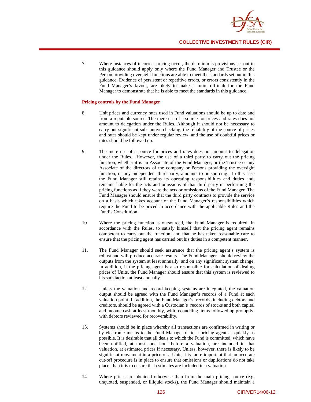

7. Where instances of incorrect pricing occur, the de minimis provisions set out in this guidance should apply only where the Fund Manager and Trustee or the Person providing oversight functions are able to meet the standards set out in this guidance. Evidence of persistent or repetitive errors, or errors consistently in the Fund Manager's favour, are likely to make it more difficult for the Fund Manager to demonstrate that he is able to meet the standards in this guidance.

#### **Pricing controls by the Fund Manager**

- 8. Unit prices and currency rates used in Fund valuations should be up to date and from a reputable source. The mere use of a source for prices and rates does not amount to delegation under the Rules. Although it should not be necessary to carry out significant substantive checking, the reliability of the source of prices and rates should be kept under regular review, and the use of doubtful prices or rates should be followed up.
- 9. The mere use of a source for prices and rates does not amount to delegation under the Rules. However, the use of a third party to carry out the pricing function, whether it is an Associate of the Fund Manager, or the Trustee or any Associate of the directors of the company or Persons providing the oversight function, or any independent third party, amounts to outsourcing. In this case the Fund Manager still retains its operating responsibilities and duties and, remains liable for the acts and omissions of that third party in performing the pricing functions as if they were the acts or omissions of the Fund Manager. The Fund Manager should ensure that the third party contracts to provide the service on a basis which takes account of the Fund Manager's responsibilities which require the Fund to be priced in accordance with the applicable Rules and the Fund's Constitution.
- 10. Where the pricing function is outsourced, the Fund Manager is required, in accordance with the Rules, to satisfy himself that the pricing agent remains competent to carry out the function, and that he has taken reasonable care to ensure that the pricing agent has carried out his duties in a competent manner.
- 11. The Fund Manager should seek assurance that the pricing agent's system is robust and will produce accurate results. The Fund Manager should review the outputs from the system at least annually, and on any significant system change. In addition, if the pricing agent is also responsible for calculation of dealing prices of Units, the Fund Manager should ensure that this system is reviewed to his satisfaction at least annually.
- 12. Unless the valuation and record keeping systems are integrated, the valuation output should be agreed with the Fund Manager's records of a Fund at each valuation point. In addition, the Fund Manager's records, including debtors and creditors, should be agreed with a Custodian's records of stocks and both capital and income cash at least monthly, with reconciling items followed up promptly, with debtors reviewed for recoverability.
- 13. Systems should be in place whereby all transactions are confirmed in writing or by electronic means to the Fund Manager or to a pricing agent as quickly as possible. It is desirable that all deals to which the Fund is committed, which have been notified, at most, one hour before a valuation, are included in that valuation, at estimated prices if necessary. Unless, however, there is likely to be significant movement in a price of a Unit, it is more important that an accurate cut-off procedure is in place to ensure that omissions or duplications do not take place, than it is to ensure that estimates are included in a valuation.
- 14. Where prices are obtained otherwise than from the main pricing source (e.g. unquoted, suspended, or illiquid stocks), the Fund Manager should maintain a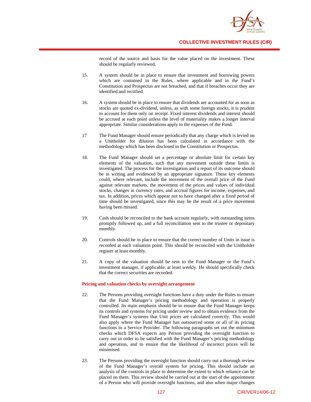

record of the source and basis for the value placed on the investment. These should be regularly reviewed.

- 15. A system should be in place to ensure that investment and borrowing powers which are contained in the Rules, where applicable and in the Fund's Constitution and Prospectus are not breached, and that if breaches occur they are identified and rectified.
- 16. A system should be in place to ensure that dividends are accounted for as soon as stocks are quoted ex-dividend, unless, as with some foreign stocks, it is prudent to account for them only on receipt. Fixed interest dividends and interest should be accrued at each point unless the level of materiality makes a longer interval appropriate. Similar considerations apply to the expenses of the Fund.
- 17 The Fund Manager should ensure periodically that any charge which is levied on a Unitholder for dilution has been calculated in accordance with the methodology which has been disclosed in the Constitution or Prospectus.
- 18. The Fund Manager should set a percentage or absolute limit for certain key elements of the valuation, such that any movement outside these limits is investigated. The process for the investigation and a report of its outcome should be in writing and evidenced by an appropriate signature. These key elements could, where relevant, include the movement of the overall price of the Fund against relevant markets, the movement of the prices and values of individual stocks, changes in currency rates, and accrual figures for income, expenses, and tax. In addition, prices which appear not to have changed after a fixed period of time should be investigated, since this may be the result of a price movement having been missed.
- 19. Cash should be reconciled to the bank account regularly, with outstanding items promptly followed up, and a full reconciliation sent to the trustee or depositary monthly.
- 20. Controls should be in place to ensure that the correct number of Units in issue is recorded at each valuation point. This should be reconciled with the Unitholder register at least monthly.
- 21. A copy of the valuation should be sent to the Fund Manager or the Fund's investment manager, if applicable, at least weekly. He should specifically check that the correct securities are recorded.

#### **Pricing and valuation checks by oversight arrangement**

- 22. The Persons providing oversight functions have a duty under the Rules to ensure that the Fund Manager's pricing methodology and operation is properly controlled. Its main emphasis should be to ensure that the Fund Manager keeps its controls and systems for pricing under review and to obtain evidence from the Fund Manager's systems that Unit prices are calculated correctly. This would also apply where the Fund Manager has outsourced some or all of its pricing functions to a Service Provider. The following paragraphs set out the minimum checks which DFSA expects any Person providing the oversight function to carry out in order to be satisfied with the Fund Manager's pricing methodology and operation, and to ensure that the likelihood of incorrect prices will be minimised.
- 23. The Persons providing the oversight function should carry out a thorough review of the Fund Manager's overall system for pricing. This should include an analysis of the controls in place to determine the extent to which reliance can be placed on them. This review should be carried out at the start of the appointment of a Person who will provide oversight functions, and also when major changes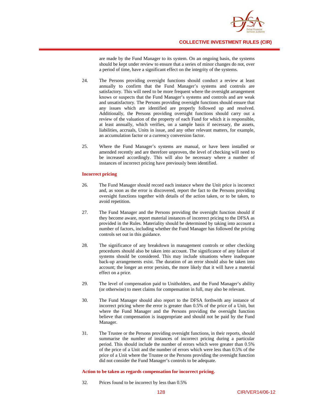

are made by the Fund Manager to its system. On an ongoing basis, the systems should be kept under review to ensure that a series of minor changes do not, over a period of time, have a significant effect on the integrity of the systems.

- 24. The Persons providing oversight functions should conduct a review at least annually to confirm that the Fund Manager's systems and controls are satisfactory. This will need to be more frequent where the oversight arrangement knows or suspects that the Fund Manager's systems and controls and are weak and unsatisfactory. The Persons providing oversight functions should ensure that any issues which are identified are properly followed up and resolved. Additionally, the Persons providing oversight functions should carry out a review of the valuation of the property of each Fund for which it is responsible, at least annually, which verifies, on a sample basis if necessary, the assets, liabilities, accruals, Units in issue, and any other relevant matters, for example, an accumulation factor or a currency conversion factor.
- 25. Where the Fund Manager's systems are manual, or have been installed or amended recently and are therefore unproven, the level of checking will need to be increased accordingly. This will also be necessary where a number of instances of incorrect pricing have previously been identified.

#### **Incorrect pricing**

- 26. The Fund Manager should record each instance where the Unit price is incorrect and, as soon as the error is discovered, report the fact to the Persons providing oversight functions together with details of the action taken, or to be taken, to avoid repetition.
- 27. The Fund Manager and the Persons providing the oversight function should if they become aware, report material instances of incorrect pricing to the DFSA as provided in the Rules. Materiality should be determined by taking into account a number of factors, including whether the Fund Manager has followed the pricing controls set out in this guidance.
- 28. The significance of any breakdown in management controls or other checking procedures should also be taken into account. The significance of any failure of systems should be considered. This may include situations where inadequate back-up arrangements exist. The duration of an error should also be taken into account; the longer an error persists, the more likely that it will have a material effect on a price.
- 29. The level of compensation paid to Unitholders, and the Fund Manager's ability (or otherwise) to meet claims for compensation in full, may also be relevant.
- 30. The Fund Manager should also report to the DFSA forthwith any instance of incorrect pricing where the error is greater than 0.5% of the price of a Unit, but where the Fund Manager and the Persons providing the oversight function believe that compensation is inappropriate and should not be paid by the Fund Manager.
- 31. The Trustee or the Persons providing oversight functions, in their reports, should summarise the number of instances of incorrect pricing during a particular period. This should include the number of errors which were greater than 0.5% of the price of a Unit and the number of errors which were less than 0.5% of the price of a Unit where the Trustee or the Persons providing the oversight function did not consider the Fund Manager's controls to be adequate.

#### **Action to be taken as regards compensation for incorrect pricing.**

32. Prices found to be incorrect by less than 0.5%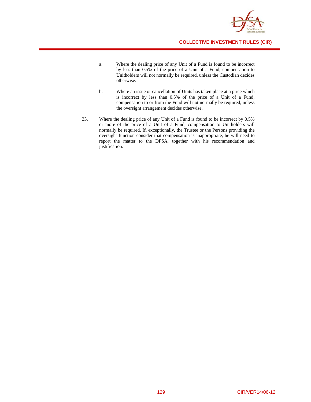

- a. Where the dealing price of any Unit of a Fund is found to be incorrect by less than 0.5% of the price of a Unit of a Fund, compensation to Unitholders will not normally be required, unless the Custodian decides otherwise.
- b. Where an issue or cancellation of Units has taken place at a price which is incorrect by less than 0.5% of the price of a Unit of a Fund, compensation to or from the Fund will not normally be required, unless the oversight arrangement decides otherwise.
- 33. Where the dealing price of any Unit of a Fund is found to be incorrect by 0.5% or more of the price of a Unit of a Fund, compensation to Unitholders will normally be required. If, exceptionally, the Trustee or the Persons providing the oversight function consider that compensation is inappropriate, he will need to report the matter to the DFSA, together with his recommendation and justification.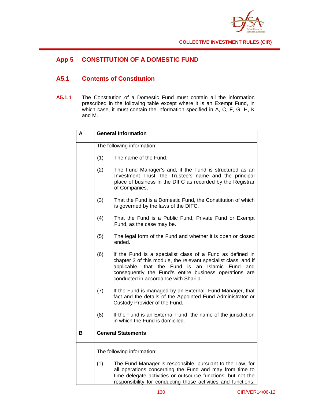

# **App 5 CONSTITUTION OF A DOMESTIC FUND**

# **A5.1 Contents of Constitution**

**A5.1.1** The Constitution of a Domestic Fund must contain all the information prescribed in the following table except where it is an Exempt Fund, in which case, it must contain the information specified in A, C, F, G, H, K and M.

| A | <b>General Information</b> |                                                                                                                                                                                                                                                                                              |  |
|---|----------------------------|----------------------------------------------------------------------------------------------------------------------------------------------------------------------------------------------------------------------------------------------------------------------------------------------|--|
|   | The following information: |                                                                                                                                                                                                                                                                                              |  |
|   | (1)                        | The name of the Fund.                                                                                                                                                                                                                                                                        |  |
|   | (2)                        | The Fund Manager's and, if the Fund is structured as an<br>Investment Trust, the Trustee's name and the principal<br>place of business in the DIFC as recorded by the Registrar<br>of Companies.                                                                                             |  |
|   | (3)                        | That the Fund is a Domestic Fund, the Constitution of which<br>is governed by the laws of the DIFC.                                                                                                                                                                                          |  |
|   | (4)                        | That the Fund is a Public Fund, Private Fund or Exempt<br>Fund, as the case may be.                                                                                                                                                                                                          |  |
|   | (5)                        | The legal form of the Fund and whether it is open or closed<br>ended.                                                                                                                                                                                                                        |  |
|   | (6)                        | If the Fund is a specialist class of a Fund as defined in<br>chapter 3 of this module, the relevant specialist class, and if<br>applicable, that the Fund is<br>an Islamic<br>Fund<br>and<br>consequently the Fund's entire business operations are<br>conducted in accordance with Shari'a. |  |
|   | (7)                        | If the Fund is managed by an External Fund Manager, that<br>fact and the details of the Appointed Fund Administrator or<br>Custody Provider of the Fund.                                                                                                                                     |  |
|   | (8)                        | If the Fund is an External Fund, the name of the jurisdiction<br>in which the Fund is domiciled.                                                                                                                                                                                             |  |
| в | <b>General Statements</b>  |                                                                                                                                                                                                                                                                                              |  |
|   | The following information: |                                                                                                                                                                                                                                                                                              |  |
|   | (1)                        | The Fund Manager is responsible, pursuant to the Law, for<br>all operations concerning the Fund and may from time to<br>time delegate activities or outsource functions, but not the<br>responsibility for conducting those activities and functions,                                        |  |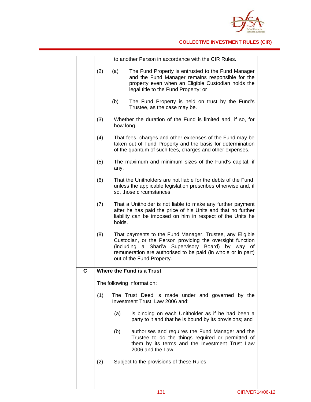

|   |                                  |           | to another Person in accordance with the CIR Rules.                                                                                                                                                                                                                     |
|---|----------------------------------|-----------|-------------------------------------------------------------------------------------------------------------------------------------------------------------------------------------------------------------------------------------------------------------------------|
|   | (2)                              | (a)       | The Fund Property is entrusted to the Fund Manager<br>and the Fund Manager remains responsible for the<br>property even when an Eligible Custodian holds the<br>legal title to the Fund Property; or                                                                    |
|   |                                  | (b)       | The Fund Property is held on trust by the Fund's<br>Trustee, as the case may be.                                                                                                                                                                                        |
|   | (3)                              | how long. | Whether the duration of the Fund is limited and, if so, for                                                                                                                                                                                                             |
|   | (4)                              |           | That fees, charges and other expenses of the Fund may be<br>taken out of Fund Property and the basis for determination<br>of the quantum of such fees, charges and other expenses.                                                                                      |
|   | (5)                              | any.      | The maximum and minimum sizes of the Fund's capital, if                                                                                                                                                                                                                 |
|   | (6)                              |           | That the Unitholders are not liable for the debts of the Fund,<br>unless the applicable legislation prescribes otherwise and, if<br>so, those circumstances.                                                                                                            |
|   | (7)                              | holds.    | That a Unitholder is not liable to make any further payment<br>after he has paid the price of his Units and that no further<br>liability can be imposed on him in respect of the Units he                                                                               |
|   | (8)                              |           | That payments to the Fund Manager, Trustee, any Eligible<br>Custodian, or the Person providing the oversight function<br>(including a Shari'a Supervisory Board) by way of<br>remuneration are authorised to be paid (in whole or in part)<br>out of the Fund Property. |
| С | <b>Where the Fund is a Trust</b> |           |                                                                                                                                                                                                                                                                         |
|   |                                  |           | The following information:                                                                                                                                                                                                                                              |
|   | (1)                              |           | The Trust Deed is made under and governed by the<br>Investment Trust Law 2006 and:                                                                                                                                                                                      |
|   |                                  | (a)       | is binding on each Unitholder as if he had been a<br>party to it and that he is bound by its provisions; and                                                                                                                                                            |
|   |                                  | (b)       | authorises and requires the Fund Manager and the<br>Trustee to do the things required or permitted of<br>them by its terms and the Investment Trust Law<br>2006 and the Law.                                                                                            |
|   | (2)                              |           | Subject to the provisions of these Rules:                                                                                                                                                                                                                               |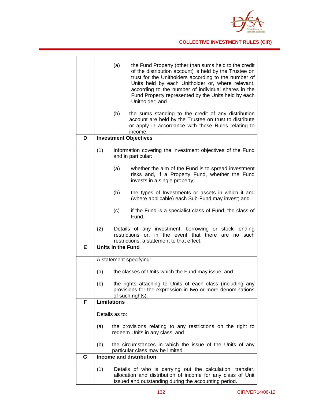

|   | (a)<br>the Fund Property (other than sums held to the credit<br>of the distribution account) is held by the Trustee on                                                                  |
|---|-----------------------------------------------------------------------------------------------------------------------------------------------------------------------------------------|
|   | trust for the Unitholders according to the number of<br>Units held by each Unitholder or, where relevant,                                                                               |
|   | according to the number of individual shares in the<br>Fund Property represented by the Units held by each                                                                              |
|   | Unitholder; and                                                                                                                                                                         |
|   | (b)<br>the sums standing to the credit of any distribution                                                                                                                              |
|   | account are held by the Trustee on trust to distribute<br>or apply in accordance with these Rules relating to<br>income.                                                                |
| D | <b>Investment Objectives</b>                                                                                                                                                            |
|   | (1)<br>Information covering the investment objectives of the Fund                                                                                                                       |
|   | and in particular:                                                                                                                                                                      |
|   | (a)<br>whether the aim of the Fund is to spread investment<br>risks and, if a Property Fund, whether the Fund<br>invests in a single property;                                          |
|   | (b)<br>the types of Investments or assets in which it and<br>(where applicable) each Sub-Fund may invest; and                                                                           |
|   | (c)<br>if the Fund is a specialist class of Fund, the class of<br>Fund.                                                                                                                 |
|   | (2)<br>Details of any investment, borrowing or stock lending<br>restrictions or, in the event that there<br>are no<br>such<br>restrictions, a statement to that effect.                 |
| Е | <b>Units in the Fund</b>                                                                                                                                                                |
|   | A statement specifying:                                                                                                                                                                 |
|   |                                                                                                                                                                                         |
|   | the classes of Units which the Fund may issue; and<br>(a)                                                                                                                               |
|   | the rights attaching to Units of each class (including any<br>(b)<br>provisions for the expression in two or more denominations<br>of such rights).                                     |
| F | <b>Limitations</b>                                                                                                                                                                      |
|   | Details as to:                                                                                                                                                                          |
|   |                                                                                                                                                                                         |
|   | the provisions relating to any restrictions on the right to<br>(a)<br>redeem Units in any class; and                                                                                    |
|   | the circumstances in which the issue of the Units of any<br>(b)<br>particular class may be limited.                                                                                     |
| G | <b>Income and distribution</b>                                                                                                                                                          |
|   | (1)<br>Details of who is carrying out the calculation, transfer,<br>allocation and distribution of income for any class of Unit<br>issued and outstanding during the accounting period. |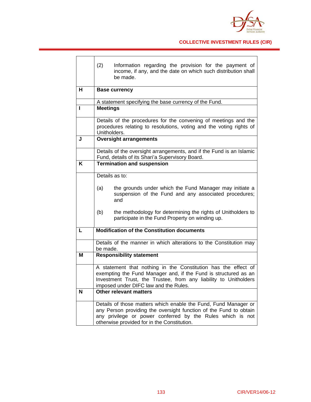

|   | (2)<br>Information regarding the provision for the payment of<br>income, if any, and the date on which such distribution shall<br>be made.                                                                                                        |  |
|---|---------------------------------------------------------------------------------------------------------------------------------------------------------------------------------------------------------------------------------------------------|--|
| н | <b>Base currency</b>                                                                                                                                                                                                                              |  |
|   | A statement specifying the base currency of the Fund.                                                                                                                                                                                             |  |
| н | <b>Meetings</b>                                                                                                                                                                                                                                   |  |
|   | Details of the procedures for the convening of meetings and the<br>procedures relating to resolutions, voting and the voting rights of<br>Unitholders.                                                                                            |  |
| J | <b>Oversight arrangements</b>                                                                                                                                                                                                                     |  |
|   | Details of the oversight arrangements, and if the Fund is an Islamic<br>Fund, details of its Shari'a Supervisory Board.                                                                                                                           |  |
| Κ | <b>Termination and suspension</b>                                                                                                                                                                                                                 |  |
|   | Details as to:                                                                                                                                                                                                                                    |  |
|   | the grounds under which the Fund Manager may initiate a<br>(a)<br>suspension of the Fund and any associated procedures;<br>and                                                                                                                    |  |
|   | (b)<br>the methodology for determining the rights of Unitholders to<br>participate in the Fund Property on winding up.                                                                                                                            |  |
| L | <b>Modification of the Constitution documents</b>                                                                                                                                                                                                 |  |
|   | Details of the manner in which alterations to the Constitution may<br>be made.                                                                                                                                                                    |  |
| M | <b>Responsibility statement</b>                                                                                                                                                                                                                   |  |
|   | A statement that nothing in the Constitution has the effect of<br>exempting the Fund Manager and, if the Fund is structured as an<br>Investment Trust, the Trustee, from any liability to Unitholders<br>imposed under DIFC law and the Rules.    |  |
| N | Other relevant matters                                                                                                                                                                                                                            |  |
|   | Details of those matters which enable the Fund, Fund Manager or<br>any Person providing the oversight function of the Fund to obtain<br>any privilege or power conferred by the Rules which is not<br>otherwise provided for in the Constitution. |  |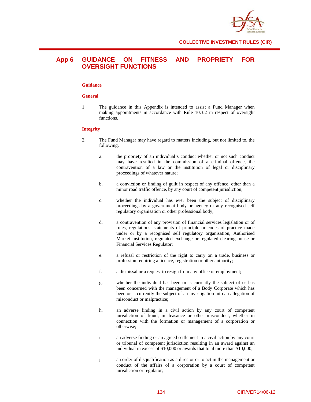

# **App 6 GUIDANCE ON FITNESS AND PROPRIETY FOR OVERSIGHT FUNCTIONS**

## **Guidance**

#### **General**

1. The guidance in this Appendix is intended to assist a Fund Manager when making appointments in accordance with Rule 10.3.2 in respect of oversight functions.

#### **Integrity**

- 2. The Fund Manager may have regard to matters including, but not limited to, the following.
	- a. the propriety of an individual's conduct whether or not such conduct may have resulted in the commission of a criminal offence, the contravention of a law or the institution of legal or disciplinary proceedings of whatever nature;
	- b. a conviction or finding of guilt in respect of any offence, other than a minor road traffic offence, by any court of competent jurisdiction;
	- c. whether the individual has ever been the subject of disciplinary proceedings by a government body or agency or any recognised self regulatory organisation or other professional body;
	- d. a contravention of any provision of financial services legislation or of rules, regulations, statements of principle or codes of practice made under or by a recognised self regulatory organisation, Authorised Market Institution, regulated exchange or regulated clearing house or Financial Services Regulator;
	- e. a refusal or restriction of the right to carry on a trade, business or profession requiring a licence, registration or other authority;
	- f. a dismissal or a request to resign from any office or employment;
	- g. whether the individual has been or is currently the subject of or has been concerned with the management of a Body Corporate which has been or is currently the subject of an investigation into an allegation of misconduct or malpractice;
	- h. an adverse finding in a civil action by any court of competent jurisdiction of fraud, misfeasance or other misconduct, whether in connection with the formation or management of a corporation or otherwise;
	- i. an adverse finding or an agreed settlement in a civil action by any court or tribunal of competent jurisdiction resulting in an award against an individual in excess of \$10,000 or awards that total more than \$10,000;
	- j. an order of disqualification as a director or to act in the management or conduct of the affairs of a corporation by a court of competent jurisdiction or regulator;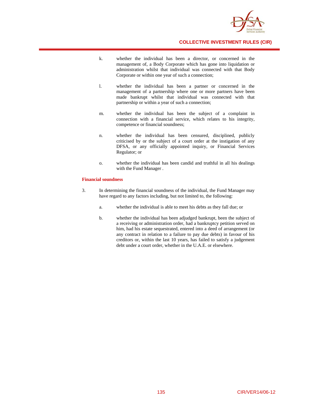

- k. whether the individual has been a director, or concerned in the management of, a Body Corporate which has gone into liquidation or administration whilst that individual was connected with that Body Corporate or within one year of such a connection;
- l. whether the individual has been a partner or concerned in the management of a partnership where one or more partners have been made bankrupt whilst that individual was connected with that partnership or within a year of such a connection;
- m. whether the individual has been the subject of a complaint in connection with a financial service, which relates to his integrity, competence or financial soundness;
- n. whether the individual has been censured, disciplined, publicly criticised by or the subject of a court order at the instigation of any DFSA, or any officially appointed inquiry, or Financial Services Regulator; or
- o. whether the individual has been candid and truthful in all his dealings with the Fund Manager .

#### **Financial soundness**

- 3. In determining the financial soundness of the individual, the Fund Manager may have regard to any factors including, but not limited to, the following:
	- a. whether the individual is able to meet his debts as they fall due; or
	- b. whether the individual has been adjudged bankrupt, been the subject of a receiving or administration order, had a bankruptcy petition served on him, had his estate sequestrated, entered into a deed of arrangement (or any contract in relation to a failure to pay due debts) in favour of his creditors or, within the last 10 years, has failed to satisfy a judgement debt under a court order, whether in the U.A.E. or elsewhere.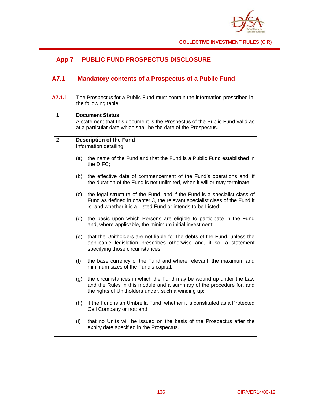

# **App 7 PUBLIC FUND PROSPECTUS DISCLOSURE**

# **A7.1 Mandatory contents of a Prospectus of a Public Fund**

**A7.1.1** The Prospectus for a Public Fund must contain the information prescribed in the following table.

| $\overline{1}$ | <b>Document Status</b> |                                                                                                                                                                                                                         |  |
|----------------|------------------------|-------------------------------------------------------------------------------------------------------------------------------------------------------------------------------------------------------------------------|--|
|                |                        | A statement that this document is the Prospectus of the Public Fund valid as<br>at a particular date which shall be the date of the Prospectus.                                                                         |  |
| $\mathbf 2$    |                        | <b>Description of the Fund</b>                                                                                                                                                                                          |  |
|                |                        | Information detailing:                                                                                                                                                                                                  |  |
|                | (a)                    | the name of the Fund and that the Fund is a Public Fund established in<br>the DIFC;                                                                                                                                     |  |
|                | (b)                    | the effective date of commencement of the Fund's operations and, if<br>the duration of the Fund is not unlimited, when it will or may terminate;                                                                        |  |
|                | (c)                    | the legal structure of the Fund, and if the Fund is a specialist class of<br>Fund as defined in chapter 3, the relevant specialist class of the Fund it<br>is, and whether it is a Listed Fund or intends to be Listed; |  |
|                | (d)                    | the basis upon which Persons are eligible to participate in the Fund<br>and, where applicable, the minimum initial investment;                                                                                          |  |
|                | (e)                    | that the Unitholders are not liable for the debts of the Fund, unless the<br>applicable legislation prescribes otherwise and, if so, a statement<br>specifying those circumstances;                                     |  |
|                | (f)                    | the base currency of the Fund and where relevant, the maximum and<br>minimum sizes of the Fund's capital;                                                                                                               |  |
|                | (g)                    | the circumstances in which the Fund may be wound up under the Law<br>and the Rules in this module and a summary of the procedure for, and<br>the rights of Unitholders under, such a winding up;                        |  |
|                | (h)                    | if the Fund is an Umbrella Fund, whether it is constituted as a Protected<br>Cell Company or not; and                                                                                                                   |  |
|                | (i)                    | that no Units will be issued on the basis of the Prospectus after the<br>expiry date specified in the Prospectus.                                                                                                       |  |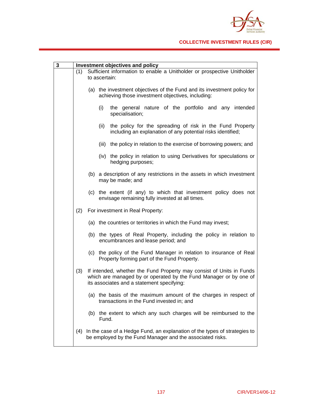

| 3 | Investment objectives and policy |                                                                         |                                                                                                                                                                                         |  |
|---|----------------------------------|-------------------------------------------------------------------------|-----------------------------------------------------------------------------------------------------------------------------------------------------------------------------------------|--|
|   | (1)                              | Sufficient information to enable a Unitholder or prospective Unitholder |                                                                                                                                                                                         |  |
|   |                                  |                                                                         | to ascertain:                                                                                                                                                                           |  |
|   |                                  |                                                                         | (a) the investment objectives of the Fund and its investment policy for<br>achieving those investment objectives, including:                                                            |  |
|   |                                  |                                                                         | (i)<br>the general nature of the portfolio and any intended<br>specialisation;                                                                                                          |  |
|   |                                  |                                                                         | (ii)<br>the policy for the spreading of risk in the Fund Property<br>including an explanation of any potential risks identified;                                                        |  |
|   |                                  |                                                                         | (iii) the policy in relation to the exercise of borrowing powers; and                                                                                                                   |  |
|   |                                  |                                                                         | (iv) the policy in relation to using Derivatives for speculations or<br>hedging purposes;                                                                                               |  |
|   |                                  |                                                                         | (b) a description of any restrictions in the assets in which investment<br>may be made; and                                                                                             |  |
|   |                                  |                                                                         | (c) the extent (if any) to which that investment policy does not<br>envisage remaining fully invested at all times.                                                                     |  |
|   | (2)                              |                                                                         | For investment in Real Property:                                                                                                                                                        |  |
|   |                                  |                                                                         | (a) the countries or territories in which the Fund may invest;                                                                                                                          |  |
|   |                                  |                                                                         | (b) the types of Real Property, including the policy in relation to<br>encumbrances and lease period; and                                                                               |  |
|   |                                  |                                                                         | (c) the policy of the Fund Manager in relation to insurance of Real<br>Property forming part of the Fund Property.                                                                      |  |
|   | (3)                              |                                                                         | If intended, whether the Fund Property may consist of Units in Funds<br>which are managed by or operated by the Fund Manager or by one of<br>its associates and a statement specifying: |  |
|   |                                  |                                                                         | (a) the basis of the maximum amount of the charges in respect of<br>transactions in the Fund invested in; and                                                                           |  |
|   |                                  | (b)                                                                     | the extent to which any such charges will be reimbursed to the<br>Fund.                                                                                                                 |  |
|   | (4)                              |                                                                         | In the case of a Hedge Fund, an explanation of the types of strategies to<br>be employed by the Fund Manager and the associated risks.                                                  |  |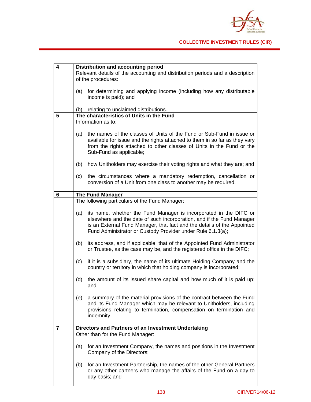

| 4 | <b>Distribution and accounting period</b>                                                                                                                                                                                                                                                   |  |  |
|---|---------------------------------------------------------------------------------------------------------------------------------------------------------------------------------------------------------------------------------------------------------------------------------------------|--|--|
|   | Relevant details of the accounting and distribution periods and a description<br>of the procedures:                                                                                                                                                                                         |  |  |
|   |                                                                                                                                                                                                                                                                                             |  |  |
|   | for determining and applying income (including how any distributable<br>(a)<br>income is paid); and                                                                                                                                                                                         |  |  |
|   | relating to unclaimed distributions.<br>(b)                                                                                                                                                                                                                                                 |  |  |
| 5 | The characteristics of Units in the Fund                                                                                                                                                                                                                                                    |  |  |
|   | Information as to:                                                                                                                                                                                                                                                                          |  |  |
|   | the names of the classes of Units of the Fund or Sub-Fund in issue or<br>(a)<br>available for issue and the rights attached to them in so far as they vary<br>from the rights attached to other classes of Units in the Fund or the<br>Sub-Fund as applicable;                              |  |  |
|   | (b)<br>how Unitholders may exercise their voting rights and what they are; and                                                                                                                                                                                                              |  |  |
|   | the circumstances where a mandatory redemption, cancellation or<br>(c)<br>conversion of a Unit from one class to another may be required.                                                                                                                                                   |  |  |
| 6 | <b>The Fund Manager</b>                                                                                                                                                                                                                                                                     |  |  |
|   | The following particulars of the Fund Manager:                                                                                                                                                                                                                                              |  |  |
|   | its name, whether the Fund Manager is incorporated in the DIFC or<br>(a)<br>elsewhere and the date of such incorporation, and if the Fund Manager<br>is an External Fund Manager, that fact and the details of the Appointed<br>Fund Administrator or Custody Provider under Rule 6.1.3(a); |  |  |
|   | (b)<br>its address, and if applicable, that of the Appointed Fund Administrator<br>or Trustee, as the case may be, and the registered office in the DIFC;                                                                                                                                   |  |  |
|   | if it is a subsidiary, the name of its ultimate Holding Company and the<br>(c)<br>country or territory in which that holding company is incorporated;                                                                                                                                       |  |  |
|   | the amount of its issued share capital and how much of it is paid up;<br>(d)<br>and                                                                                                                                                                                                         |  |  |
|   | a summary of the material provisions of the contract between the Fund<br>(e)<br>and its Fund Manager which may be relevant to Unitholders, including<br>provisions relating to termination, compensation on termination and<br>indemnity.                                                   |  |  |
| 7 | Directors and Partners of an Investment Undertaking                                                                                                                                                                                                                                         |  |  |
|   | Other than for the Fund Manager:                                                                                                                                                                                                                                                            |  |  |
|   | for an Investment Company, the names and positions in the Investment<br>(a)<br>Company of the Directors;                                                                                                                                                                                    |  |  |
|   | for an Investment Partnership, the names of the other General Partners<br>(b)<br>or any other partners who manage the affairs of the Fund on a day to<br>day basis; and                                                                                                                     |  |  |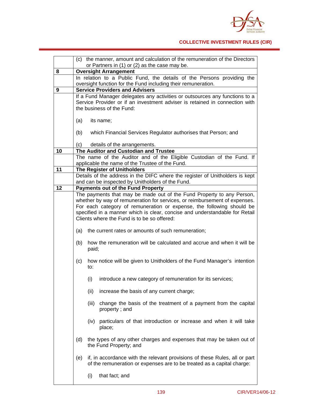

|    | (c) the manner, amount and calculation of the remuneration of the Directors                                                                                |  |  |
|----|------------------------------------------------------------------------------------------------------------------------------------------------------------|--|--|
|    | or Partners in (1) or (2) as the case may be.                                                                                                              |  |  |
| 8  | <b>Oversight Arrangement</b>                                                                                                                               |  |  |
|    | In relation to a Public Fund, the details of the Persons providing the                                                                                     |  |  |
| 9  | oversight function for the Fund including their remuneration.                                                                                              |  |  |
|    | <b>Service Providers and Advisers</b>                                                                                                                      |  |  |
|    | If a Fund Manager delegates any activities or outsources any functions to a<br>Service Provider or if an investment adviser is retained in connection with |  |  |
|    | the business of the Fund:                                                                                                                                  |  |  |
|    |                                                                                                                                                            |  |  |
|    | (a)<br>its name;                                                                                                                                           |  |  |
|    |                                                                                                                                                            |  |  |
|    | (b)<br>which Financial Services Regulator authorises that Person; and                                                                                      |  |  |
|    |                                                                                                                                                            |  |  |
|    | details of the arrangements.<br>(C)                                                                                                                        |  |  |
| 10 | The Auditor and Custodian and Trustee                                                                                                                      |  |  |
|    | The name of the Auditor and of the Eligible Custodian of the Fund. If                                                                                      |  |  |
|    | applicable the name of the Trustee of the Fund.                                                                                                            |  |  |
| 11 | The Register of Unitholders                                                                                                                                |  |  |
|    | Details of the address in the DIFC where the register of Unitholders is kept<br>and can be inspected by Unitholders of the Fund.                           |  |  |
| 12 | <b>Payments out of the Fund Property</b>                                                                                                                   |  |  |
|    | The payments that may be made out of the Fund Property to any Person,                                                                                      |  |  |
|    | whether by way of remuneration for services, or reimbursement of expenses.                                                                                 |  |  |
|    | For each category of remuneration or expense, the following should be                                                                                      |  |  |
|    | specified in a manner which is clear, concise and understandable for Retail                                                                                |  |  |
|    | Clients where the Fund is to be so offered:                                                                                                                |  |  |
|    |                                                                                                                                                            |  |  |
|    | the current rates or amounts of such remuneration;<br>(a)                                                                                                  |  |  |
|    | how the remuneration will be calculated and accrue and when it will be<br>(b)                                                                              |  |  |
|    | paid;                                                                                                                                                      |  |  |
|    | how notice will be given to Unitholders of the Fund Manager's intention<br>(c)                                                                             |  |  |
|    | to:                                                                                                                                                        |  |  |
|    |                                                                                                                                                            |  |  |
|    | introduce a new category of remuneration for its services;<br>(i)                                                                                          |  |  |
|    | (ii)<br>increase the basis of any current charge;                                                                                                          |  |  |
|    | change the basis of the treatment of a payment from the capital<br>(iii)                                                                                   |  |  |
|    | property; and                                                                                                                                              |  |  |
|    |                                                                                                                                                            |  |  |
|    | particulars of that introduction or increase and when it will take<br>(iv)                                                                                 |  |  |
|    | place;                                                                                                                                                     |  |  |
|    | (d)<br>the types of any other charges and expenses that may be taken out of                                                                                |  |  |
|    | the Fund Property; and                                                                                                                                     |  |  |
|    | if, in accordance with the relevant provisions of these Rules, all or part<br>(e)                                                                          |  |  |
|    | of the remuneration or expenses are to be treated as a capital charge:                                                                                     |  |  |
|    | (i)<br>that fact; and                                                                                                                                      |  |  |
|    |                                                                                                                                                            |  |  |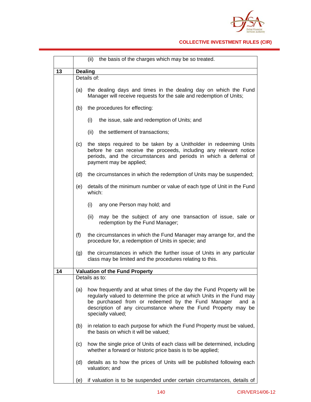

## **COLLECTIVE INVESTMENT RULES (CIR)**

|    |                | (ii) the basis of the charges which may be so treated.                                                                                                                                                                                                                                               |  |  |
|----|----------------|------------------------------------------------------------------------------------------------------------------------------------------------------------------------------------------------------------------------------------------------------------------------------------------------------|--|--|
| 13 |                | <b>Dealing</b>                                                                                                                                                                                                                                                                                       |  |  |
|    |                | Details of:                                                                                                                                                                                                                                                                                          |  |  |
|    | (a)            | the dealing days and times in the dealing day on which the Fund<br>Manager will receive requests for the sale and redemption of Units;                                                                                                                                                               |  |  |
|    | (b)            | the procedures for effecting:                                                                                                                                                                                                                                                                        |  |  |
|    |                | (i)<br>the issue, sale and redemption of Units; and                                                                                                                                                                                                                                                  |  |  |
|    |                | (ii)<br>the settlement of transactions;                                                                                                                                                                                                                                                              |  |  |
|    | (c)            | the steps required to be taken by a Unitholder in redeeming Units<br>before he can receive the proceeds, including any relevant notice<br>periods, and the circumstances and periods in which a deferral of<br>payment may be applied;                                                               |  |  |
|    | (d)            | the circumstances in which the redemption of Units may be suspended;                                                                                                                                                                                                                                 |  |  |
|    | (e)            | details of the minimum number or value of each type of Unit in the Fund<br>which:                                                                                                                                                                                                                    |  |  |
|    |                | (i)<br>any one Person may hold; and                                                                                                                                                                                                                                                                  |  |  |
|    |                | may be the subject of any one transaction of issue, sale or<br>(ii)<br>redemption by the Fund Manager;                                                                                                                                                                                               |  |  |
|    | (f)            | the circumstances in which the Fund Manager may arrange for, and the<br>procedure for, a redemption of Units in specie; and                                                                                                                                                                          |  |  |
|    | (g)            | the circumstances in which the further issue of Units in any particular<br>class may be limited and the procedures relating to this.                                                                                                                                                                 |  |  |
| 14 |                | <b>Valuation of the Fund Property</b>                                                                                                                                                                                                                                                                |  |  |
|    | Details as to: |                                                                                                                                                                                                                                                                                                      |  |  |
|    | (a)            | how frequently and at what times of the day the Fund Property will be<br>regularly valued to determine the price at which Units in the Fund may<br>be purchased from or redeemed by the Fund Manager<br>and a<br>description of any circumstance where the Fund Property may be<br>specially valued; |  |  |
|    | (b)            | in relation to each purpose for which the Fund Property must be valued,<br>the basis on which it will be valued;                                                                                                                                                                                     |  |  |
|    | (c)            | how the single price of Units of each class will be determined, including<br>whether a forward or historic price basis is to be applied;                                                                                                                                                             |  |  |
|    | (d)            | details as to how the prices of Units will be published following each<br>valuation; and                                                                                                                                                                                                             |  |  |
|    | (e)            | if valuation is to be suspended under certain circumstances, details of                                                                                                                                                                                                                              |  |  |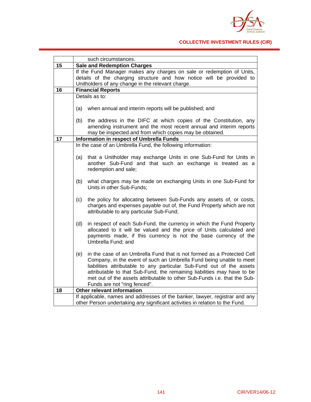

## **COLLECTIVE INVESTMENT RULES (CIR)**

|    | such circumstances.                                                                                                                                                                                                                                                                                                                                                                                                  |  |  |
|----|----------------------------------------------------------------------------------------------------------------------------------------------------------------------------------------------------------------------------------------------------------------------------------------------------------------------------------------------------------------------------------------------------------------------|--|--|
| 15 | <b>Sale and Redemption Charges</b>                                                                                                                                                                                                                                                                                                                                                                                   |  |  |
|    | If the Fund Manager makes any charges on sale or redemption of Units,                                                                                                                                                                                                                                                                                                                                                |  |  |
|    | details of the charging structure and how notice will be provided to                                                                                                                                                                                                                                                                                                                                                 |  |  |
|    | Unitholders of any change in the relevant charge.                                                                                                                                                                                                                                                                                                                                                                    |  |  |
| 16 | <b>Financial Reports</b>                                                                                                                                                                                                                                                                                                                                                                                             |  |  |
|    | Details as to:                                                                                                                                                                                                                                                                                                                                                                                                       |  |  |
|    | when annual and interim reports will be published; and<br>(a)                                                                                                                                                                                                                                                                                                                                                        |  |  |
|    | the address in the DIFC at which copies of the Constitution, any<br>(b)<br>amending instrument and the most recent annual and interim reports<br>may be inspected and from which copies may be obtained.                                                                                                                                                                                                             |  |  |
| 17 | Information in respect of Umbrella Funds                                                                                                                                                                                                                                                                                                                                                                             |  |  |
|    | In the case of an Umbrella Fund, the following information:                                                                                                                                                                                                                                                                                                                                                          |  |  |
|    | that a Unitholder may exchange Units in one Sub-Fund for Units in<br>(a)<br>another Sub-Fund and that such an exchange is treated as a<br>redemption and sale;                                                                                                                                                                                                                                                       |  |  |
|    | (b)<br>what charges may be made on exchanging Units in one Sub-Fund for<br>Units in other Sub-Funds;                                                                                                                                                                                                                                                                                                                 |  |  |
|    | the policy for allocating between Sub-Funds any assets of, or costs,<br>(c)<br>charges and expenses payable out of, the Fund Property which are not<br>attributable to any particular Sub-Fund;                                                                                                                                                                                                                      |  |  |
|    | (d)<br>in respect of each Sub-Fund, the currency in which the Fund Property<br>allocated to it will be valued and the price of Units calculated and<br>payments made, if this currency is not the base currency of the<br>Umbrella Fund; and                                                                                                                                                                         |  |  |
|    | (e)<br>in the case of an Umbrella Fund that is not formed as a Protected Cell<br>Company, in the event of such an Umbrella Fund being unable to meet<br>liabilities attributable to any particular Sub-Fund out of the assets<br>attributable to that Sub-Fund, the remaining liabilities may have to be<br>met out of the assets attributable to other Sub-Funds i.e. that the Sub-<br>Funds are not "ring fenced". |  |  |
| 18 | Other relevant information                                                                                                                                                                                                                                                                                                                                                                                           |  |  |
|    | If applicable, names and addresses of the banker, lawyer, registrar and any<br>other Person undertaking any significant activities in relation to the Fund.                                                                                                                                                                                                                                                          |  |  |